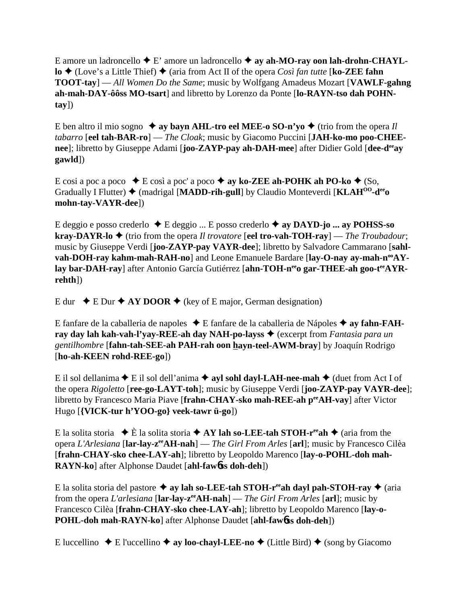E amore un ladroncello  $\blacklozenge$  E' amore un ladroncello  $\blacklozenge$  ay ah-MO-ray oon lah-drohn-CHAYL**lo** ◆ (Love's a Little Thief) ◆ (aria from Act II of the opera *Così fan tutte* [**ko-ZEE fahn TOOT-tay**] — *All Women Do the Same*; music by Wolfgang Amadeus Mozart [**VAWLF-gahng ah-mah-DAY-ôôss MO-tsart**] and libretto by Lorenzo da Ponte [**lo-RAYN-tso dah POHNtay**])

E ben altro il mio sogno  $\rightarrow$  ay bayn AHL-tro eel MEE-o SO-n'yo  $\rightarrow$  (trio from the opera *Il tabarro* [**eel tah-BAR-ro**] — *The Cloak*; music by Giacomo Puccini [**JAH-ko-mo poo-CHEEnee**]; libretto by Giuseppe Adami [**joo-ZAYP-pay ah-DAH-mee**] after Didier Gold [**dee-deeay gawld**])

E cosi a poc a poco  $\bullet$  E così a poc' a poco  $\bullet$  ay ko-ZEE ah-POHK ah PO-ko  $\bullet$  (So, Gradually I Flutter)  $\triangleq$  (madrigal [MADD-rih-gull] by Claudio Monteverdi [KLAH<sup>00</sup>-d<sup>ee</sup>o] **mohn-tay-VAYR-dee**])

E deggio e posso crederlo E deggio ... E posso crederlo  **ay DAYD-jo ... ay POHSS-so kray-DAYR-lo**  $\blacklozenge$  (trio from the opera *Il trovatore* [eel tro-vah-TOH-ray] — *The Troubadour*; music by Giuseppe Verdi [**joo-ZAYP-pay VAYR-dee**]; libretto by Salvadore Cammarano [**sahl**vah-DOH-ray kahm-mah-RAH-no] and Leone Emanuele Bardare [lay-O-nay ay-mah-n<sup>oo</sup>AYlay bar-DAH-ray] after Antonio García Gutiérrez [ahn-TOH-n<sup>ee</sup>o gar-THEE-ah goo-t<sup>ee</sup>AYR**rehth**])

E dur  $\div$  E Dur  $\div$  AY DOOR  $\div$  (key of E major, German designation)

E fanfare de la caballeria de napoles ◆ E fanfare de la caballeria de Nápoles ◆ ay fahn-FAH**ray day lah kah-vah-l'yay-REE-ah day NAH-po-layss ♦** (excerpt from *Fantasia para un gentilhombre* [**fahn-tah-SEE-ah PAH-rah oon hayn-teel-AWM-bray**] by Joaquín Rodrigo [**ho-ah-KEEN rohd-REE-go**])

E il sol dellanima  $\blacklozenge$  E il sol dell'anima  $\blacklozenge$  ayl sohl dayl-LAH-nee-mah  $\blacklozenge$  (duet from Act I of the opera *Rigoletto* [**ree-go-LAYT-toh**]; music by Giuseppe Verdi [**joo-ZAYP-pay VAYR-dee**]; libretto by Francesco Maria Piave [**frahn-CHAY-sko mah-REE-ah peeAH-vay**] after Victor Hugo [**{VICK-tur h'YOO-go} veek-tawr ü-go**])

E la solita storia  $\div$  È la solita storia  $\div$  **AY lah so-LEE-tah STOH-r<sup>ee</sup>ah**  $\div$  (aria from the opera *L'Arlesiana* [**lar-lay-zeeAH-nah**] — *The Girl From Arles* [**arl**]; music by Francesco Cilèa [**frahn-CHAY-sko chee-LAY-ah**]; libretto by Leopoldo Marenco [**lay-o-POHL-doh mah-RAYN-ko**] after Alphonse Daudet [**ahl-faw**6**ss doh-deh**])

E la solita storia del pastore  $\triangle$  ay lah so-LEE-tah STOH-r<sup>ee</sup>ah dayl pah-STOH-ray  $\triangle$  (aria from the opera *L'arlesiana* [**lar-lay-zeeAH-nah**] — *The Girl From Arles* [**arl**]; music by Francesco Cilèa [**frahn-CHAY-sko chee-LAY-ah**]; libretto by Leopoldo Marenco [**lay-o-POHL-doh mah-RAYN-ko**] after Alphonse Daudet [**ahl-faw**6**ss doh-deh**])

E luccellino  $\blacklozenge$  E l'uccellino  $\blacklozenge$  ay loo-chayl-LEE-no  $\blacklozenge$  (Little Bird)  $\blacklozenge$  (song by Giacomo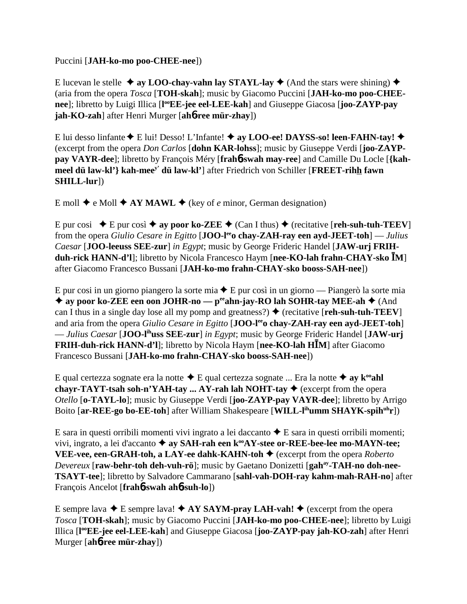#### Puccini [**JAH-ko-mo poo-CHEE-nee**])

E lucevan le stelle  $\triangleq$  ay LOO-chay-vahn lay STAYL-lay  $\triangleq$  (And the stars were shining)  $\triangleq$ (aria from the opera *Tosca* [**TOH-skah**]; music by Giacomo Puccini [**JAH-ko-mo poo-CHEEnee**]; libretto by Luigi Illica [l<sup>oo</sup>EE-jee eel-LEE-kah] and Giuseppe Giacosa [joo-ZAYP-pay **jah-KO-zah**] after Henri Murger [**ah**6**-ree mür-zhay**])

E lui desso linfante ♦ E lui! Desso! L'Infante! ♦ ay LOO-ee! DAYSS-so! leen-FAHN-tay! ♦ (excerpt from the opera *Don Carlos* [**dohn KAR-lohss**]; music by Giuseppe Verdi [**joo-ZAYPpay VAYR-dee**]; libretto by François Méry [**frah**6**-swah may-ree**] and Camille Du Locle [**{kahmeel dü law-kl'} kah-meey' dü law-kl'**] after Friedrich von Schiller [**FREET-rihh fawn SHILL-lur**])

E moll  $\blacklozenge$  e Moll  $\blacklozenge$  AY MAWL  $\blacklozenge$  (key of *e* minor, German designation)

E pur cosi  $\blacklozenge$  E pur così  $\blacklozenge$  ay poor ko-ZEE  $\blacklozenge$  (Can I thus)  $\blacklozenge$  (recitative [**reh-suh-tuh-TEEV**] from the opera *Giulio Cesare in Egitto* [**JOO-leeo chay-ZAH-ray een ayd-JEET-toh**] — *Julius Caesar* [**JOO-leeuss SEE-zur**] *in Egypt*; music by George Frideric Handel [**JAW-urj FRIHduh-rick HANN-d'l**]; libretto by Nicola Francesco Haym [**nee-KO-lah frahn-CHAY-sko M**] after Giacomo Francesco Bussani [**JAH-ko-mo frahn-CHAY-sko booss-SAH-nee**])

E pur cosi in un giorno piangero la sorte mia  $\triangle$  E pur così in un giorno — Piangerò la sorte mia ◆ ay poor ko-ZEE een oon JOHR-no — p<sup>ee</sup>ahn-jay-RO lah SOHR-tay MEE-ah ◆ (And can I thus in a single day lose all my pomp and greatness?)  $\blacklozenge$  (recitative [**reh-suh-tuh-TEEV**] and aria from the opera *Giulio Cesare in Egitto* [**JOO-leeo chay-ZAH-ray een ayd-JEET-toh**] — *Julius Caesar* [**JOO-lihuss SEE-zur**] *in Egypt*; music by George Frideric Handel [**JAW-urj FRIH-duh-rick HANN-d'l**]; libretto by Nicola Haym [**nee-KO-lah HM**] after Giacomo Francesco Bussani [**JAH-ko-mo frahn-CHAY-sko booss-SAH-nee**])

E qual certezza sognate era la notte  $\triangle$  E qual certezza sognate ... Era la notte  $\triangle$  ay  $\mathbf{k}^{\omega}$  ahl **chayr-TAYT-tsah soh-n'YAH-tay ... AY-rah lah NOHT-tay**  $\blacklozenge$  **(excerpt from the opera** *Otello* [**o-TAYL-lo**]; music by Giuseppe Verdi [**joo-ZAYP-pay VAYR-dee**]; libretto by Arrigo Boito [ar-REE-go bo-EE-toh] after William Shakespeare [WILL-l<sup>ih</sup>umm SHAYK-spih<sup>uh</sup>r])

E sara in questi orribili momenti vivi ingrato a lei daccanto  $\triangle$  E sara in questi orribili momenti; vivi, ingrato, a lei d'accanto **→ ay SAH-rah een k<sup>oo</sup>AY-stee or-REE-bee-lee mo-MAYN-tee; VEE-vee, een-GRAH-toh, a LAY-ee dahk-KAHN-toh ♦** (excerpt from the opera *Roberto Devereux* [**raw-behr-toh deh-vuh-rö**]; music by Gaetano Donizetti [**gahay-TAH-no doh-nee-TSAYT-tee**]; libretto by Salvadore Cammarano [**sahl-vah-DOH-ray kahm-mah-RAH-no**] after François Ancelot [**frah**6**-swah ah**6**-suh-lo**])

E sempre lava  $\triangle$  E sempre lava!  $\triangle$  **AY SAYM-pray LAH-vah!**  $\triangle$  (excerpt from the opera *Tosca* [**TOH-skah**]; music by Giacomo Puccini [**JAH-ko-mo poo-CHEE-nee**]; libretto by Luigi Illica [**l ooEE-jee eel-LEE-kah**] and Giuseppe Giacosa [**joo-ZAYP-pay jah-KO-zah**] after Henri Murger [**ah**6**-ree mür-zhay**])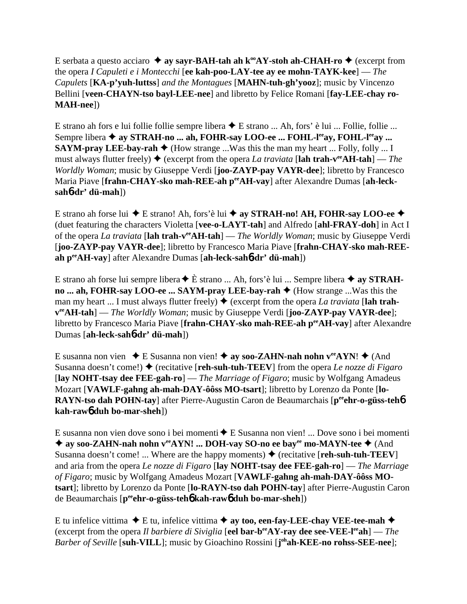E serbata a questo acciaro  $\triangle$  ay sayr-BAH-tah ah k<sup>oo</sup>AY-stoh ah-CHAH-ro  $\triangle$  (excerpt from the opera *I Capuleti e i Montecchi* [**ee kah-poo-LAY-tee ay ee mohn-TAYK-kee**] — *The Capulets* [**KA-p'yuh-luttss**] *and the Montagues* [**MAHN-tuh-gh'yooz**]; music by Vincenzo Bellini [**veen-CHAYN-tso bayl-LEE-nee**] and libretto by Felice Romani [**fay-LEE-chay ro-MAH-nee**])

E strano ah fors e lui follie follie sempre libera  $\blacklozenge$  E strano ... Ah, fors' è lui ... Follie, follie ... Sempre libera  $\triangleq$  ay STRAH-no ... ah, FOHR-say LOO-ee ... FOHL-leay, FOHL-leay ... **SAYM-pray LEE-bay-rah**  $\blacklozenge$  (How strange ...Was this the man my heart ... Folly, folly ... I must always flutter freely)  $\blacklozenge$  (excerpt from the opera *La traviata* [lah trah-v<sup>ee</sup>AH-tah] — *The Worldly Woman*; music by Giuseppe Verdi [**joo-ZAYP-pay VAYR-dee**]; libretto by Francesco Maria Piave [frahn-CHAY-sko mah-REE-ah perAH-vay] after Alexandre Dumas [ah-leck**sah**6**-dr' dü-mah**])

E strano ah forse lui  $\blacklozenge$  E strano! Ah, fors'è lui  $\blacklozenge$  ay STRAH-no! AH, FOHR-say LOO-ee  $\blacklozenge$ (duet featuring the characters Violetta [**vee-o-LAYT-tah**] and Alfredo [**ahl-FRAY-doh**] in Act I of the opera *La traviata* [**lah trah-veeAH-tah**] — *The Worldly Woman*; music by Giuseppe Verdi [**joo-ZAYP-pay VAYR-dee**]; libretto by Francesco Maria Piave [**frahn-CHAY-sko mah-REEah peeAH-vay**] after Alexandre Dumas [**ah-leck-sah**6**-dr' dü-mah**])

E strano ah forse lui sempre libera  $\triangle$  È strano ... Ah, fors'è lui ... Sempre libera  $\triangle$  ay STRAH**no ... ah, FOHR-say LOO-ee ... SAYM-pray LEE-bay-rah ♦** (How strange ...Was this the man my heart ... I must always flutter freely)  $\blacklozenge$  (excerpt from the opera *La traviata* [**lah trahveeAH-tah**] — *The Worldly Woman*; music by Giuseppe Verdi [**joo-ZAYP-pay VAYR-dee**]; libretto by Francesco Maria Piave [**frahn-CHAY-sko mah-REE-ah peeAH-vay**] after Alexandre Dumas [**ah-leck-sah**6**-dr' dü-mah**])

E susanna non vien  $\bullet$  E Susanna non vien!  $\bullet$  ay soo-ZAHN-nah nohn v<sup>ee</sup>AYN!  $\bullet$  (And Susanna doesn't come!) ◆ (recitative [**reh-suh-tuh-TEEV**] from the opera *Le nozze di Figaro* [**lay NOHT-tsay dee FEE-gah-ro**] — *The Marriage of Figaro*; music by Wolfgang Amadeus Mozart [**VAWLF-gahng ah-mah-DAY-ôôss MO-tsart**]; libretto by Lorenzo da Ponte [**lo-RAYN-tso dah POHN-tay**] after Pierre-Augustin Caron de Beaumarchais [p<sup>ee</sup>ehr-o-güss-teh**6 kah-raw**6 **duh bo-mar-sheh**])

E susanna non vien dove sono i bei momenti  $\bigstar$  E Susanna non vien! ... Dove sono i bei momenti ◆ ay soo-ZAHN-nah nohn v<sup>ee</sup>AYN! ... DOH-vay SO-no ee bay<sup>ee</sup> mo-MAYN-tee ◆ (And Susanna doesn't come! ... Where are the happy moments)  $\triangle$  (recitative [**reh-suh-tuh-TEEV**] and aria from the opera *Le nozze di Figaro* [**lay NOHT-tsay dee FEE-gah-ro**] — *The Marriage of Figaro*; music by Wolfgang Amadeus Mozart [**VAWLF-gahng ah-mah-DAY-ôôss MOtsart**]; libretto by Lorenzo da Ponte [**lo-RAYN-tso dah POHN-tay**] after Pierre-Augustin Caron de Beaumarchais [**peeehr-o-güss-teh**6 **kah-raw**6 **duh bo-mar-sheh**])

E tu infelice vittima  $\blacklozenge$  E tu, infelice vittima  $\blacklozenge$  ay too, een-fay-LEE-chay VEE-tee-mah  $\blacklozenge$ (excerpt from the opera *Il barbiere di Siviglia* [**eel bar-beeAY-ray dee see-VEE-leeah**] — *The Barber of Seville* [**suh-VILL**]; music by Gioachino Rossini [**j ohah-KEE-no rohss-SEE-nee**];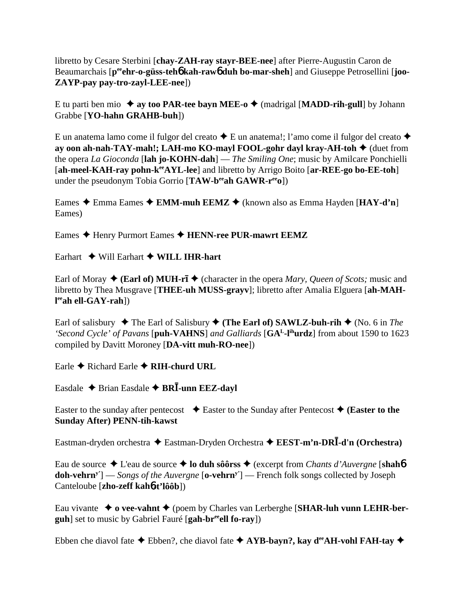libretto by Cesare Sterbini [**chay-ZAH-ray stayr-BEE-nee**] after Pierre-Augustin Caron de Beaumarchais [p<sup>ee</sup>ehr-o-güss-teh**6** kah-raw**6** duh bo-mar-sheh] and Giuseppe Petrosellini [joo-**ZAYP-pay pay-tro-zayl-LEE-nee**])

E tu parti ben mio  $\triangle$  ay too PAR-tee bayn MEE-o  $\triangle$  (madrigal [MADD-rih-gull] by Johann Grabbe [**YO-hahn GRAHB-buh**])

E un anatema lamo come il fulgor del creato  $\triangle$  E un anatema!; l'amo come il fulgor del creato  $\triangle$ **ay oon ah-nah-TAY-mah!; LAH-mo KO-mayl FOOL-gohr dayl kray-AH-toh ♦** (duet from the opera *La Gioconda* [**lah jo-KOHN-dah**] — *The Smiling One*; music by Amilcare Ponchielli [ah-meel-KAH-ray pohn-k<sup>ee</sup>AYL-lee] and libretto by Arrigo Boito [ar-REE-go bo-EE-toh] under the pseudonym Tobia Gorrio [**TAW-b<sup>ee</sup>ah GAWR-r<sup>ee</sup>o**])

Eames Emma Eames **EMM-muh EEMZ** (known also as Emma Hayden [**HAY-d'n**] Eames)

Eames Henry Purmort Eames **HENN-ree PUR-mawrt EEMZ**

Earhart Will Earhart **WILL IHR-hart**

Earl of Moray  $\triangleleft$  (**Earl of) MUH-rī**  $\triangleleft$  (character in the opera *Mary, Queen of Scots;* music and libretto by Thea Musgrave [**THEE-uh MUSS-grayv**]; libretto after Amalia Elguera [**ah-MAHl eeah ell-GAY-rah**])

Earl of salisbury  $\blacklozenge$  The Earl of Salisbury  $\blacklozenge$  (The Earl of) SAWLZ-buh-rih  $\blacklozenge$  (No. 6 in *The 'Second Cycle' of Pavans* [**puh-VAHNS**] *and Galliards* [**GAL-lihurdz**] from about 1590 to 1623 compiled by Davitt Moroney [**DA-vitt muh-RO-nee**])

Earle Richard Earle **RIH-churd URL**

Easdale  $\triangle$  Brian Easdale  $\triangle$  BR**I**-unn EEZ-dayl

Easter to the sunday after pentecost  $\bullet$  Easter to the Sunday after Pentecost  $\bullet$  (**Easter to the Sunday After) PENN-tih-kawst**

Eastman-dryden orchestra Eastman-Dryden Orchestra **EEST-m'n-DR-d'n (Orchestra)**

Eau de source L'eau de source **lo duh sôôrss** (excerpt from *Chants d'Auvergne* [**shah**6 **doh-vehrny'**] — *Songs of the Auvergne* [**o-vehrny'**] — French folk songs collected by Joseph Canteloube [**zho-zeff kah**6**-t'lôôb**])

Eau vivante **o vee-vahnt** (poem by Charles van Lerberghe [**SHAR-luh vunn LEHR-berguh**] set to music by Gabriel Fauré [**gah-breeell fo-ray**])

Ebben che diavol fate  $\triangle$  Ebben?, che diavol fate  $\triangle$  AYB-bayn?, kay d<sup>ee</sup>AH-vohl FAH-tay  $\triangle$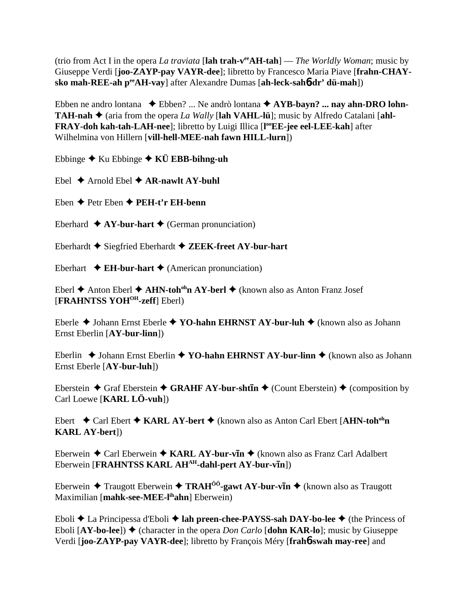(trio from Act I in the opera *La traviata* [**lah trah-veeAH-tah**] — *The Worldly Woman*; music by Giuseppe Verdi [**joo-ZAYP-pay VAYR-dee**]; libretto by Francesco Maria Piave [**frahn-CHAYsko mah-REE-ah peeAH-vay**] after Alexandre Dumas [**ah-leck-sah**6**-dr' dü-mah**])

Ebben ne andro lontana ◆ Ebben? ... Ne andrò lontana ◆ AYB-bayn? ... nay ahn-DRO lohn-**TAH-nah**  $\blacklozenge$  (aria from the opera *La Wally* [lah VAHL-lü]; music by Alfredo Catalani [ahl-**FRAY-doh kah-tah-LAH-nee**]; libretto by Luigi Illica [**l ooEE-jee eel-LEE-kah**] after Wilhelmina von Hillern [**vill-hell-MEE-nah fawn HILL-lurn**])

Ebbinge Ku Ebbinge **KÜ EBB-bihng-uh**

Ebel  $\triangle$  Arnold Ebel  $\triangle$  AR-nawlt AY-buhl

Eben **← Petr Eben ← PEH-t'r EH-benn** 

Eberhard  $\triangle$  AY-bur-hart  $\triangle$  (German pronunciation)

Eberhardt Siegfried Eberhardt **ZEEK-freet AY-bur-hart**

Eberhart  $\triangle$  **EH-bur-hart**  $\triangle$  (American pronunciation)

Eberl **◆** Anton Eberl ◆ **AHN-toh<sup>oh</sup>n AY-berl ◆** (known also as Anton Franz Josef [**FRAHNTSS YOHOH-zeff**] Eberl)

Eberle ◆ Johann Ernst Eberle ◆ YO-hahn EHRNST AY-bur-luh ◆ (known also as Johann Ernst Eberlin [**AY-bur-linn**])

Eberlin ◆ Johann Ernst Eberlin ◆ YO-hahn EHRNST AY-bur-linn ◆ (known also as Johann Ernst Eberle [**AY-bur-luh**])

Eberstein  $\triangle$  Graf Eberstein  $\triangle$  GRAHF AY-bur-sht**In**  $\triangle$  (Count Eberstein)  $\triangle$  (composition by Carl Loewe [**KARL LÖ-vuh**])

Ebert Carl Ebert **KARL AY-bert** (known also as Anton Carl Ebert [**AHN-tohohn KARL AY-bert**])

Eberwein ◆ Carl Eberwein ◆ KARL AY-bur-vIn ◆ (known also as Franz Carl Adalbert Eberwein [FRAHNTSS KARL AH<sup>AH</sup>-dahl-pert AY-bur-vIn])

Eberwein ♦ Traugott Eberwein ♦ TRAH<sup>ôô</sup>-gawt AY-bur-vīn ♦ (known also as Traugott Maximilian [mahk-see-MEE-l<sup>ih</sup>ahn] Eberwein)

Eboli **→** La Principessa d'Eboli → lah preen-chee-PAYSS-sah DAY-bo-lee → (the Princess of Eboli  $[AY-bo-lee]$ )  $\blacklozenge$  (character in the opera *Don Carlo*  $[John KAR-lo]$ ; music by Giuseppe Verdi [**joo-ZAYP-pay VAYR-dee**]; libretto by François Méry [**frah**6**-swah may-ree**] and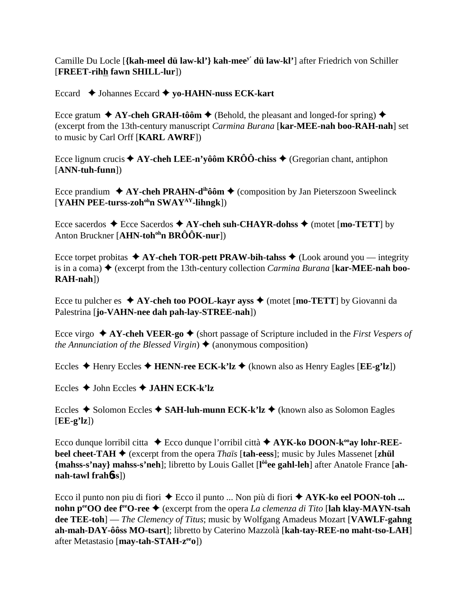## Camille Du Locle [{kah-meel dü law-kl'} kah-mee<sup>y'</sup> dü law-kl'] after Friedrich von Schiller [FREET-rihh fawn SHILL-lur])

### Eccard  $\triangle$  Johannes Eccard  $\triangle$  yo-HAHN-nuss ECK-kart

Ecce gratum  $\triangle$  AY-cheh GRAH-tôôm  $\triangle$  (Behold, the pleasant and longed-for spring)  $\triangle$ (excerpt from the 13th-century manuscript *Carmina Burana* [kar-MEE-nah boo-RAH-nah] set to music by Carl Orff [KARL AWRF])

Ecce lignum crucis  $\blacklozenge$  AY-cheh LEE-n'yôôm KRÔÔ-chiss  $\blacklozenge$  (Gregorian chant, antiphon  $[ANN-tuh-funn]$ 

Ecce prandium  $\triangle$  AY-cheh PRAHN-d<sup>ih</sup>ôôm  $\triangle$  (composition by Jan Pieterszoon Sweelinck [YAHN PEE-turss-zoh<sup>oh</sup>n SWAY<sup>AY</sup>-lihngk])

Ecce sacerdos  $\triangle$  Ecce Sacerdos  $\triangle$  AY-cheh suh-CHAYR-dohss  $\triangle$  (motet [mo-TETT] by Anton Bruckner [AHN-toh<sup>oh</sup>n BRÔÔK-nur])

Ecce torpet probitas  $\triangle A$ Y-cheh TOR-pett PRAW-bih-tahss  $\triangle$  (Look around you — integrity is in a coma)  $\blacklozenge$  (excerpt from the 13th-century collection *Carmina Burana* [**kar-MEE-nah boo-** $RAH-nah$ ]

Ecce tu pulcher es  $\triangle$  AY-cheh too POOL-kayr ayss  $\triangle$  (motet [mo-TETT] by Giovanni da Palestrina [jo-VAHN-nee dah pah-lay-STREE-nah])

Ecce virgo  $\triangle$  AY-cheh VEER-go  $\triangle$  (short passage of Scripture included in the First Vespers of the Annunciation of the Blessed Virgin)  $\triangle$  (anonymous composition)

Eccles  $\triangle$  Henry Eccles  $\triangle$  HENN-ree ECK-k'lz  $\triangle$  (known also as Henry Eagles [EE-g'lz])

Eccles  $\triangle$  John Eccles  $\triangle$  JAHN ECK-k'lz

Eccles  $\triangle$  Solomon Eccles  $\triangle$  SAH-luh-munn ECK-k'lz  $\triangle$  (known also as Solomon Eagles  $[EE-g'1z]$ 

Ecco dunque lorribil citta  $\rightarrow$  Ecco dunque l'orribil città  $\rightarrow$  AYK-ko DOON-k<sup>oo</sup>ay lohr-REE**beel cheet-TAH**  $\blacklozenge$  (excerpt from the opera *Thaïs* [tah-eess]; music by Jules Massenet [zhül] {mahss-s'nay} mahss-s'neh]; libretto by Louis Gallet [l<sup>ôô</sup>ee gahl-leh] after Anatole France [ahnah-tawl frahbss])

Ecco il punto non piu di fiori  $\triangle$  Ecco il punto ... Non più di fiori  $\triangle$  AYK-ko eel POON-toh ... nohn p<sup>ec</sup>OO dee f<sup>ec</sup>O-ree  $\triangle$  (excerpt from the opera *La clemenza di Tito* [lah klay-MAYN-tsah] dee TEE-toh] — The Clemency of Titus; music by Wolfgang Amadeus Mozart [VAWLF-gahng] ah-mah-DAY-ôôss MO-tsart]; libretto by Caterino Mazzolà [kah-tay-REE-no maht-tso-LAH] after Metastasio [may-tah-STAH-z<sup>ee</sup>o])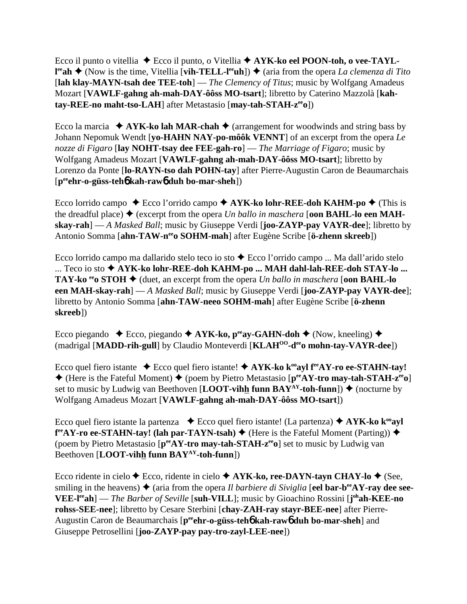Ecco il punto o vitellia ◆ Ecco il punto, o Vitellia ◆ AYK-ko eel POON-toh, o vee-TAYL**l<sup>ee</sup>ah ◆** (Now is the time, Vitellia [**vih-TELL-l<sup>ee</sup>uh**]) ◆ (aria from the opera *La clemenza di Tito* [**lah klay-MAYN-tsah dee TEE-toh**] — *The Clemency of Titus*; music by Wolfgang Amadeus Mozart [**VAWLF-gahng ah-mah-DAY-ôôss MO-tsart**]; libretto by Caterino Mazzolà [**kahtay-REE-no maht-tso-LAH**] after Metastasio [**may-tah-STAH-zeeo**])

Ecco la marcia  $\triangle$  AYK-ko lah MAR-chah  $\triangle$  (arrangement for woodwinds and string bass by Johann Nepomuk Wendt [**yo-HAHN NAY-po-môôk VENNT**] of an excerpt from the opera *Le nozze di Figaro* [**lay NOHT-tsay dee FEE-gah-ro**] — *The Marriage of Figaro*; music by Wolfgang Amadeus Mozart [**VAWLF-gahng ah-mah-DAY-ôôss MO-tsart**]; libretto by Lorenzo da Ponte [**lo-RAYN-tso dah POHN-tay**] after Pierre-Augustin Caron de Beaumarchais [**peeehr-o-güss-teh**6 **kah-raw**6 **duh bo-mar-sheh**])

Ecco lorrido campo  $\triangle$  Ecco l'orrido campo  $\triangle$  AYK-ko lohr-REE-doh KAHM-po  $\triangle$  (This is the dreadful place)  $\blacklozenge$  (excerpt from the opera *Un ballo in maschera* [**oon BAHL-lo een MAHskay-rah**] — *A Masked Ball*; music by Giuseppe Verdi [**joo-ZAYP-pay VAYR-dee**]; libretto by Antonio Somma [**ahn-TAW-neeo SOHM-mah**] after Eugène Scribe [**ö-zhenn skreeb**])

Ecco lorrido campo ma dallarido stelo teco io sto  $\triangle$  Ecco l'orrido campo ... Ma dall'arido stelo ... Teco io sto **→ AYK-ko lohr-REE-doh KAHM-po ... MAH dahl-lah-REE-doh STAY-lo ... TAY-ko**  $e^{i\theta}$ **o STOH**  $\blacklozenge$  (duet, an excerpt from the opera *Un ballo in maschera* [**oon BAHL-lo een MAH-skay-rah**] — *A Masked Ball*; music by Giuseppe Verdi [**joo-ZAYP-pay VAYR-dee**]; libretto by Antonio Somma [**ahn-TAW-neeo SOHM-mah**] after Eugène Scribe [**ö-zhenn skreeb**])

Ecco piegando  $\bullet$  Ecco, piegando  $\bullet$  AYK-ko, p<sup>ee</sup>ay-GAHN-doh  $\bullet$  (Now, kneeling)  $\bullet$ (madrigal [**MADD-rih-gull**] by Claudio Monteverdi [**KLAHOO-deeo mohn-tay-VAYR-dee**])

Ecco quel fiero istante  $\triangle$  Ecco quel fiero istante!  $\triangle$  AYK-ko k<sup>oo</sup>ayl f<sup>ee</sup>AY-ro ee-STAHN-tay!  $\triangle$  (Here is the Fateful Moment)  $\triangle$  (poem by Pietro Metastasio [ $p^{ee}AY$ -tro may-tah-STAH-z<sup>ee</sup>o] set to music by Ludwig van Beethoven [**LOOT-vihh funn BAY**<sup>AY</sup>-toh-funn])  $\blacklozenge$  (nocturne by Wolfgang Amadeus Mozart [**VAWLF-gahng ah-mah-DAY-ôôss MO-tsart**])

Ecco quel fiero istante la partenza  $\bullet$  Ecco quel fiero istante! (La partenza)  $\bullet$  AYK-ko k<sup>oo</sup>ayl **f**<sup>re</sup>AY-ro ee-STAHN-tay! (lah par-TAYN-tsah) ♦ (Here is the Fateful Moment (Parting)) ♦ (poem by Pietro Metastasio [**peeAY-tro may-tah-STAH-zeeo**] set to music by Ludwig van Beethoven [**LOOT-vihh funn BAY<sup>AY</sup>-toh-funn**])

Ecco ridente in cielo **←** Ecco, ridente in cielo **← AYK-ko, ree-DAYN-tayn CHAY-lo ←** (See, smiling in the heavens)  $\blacklozenge$  (aria from the opera *Il barbiere di Siviglia* [eel **bar-b<sup>ee</sup>AY-ray dee see-VEE-leeah**] — *The Barber of Seville* [**suh-VILL**]; music by Gioachino Rossini [**j ohah-KEE-no rohss-SEE-nee**]; libretto by Cesare Sterbini [**chay-ZAH-ray stayr-BEE-nee**] after Pierre-Augustin Caron de Beaumarchais [p<sup>ee</sup>ehr-o-güss-teh**o** kah-rawo duh bo-mar-sheh] and Giuseppe Petrosellini [**joo-ZAYP-pay pay-tro-zayl-LEE-nee**])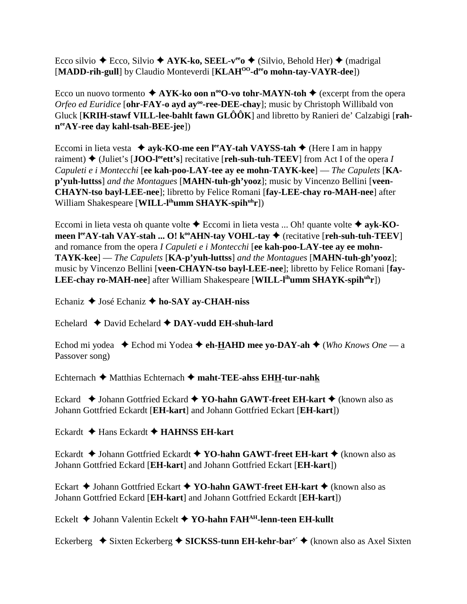Ecco silvio ◆ Ecco, Silvio ◆ **AYK-ko, SEEL-v<sup>ee</sup>o ◆** (Silvio, Behold Her) ◆ (madrigal [MADD-rih-gull] by Claudio Monteverdi [KLAH<sup>OO</sup>-d<sup>ee</sup>o mohn-tay-VAYR-dee])

Ecco un nuovo tormento  $\triangle$  AYK-ko oon n<sup>oo</sup>O-vo tohr-MAYN-toh  $\triangle$  (excerpt from the opera *Orfeo ed Euridice* [ohr-FAY-o ayd ay<sup>oo</sup>-ree-DEE-chay]; music by Christoph Willibald von Gluck [**KRIH-stawf VILL-lee-bahlt fawn GLÔÔK**] and libretto by Ranieri de' Calzabigi [**rahneeAY-ree day kahl-tsah-BEE-jee**])

Eccomi in lieta vesta  $\triangleq$  ayk-KO-me een l<sup>ee</sup>AY-tah VAYSS-tah  $\triangleq$  (Here I am in happy raiment)  $\blacklozenge$  (Juliet's [JOO-l<sup>ee</sup>ett's] recitative [reh-suh-tuh-TEEV] from Act I of the opera *I Capuleti e i Montecchi* [**ee kah-poo-LAY-tee ay ee mohn-TAYK-kee**] — *The Capulets* [**KAp'yuh-luttss**] *and the Montagues* [**MAHN-tuh-gh'yooz**]; music by Vincenzo Bellini [**veen-CHAYN-tso bayl-LEE-nee**]; libretto by Felice Romani [**fay-LEE-chay ro-MAH-nee**] after William Shakespeare [**WILL-l<sup>ih</sup>umm SHAYK-spih<sup>uh</sup>r**])

Eccomi in lieta vesta oh quante volte **→** Eccomi in lieta vesta ... Oh! quante volte ◆ ayk-KO**meen l<sup>ee</sup>AY-tah VAY-stah ... O! k<sup>oo</sup>AHN-tay VOHL-tay ♦** (recitative [**reh-suh-tuh-TEEV**] and romance from the opera *I Capuleti e i Montecchi* [**ee kah-poo-LAY-tee ay ee mohn-TAYK-kee**] — *The Capulets* [**KA-p'yuh-luttss**] *and the Montagues* [**MAHN-tuh-gh'yooz**]; music by Vincenzo Bellini [**veen-CHAYN-tso bayl-LEE-nee**]; libretto by Felice Romani [**fay-LEE-chay ro-MAH-nee**] after William Shakespeare [WILL-l<sup>ih</sup>umm SHAYK-spih<sup>uh</sup>r])

Echaniz ◆ José Echaniz ◆ ho-SAY av-CHAH-niss

Echelard David Echelard **DAY-vudd EH-shuh-lard**

Echod mi yodea ◆ Echod mi Yodea ◆ e**h-HAHD mee yo-DAY-ah ◆** (*Who Knows One* — a Passover song)

Echternach Matthias Echternach **maht-TEE-ahss EHH-tur-nahk**

Eckard ◆ Johann Gottfried Eckard ◆ YO-hahn GAWT-freet EH-kart ◆ (known also as Johann Gottfried Eckardt [**EH-kart**] and Johann Gottfried Eckart [**EH-kart**])

Eckardt Hans Eckardt **HAHNSS EH-kart**

Eckardt **→** Johann Gottfried Eckardt **→ YO-hahn GAWT-freet EH-kart →** (known also as Johann Gottfried Eckard [**EH-kart**] and Johann Gottfried Eckart [**EH-kart**])

Eckart **→** Johann Gottfried Eckart **→ YO-hahn GAWT-freet EH-kart →** (known also as Johann Gottfried Eckard [**EH-kart**] and Johann Gottfried Eckardt [**EH-kart**])

Eckelt **→** Johann Valentin Eckelt → YO-hahn FAH<sup>AH</sup>-lenn-teen EH-kullt

Eckerberg  $\triangle$  Sixten Eckerberg  $\triangle$  SICKSS-tunn EH-kehr-bar<sup>y'</sup>  $\triangle$  (known also as Axel Sixten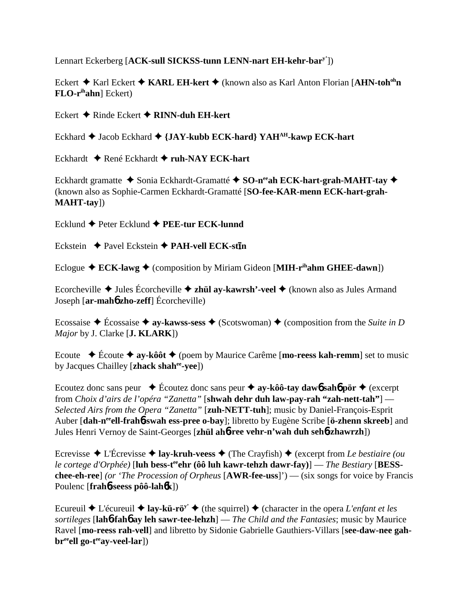Lennart Eckerberg [**ACK-sull SICKSS-tunn LENN-nart EH-kehr-bary'**])

Eckert **→** Karl Eckert **→ KARL EH-kert** → (known also as Karl Anton Florian [AHN-toh<sup>oh</sup>n **FLO-rihahn**] Eckert)

Eckert Rinde Eckert **RINN-duh EH-kert**

Eckhard ◆ Jacob Eckhard ◆ {JAY-kubb ECK-hard} YAH<sup>AH</sup>-kawp ECK-hart

Eckhardt **→** René Eckhardt ◆ ruh-NAY ECK-hart

Eckhardt gramatte ◆ Sonia Eckhardt-Gramatté ◆ SO-neeah ECK-hart-grah-MAHT-tav ◆ (known also as Sophie-Carmen Eckhardt-Gramatté [**SO-fee-KAR-menn ECK-hart-grah-MAHT-tay**])

Ecklund ◆ Peter Ecklund ◆ PEE-tur ECK-lunnd

Eckstein  $\triangle$  Pavel Eckstein  $\triangle$  PAH-vell ECK-st**in** 

Eclogue  $\triangle$  **ECK-lawg**  $\triangle$  (composition by Miriam Gideon [MIH-r<sup>ih</sup>ahm GHEE-dawn])

Ecorcheville Jules Écorcheville **zhül ay-kawrsh'-veel** (known also as Jules Armand Joseph [**ar-mah**6 **zho-zeff**] Écorcheville)

Ecossaise  $\triangle$  Écossaise  $\triangle$  ay-kawss-sess  $\triangle$  (Scotswoman)  $\triangle$  (composition from the *Suite in D Major* by J. Clarke [**J. KLARK**])

Ecoute Écoute **ay-kôôt** (poem by Maurice Carême [**mo-reess kah-remm**] set to music by Jacques Chailley [**zhack shahee-yee**])

Ecoutez donc sans peur  $\blacklozenge$  Écoutez donc sans peur  $\blacklozenge$  ay-kôô-tay dawb sahb pör  $\blacklozenge$  (excerpt from *Choix d'airs de l'opéra "Zanetta"* [**shwah dehr duh law-pay-rah "zah-nett-tah"**] — *Selected Airs from the Opera "Zanetta"* [**zuh-NETT-tuh**]; music by Daniel-François-Esprit Auber [dah-n<sup>ee</sup>ell-frah**6**-swah ess-pree o-bay]; libretto by Eugène Scribe [ö-zhenn skreeb] and Jules Henri Vernoy de Saint-Georges [**zhül ah**6**-ree vehr-n'wah duh seh**6**-zhawrzh**])

Ecrevisse  $\triangle$  L'Écrevisse  $\triangle$  **lay-kruh-veess**  $\triangle$  (The Crayfish)  $\triangle$  (excerpt from *Le bestiaire (ou le cortege d'Orphée*) [luh bess-t<sup>ee</sup>ehr (ôô luh kawr-tehzh dawr-fay)] — *The Bestiary* [BESS**chee-eh-ree**] *(or 'The Procession of Orpheus* [**AWR-fee-uss**]') — (six songs for voice by Francis Poulenc [**frah**6**-seess pôô-lah**6**k**])

Ecureuil  $\triangle$  L'écureuil  $\triangle$  **lay-kü-rö<sup>y'</sup>**  $\triangle$  (the squirrel)  $\triangle$  (character in the opera *L'enfant et les sortileges* [**lah**6**-fah**6 **ay leh sawr-tee-lehzh**] — *The Child and the Fantasies*; music by Maurice Ravel [**mo-reess rah-vell**] and libretto by Sidonie Gabrielle Gauthiers-Villars [**see-daw-nee gah**br<sup>ee</sup>ell go-t<sup>ee</sup>ay-veel-lar])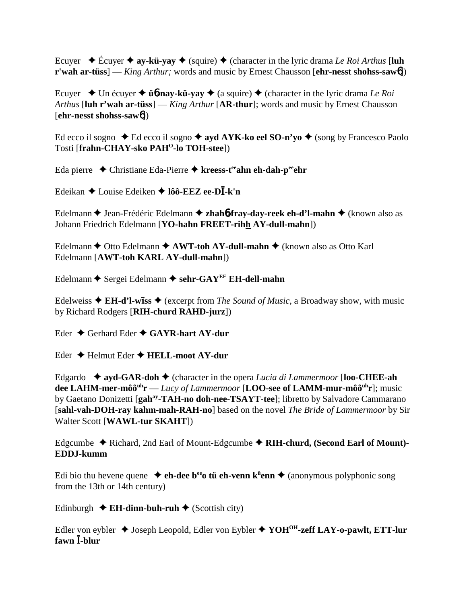Ecuyer  $\triangle$  Écuyer  $\triangle$  ay-kü-yay  $\triangle$  (squire)  $\triangle$  (character in the lyric drama *Le Roi Arthus* [luh **r'wah ar-tüss**] — *King Arthur;* words and music by Ernest Chausson [**ehr-nesst shohss-saw**6])

Ecuyer  $\triangle$  Un écuyer  $\triangle$  **ü<sub>0</sub>**-nay-kü-yay  $\triangle$  (a squire)  $\triangle$  (character in the lyric drama *Le Roi Arthus* [**luh r'wah ar-tüss**] — *King Arthur* [**AR-thur**]; words and music by Ernest Chausson [**ehr-nesst shohss-saw**6])

Ed ecco il sogno  $\triangle$  Ed ecco il sogno  $\triangle$  ayd AYK-ko eel SO-n'yo  $\triangle$  (song by Francesco Paolo Tosti [frahn-CHAY-sko PAH<sup>O</sup>-lo TOH-stee])

Eda pierre Christiane Eda-Pierre **kreess-teeahn eh-dah-peeehr**

Edeikan Louise Edeiken **lôô-EEZ ee-D-k'n**

Edelmann ♦ Jean-Frédéric Edelmann ♦ zhah**6-fray-day-reek eh-d'l-mahn** ♦ (known also as Johann Friedrich Edelmann [**YO-hahn FREET-rihh AY-dull-mahn**])

Edelmann  $\triangle$  Otto Edelmann  $\triangle$  AWT-toh AY-dull-mahn  $\triangle$  (known also as Otto Karl Edelmann [**AWT-toh KARL AY-dull-mahn**])

Edelmann ◆ Sergei Edelmann ◆ sehr-GAY<sup>EE</sup> EH-dell-mahn

Edelweiss ◆ EH-d'l-will-ss ◆ (excerpt from *The Sound of Music*, a Broadway show, with music by Richard Rodgers [**RIH-churd RAHD-jurz**])

Eder Gerhard Eder **GAYR-hart AY-dur**

Eder Helmut Eder **HELL-moot AY-dur**

Edgardo **ayd-GAR-doh** (character in the opera *Lucia di Lammermoor* [**loo-CHEE-ah dee LAHM-mer-môôuhr** — *Lucy of Lammermoor* [**LOO-see of LAMM-mur-môôuhr**]; music by Gaetano Donizetti [**gahay-TAH-no doh-nee-TSAYT-tee**]; libretto by Salvadore Cammarano [**sahl-vah-DOH-ray kahm-mah-RAH-no**] based on the novel *The Bride of Lammermoor* by Sir Walter Scott [**WAWL-tur SKAHT**])

Edgcumbe Richard, 2nd Earl of Mount-Edgcumbe **RIH-churd, (Second Earl of Mount)- EDDJ-kumm**

Edi bio thu hevene quene **→ eh-dee b<sup>ee</sup>o tü eh-venn k<sup>ü</sup>enn ◆** (anonymous polyphonic song from the 13th or 14th century)

Edinburgh  $\triangle$  **EH-dinn-buh-ruh**  $\triangle$  (Scottish city)

Edler von eybler Joseph Leopold, Edler von Eybler **YOHOH-zeff LAY-o-pawlt, ETT-lur fawn -blur**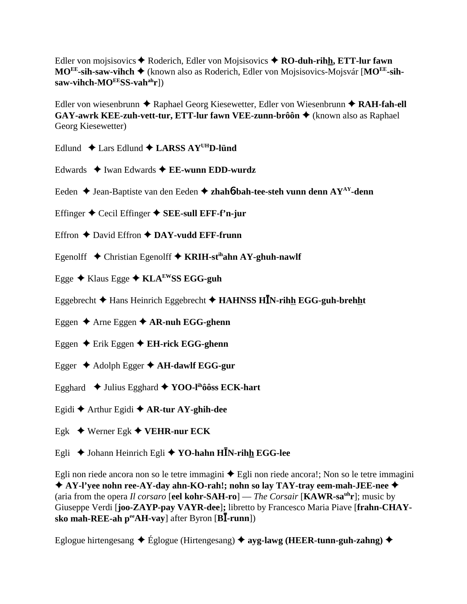Edler von mojsisovics **→** Roderich, Edler von Mojsisovics → **RO-duh-rihh, ETT-lur fawn MOEE-sih-saw-vihch** (known also as Roderich, Edler von Mojsisovics-Mojsvár [**MOEE-sihsaw-vihch-MOEESS-vahahr**])

Edler von wiesenbrunn ◆ Raphael Georg Kiesewetter, Edler von Wiesenbrunn ◆ RAH-fah-ell **GAY-awrk KEE-zuh-vett-tur, ETT-lur fawn VEE-zunn-brôôn ♦** (known also as Raphael Georg Kiesewetter)

- Edlund  $\triangle$  Lars Edlund  $\triangle$  LARSS AY<sup>UH</sup>D-lünd
- Edwards ◆ Iwan Edwards ◆ **EE-wunn EDD-wurdz**
- Eeden ◆ Jean-Baptiste van den Eeden ◆ zhah6**-bah-tee-steh vunn denn AY<sup>AY</sup>-denn**
- Effinger Cecil Effinger **SEE-sull EFF-f'n-jur**
- Effron **←** David Effron **← DAY-vudd EFF-frunn**
- Egenolff Christian Egenolff **KRIH-stihahn AY-ghuh-nawlf**
- Egge Klaus Egge **KLAEWSS EGG-guh**
- Eggebrecht Hans Heinrich Eggebrecht **HAHNSS HN-rihh EGG-guh-brehht**
- Eggen Arne Eggen **AR-nuh EGG-ghenn**
- Eggen Erik Eggen **EH-rick EGG-ghenn**
- Egger Adolph Egger **AH-dawlf EGG-gur**
- Egghard Julius Egghard **YOO-lihôôss ECK-hart**
- Egidi Arthur Egidi **AR-tur AY-ghih-dee**
- Egk  $\rightarrow$  Werner Egk  $\rightarrow$  **VEHR-nur ECK**
- Egli ♦ Johann Heinrich Egli ♦ YO-hahn H**I**N-rihh EGG-lee

Egli non riede ancora non so le tetre immagini  $\triangle$  Egli non riede ancora!; Non so le tetre immagini **AY-l'yee nohn ree-AY-day ahn-KO-rah!; nohn so lay TAY-tray eem-mah-JEE-nee** (aria from the opera *Il corsaro* [**eel kohr-SAH-ro**] — *The Corsair* [**KAWR-sauhr**]; music by Giuseppe Verdi [**joo-ZAYP-pay VAYR-dee**]**;** libretto by Francesco Maria Piave [**frahn-CHAYsko mah-REE-ah p<sup>ee</sup>AH-vay**] after Byron [**BI-runn**])

Eglogue hirtengesang Églogue (Hirtengesang) **ayg-lawg (HEER-tunn-guh-zahng)**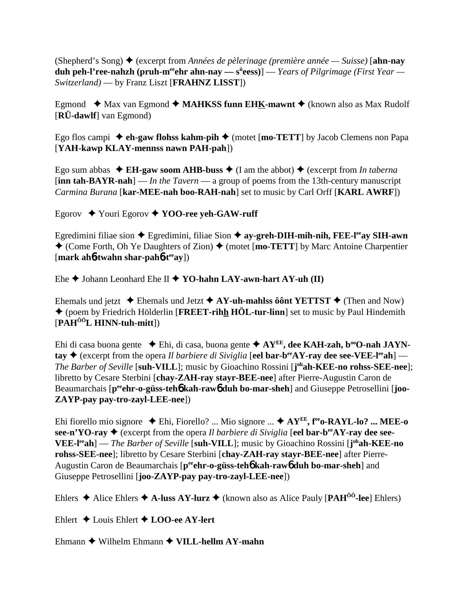(Shepherd's Song) (excerpt from *Années de pèlerinage (première année — Suisse)* [**ahn-nay duh peh-l'ree-nahzh (pruh-m<sup>ee</sup>ehr ahn-nay — s<sup>ü</sup>eess)] —** *Years of Pilgrimage (First Year* **—** *Switzerland)* — by Franz Liszt [**FRAHNZ LISST**])

Egmond  $\triangleleft$  Max van Egmond  $\triangleleft$  **MAHKSS funn EHK-mawnt**  $\triangleleft$  (known also as Max Rudolf [**RÜ-dawlf**] van Egmond)

Ego flos campi **eh-gaw flohss kahm-pih** (motet [**mo-TETT**] by Jacob Clemens non Papa [**YAH-kawp KLAY-mennss nawn PAH-pah**])

Ego sum abbas  $\triangleleft$  **EH-gaw soom AHB-buss**  $\triangleleft$  (I am the abbot)  $\triangleleft$  (excerpt from *In taberna* [**inn tah-BAYR-nah**] — *In the Tavern* — a group of poems from the 13th-century manuscript *Carmina Burana* [**kar-MEE-nah boo-RAH-nah**] set to music by Carl Orff [**KARL AWRF**])

Egorov Youri Egorov **YOO-ree yeh-GAW-ruff**

Egredimini filiae sion **→** Egredimini, filiae Sion → ay-greh-DIH-mih-nih, FEE-l<sup>ee</sup>ay SIH-awn  $\triangle$  (Come Forth, Oh Ye Daughters of Zion)  $\triangle$  (motet [**mo-TETT**] by Marc Antoine Charpentier [**mark ah**6**-twahn shar-pah**6**-teeay**])

Ehe  $\triangle$  Johann Leonhard Ehe II  $\triangle$  YO-hahn LAY-awn-hart AY-uh (II)

Ehemals und jetzt  $\triangle$  Ehemals und Jetzt  $\triangle$  AY-uh-mahlss ôônt YETTST  $\triangle$  (Then and Now) (poem by Friedrich Hölderlin [**FREET-rihh HÖL-tur-linn**] set to music by Paul Hindemith [**PAHÔÔL HINN-tuh-mitt**])

Ehi di casa buona gente ◆ Ehi, di casa, buona gente ◆ AY<sup>EE</sup>, dee KAH-zah, b<sup>oo</sup>O-nah JAYN**tay**  $\blacklozenge$  (excerpt from the opera *Il barbiere di Siviglia* [eel bar-b<sup>ee</sup>AY-ray dee see-VEE-l<sup>ee</sup>ah] — *The Barber of Seville* [**suh-VILL**]; music by Gioachino Rossini [**j ohah-KEE-no rohss-SEE-nee**]; libretto by Cesare Sterbini [**chay-ZAH-ray stayr-BEE-nee**] after Pierre-Augustin Caron de Beaumarchais  $[p^{ee}$ **chr-o-güss-teh<sup>6</sup> kah-raw<sup>6</sup> duh bo-mar-sheh**] and Giuseppe Petrosellini [**joo-ZAYP-pay pay-tro-zayl-LEE-nee**])

Ehi fiorello mio signore Ehi, Fiorello? ... Mio signore ... **AYEE, feeo-RAYL-lo? ... MEE-o** see-n'YO-ray  $\blacklozenge$  (excerpt from the opera *Il barbiere di Siviglia* [eel bar-b<sup>ee</sup>AY-ray dee see-**VEE-leeah**] — *The Barber of Seville* [**suh-VILL**]; music by Gioachino Rossini [**j ohah-KEE-no rohss-SEE-nee**]; libretto by Cesare Sterbini [**chay-ZAH-ray stayr-BEE-nee**] after Pierre-Augustin Caron de Beaumarchais [p<sup>ee</sup>ehr-o-güss-teh**6** kah-raw**6** duh bo-mar-sheh] and Giuseppe Petrosellini [**joo-ZAYP-pay pay-tro-zayl-LEE-nee**])

Ehlers  $\triangle$  Alice Ehlers  $\triangle$  A-luss AY-lurz  $\triangle$  (known also as Alice Pauly [PAH<sup>00</sup>-lee] Ehlers)

Ehlert Louis Ehlert **LOO-ee AY-lert**

Ehmann Wilhelm Ehmann **VILL-hellm AY-mahn**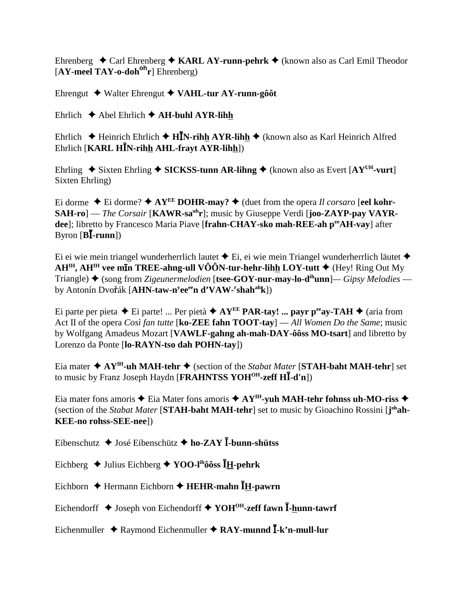Ehrenberg  $\triangle$  Carl Ehrenberg  $\triangle$  KARL AY-runn-pehrk  $\triangle$  (known also as Carl Emil Theodor [**AY-meel TAY-o-dohoh r**] Ehrenberg)

Ehrengut Walter Ehrengut **VAHL-tur AY-runn-gôôt**

Ehrlich  $\triangle$  Abel Ehrlich  $\triangle$  AH-buhl AYR-lihh

Ehrlich  $\blacklozenge$  Heinrich Ehrlich  $\blacklozenge$  **HIN-rihh AYR-lihh**  $\blacklozenge$  (known also as Karl Heinrich Alfred Ehrlich [**KARL HN-rihh AHL-frayt AYR-lihh**])

Ehrling  $\triangle$  Sixten Ehrling  $\triangle$  SICKSS-tunn AR-lihng  $\triangle$  (known also as Evert [AY<sup>UH</sup>-vurt] Sixten Ehrling)

Ei dorme  $\triangle$  Ei dorme?  $\triangle$  AY<sup>EE</sup> DOHR-may?  $\triangle$  (duet from the opera *Il corsaro* [eel kohr-**SAH-ro**] — *The Corsair* [**KAWR-sauhr**]; music by Giuseppe Verdi [**joo-ZAYP-pay VAYRdee**]; libretto by Francesco Maria Piave [**frahn-CHAY-sko mah-REE-ah p<sup>ee</sup>AH-vav**] after Byron  $[\mathbf{B}\bar{\mathbf{I}}\text{-}\mathbf{runn}]$ 

Ei ei wie mein triangel wunderherrlich lautet  $\triangle$  Ei, ei wie mein Triangel wunderherrlich läutet  $\triangle$ **AH<sup>IH</sup>, AH<sup>IH</sup> vee min TREE-ahng-ull VÔÔN-tur-hehr-lih<u>h</u> LOY-tutt ♦ (Hey! Ring Out My** Triangle) (song from *Zigeunermelodien* [**tsee-GOY-nur-may-lo-dihunn**]*— Gipsy Melodies* by Antonín Dvoák [**AHN-taw-ny eeeen d'VAW-r shahahk**])

Ei parte per pieta  $\triangle$  Ei parte! ... Per pietà  $\triangle$  AY<sup>EE</sup> PAR-tay! ... payr p<sup>ee</sup>ay-TAH  $\triangle$  (aria from Act II of the opera *Così fan tutte* [**ko-ZEE fahn TOOT-tay**] — *All Women Do the Same*; music by Wolfgang Amadeus Mozart [**VAWLF-gahng ah-mah-DAY-ôôss MO-tsart**] and libretto by Lorenzo da Ponte [**lo-RAYN-tso dah POHN-tay**])

Eia mater **AYIH-uh MAH-tehr** (section of the *Stabat Mater* [**STAH-baht MAH-tehr**] set to music by Franz Joseph Haydn [**FRAHNTSS YOHOH-zeff H-d'n**])

Eia mater fons amoris  $\triangle$  Eia Mater fons amoris  $\triangle$  AY<sup>IH</sup>-yuh MAH-tehr fohnss uh-MO-riss  $\triangle$ (section of the *Stabat Mater* [STAH-baht MAH-tehr] set to music by Gioachino Rossini [j<sup>oh</sup>ah-**KEE-no rohss-SEE-nee**])

Eibenschutz  $\triangleleft$  José Eibenschütz  $\triangleleft$  ho-ZAY **I**-bunn-shütss

Eichberg Julius Eichberg **YOO-lihôôss H-pehrk**

Eichborn Hermann Eichborn **HEHR-mahn H-pawrn**

Eichendorff **◆ Joseph von Eichendorff ◆ YOH<sup>OH</sup>-zeff fawn <sup>***I***</sup>-hunn-tawrf</sub>** 

Eichenmuller  $\rightarrow$  Raymond Eichenmuller  $\rightarrow$  RAY-munnd  $\overline{I}$ -k'n-mull-lur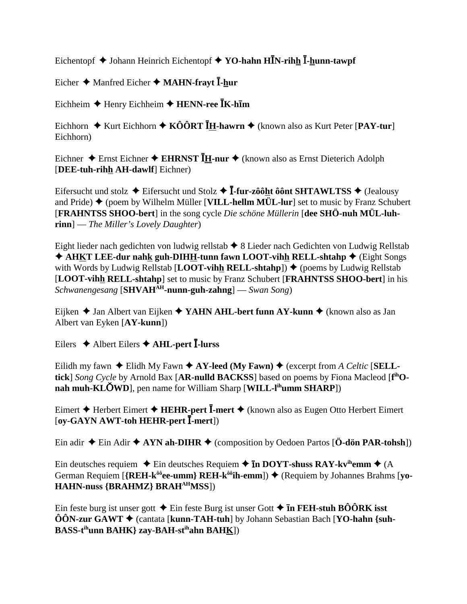Eichentopf  $\blacklozenge$  Johann Heinrich Eichentopf  $\blacklozenge$  **YO-hahn HI**N-rihh **I**-hunn-tawpf

Eicher  $\triangle$  Manfred Eicher  $\triangle$  **MAHN-frayt**  $\overline{\textbf{I}}$ **-hur** 

 $\text{Eichheim}$  **↑** Henry Eichheim ◆ HENN-ree **IK-him** 

Eichhorn  $\triangle$  Kurt Eichhorn  $\triangle$  KÔÔRT **IH-hawrn**  $\triangle$  (known also as Kurt Peter [PAY-tur] Eichhorn)

Eichner Ernst Eichner **EHRNST H-nur**  (known also as Ernst Dieterich Adolph [**DEE-tuh-rihh AH-dawlf**] Eichner)

Eifersucht und stolz  $\blacklozenge$  Eifersucht und Stolz  $\blacklozenge$  **I**-fur-zôôht ôônt SHTAWLTSS  $\blacklozenge$  (Jealousy and Pride)  $\triangle$  (poem by Wilhelm Müller [**VILL-hellm MÜL-lur**] set to music by Franz Schubert [**FRAHNTSS SHOO-bert**] in the song cycle *Die schöne Müllerin* [**dee SHÖ-nuh MÜL-luhrinn**] — *The Miller's Lovely Daughter*)

Eight lieder nach gedichten von ludwig rellstab  $\triangle$  8 Lieder nach Gedichten von Ludwig Rellstab ◆ AHKT LEE-dur nahk guh-DIHH-tunn fawn LOOT-vihh RELL-shtahp ◆ (Eight Songs) with Words by Ludwig Rellstab [LOOT-vihh RELL-shtahp])  $\blacklozenge$  (poems by Ludwig Rellstab [**LOOT-vihh RELL-shtahp**] set to music by Franz Schubert [**FRAHNTSS SHOO-bert**] in his *Schwanengesang* [**SHVAHAH-nunn-guh-zahng**] — *Swan Song*)

Eijken **→** Jan Albert van Eijken ◆ **YAHN AHL-bert funn AY-kunn ◆** (known also as Jan Albert van Eyken [**AY-kunn**])

Eilers Albert Eilers **AHL-pert -lurss**

Eilidh my fawn  $\triangle$  Elidh My Fawn  $\triangle$  AY-leed (My Fawn)  $\triangle$  (excerpt from *A Celtic* [SELL**tick**] *Song Cycle* by Arnold Bax [**AR-nulld BACKSS**] based on poems by Fiona Macleod [**f ihOnah muh-KLÕWD**], pen name for William Sharp [**WILL-l<sup>ih</sup>umm SHARP**])

Eimert Herbert Eimert **HEHR-pert -mert** (known also as Eugen Otto Herbert Eimert [**oy-GAYN AWT-toh HEHR-pert -mert**])

Ein adir  $\triangle$  Ein Adir  $\triangle$  AYN ah-DIHR  $\triangle$  (composition by Oedoen Partos [**Ö-dön PAR-tohsh**])

Ein deutsches requiem  $\triangle$  Ein deutsches Requiem  $\triangle$  **In DOYT-shuss RAY-kv<sup>ih</sup>emm**  $\triangle$  (A German Requiem [{REH-k<sup>ôô</sup>ee-umm} REH-k<sup>ôô</sup>ih-emm])  $\triangle$  (Requiem by Johannes Brahms [**vo**-**HAHN-nuss {BRAHMZ} BRAHAHMSS**])

Ein feste burg ist unser gott  $\triangle$  Ein feste Burg ist unser Gott  $\triangle$  **In FEH-stuh BÔÔRK isst ÔÔN-zur GAWT** (cantata [**kunn-TAH-tuh**] by Johann Sebastian Bach [**YO-hahn {suh-BASS-tihunn BAHK} zay-BAH-stihahn BAHK**])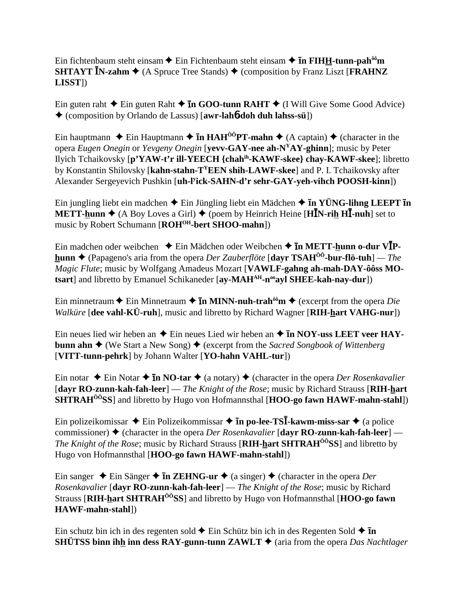Ein fichtenbaum steht einsam  $\blacklozenge$  Ein Fichtenbaum steht einsam  $\blacklozenge$  **In FIH<u>H</u>-tunn-pah<sup>ôô</sup>m SHTAYT N-zahm**  $\triangle$  (A Spruce Tree Stands)  $\triangle$  (composition by Franz Liszt [**FRAHNZ LISST**])

Ein guten raht  $\triangle$  Ein guten Raht  $\triangle$  **In GOO-tunn RAHT**  $\triangle$  (I Will Give Some Good Advice) (composition by Orlando de Lassus) [**awr-lah**6**-doh duh lahss-sü**])

Ein hauptmann  $\triangle$  Ein Hauptmann  $\triangle$  **In HAH<sup>ôÔ</sup>PT-mahn**  $\triangle$  (A captain)  $\triangle$  (character in the opera *Eugen Onegin* or *Yevgeny Onegin* [**yevv-GAY-nee ah-NYAY-ghinn**]; music by Peter Ilyich Tchaikovsky [**p'YAW-t'r ill-YEECH {chahih-KAWF-skee} chay-KAWF-skee**]; libretto by Konstantin Shilovsky [**kahn-stahn-TYEEN shih-LAWF-skee**] and P. I. Tchaikovsky after Alexander Sergeyevich Pushkin [**uh-ly ick-SAHN-d'r sehr-GAY-yeh-vihch POOSH-kinn**])

Ein jungling liebt ein madchen  $\blacklozenge$  Ein Jüngling liebt ein Mädchen  $\blacklozenge$  **In YÜNG-lihng LEEPT In METT-hunn**  $\triangle$  (A Boy Loves a Girl)  $\triangle$  (poem by Heinrich Heine [**HI**N-rih **HI**-nuh] set to music by Robert Schumann [ROH<sup>OH</sup>-bert SHOO-mahn])

Ein madchen oder weibchen  $\blacklozenge$  Ein Mädchen oder Weibchen  $\blacklozenge$  **In METT-hunn o-dur VIPhunn** (Papageno's aria from the opera *Der Zauberflöte* [**dayr TSAHÔÔ-bur-flö-tuh**] *— The Magic Flute*; music by Wolfgang Amadeus Mozart [**VAWLF-gahng ah-mah-DAY-ôôss MOtsart**] and libretto by Emanuel Schikaneder [**ay-MAH<sup>AH</sup>-n<sup>oo</sup>ayl SHEE-kah-nay-dur**])

Ein minnetraum  $\triangle$  Ein Minnetraum  $\triangle$  **In MINN-nuh-trah<sup>ôô</sup>m**  $\triangle$  (excerpt from the opera *Die Walküre* [**dee vahl-KÜ-ruh**], music and libretto by Richard Wagner [**RIH-hart VAHG-nur**])

Ein neues lied wir heben an  $\triangle$  Ein neues Lied wir heben an  $\triangle$  **In NOY-uss LEET veer HAYbunn ahn**  $\blacklozenge$  (We Start a New Song)  $\blacklozenge$  (excerpt from the *Sacred Songbook of Wittenberg* [**VITT-tunn-pehrk**] by Johann Walter [**YO-hahn VAHL-tur**])

Ein notar  $\triangle$  Ein Notar  $\triangle$  **In NO-tar**  $\triangle$  (a notary)  $\triangle$  (character in the opera *Der Rosenkavalier* [**dayr RO-zunn-kah-fah-leer**] — *The Knight of the Rose*; music by Richard Strauss [**RIH-hart SHTRAH<sup>ôô</sup>SS**] and libretto by Hugo von Hofmannsthal [**HOO-go fawn HAWF-mahn-stahl**])

Ein polizeikomissar Ein Polizeikommissar -**n po-lee-TS-kawm-miss-sar** (a police commissioner) (character in the opera *Der Rosenkavalier* [**dayr RO-zunn-kah-fah-leer**] — *The Knight of the Rose*; music by Richard Strauss [**RIH-hart SHTRAH<sup>ôô</sup>SS**] and libretto by Hugo von Hofmannsthal [**HOO-go fawn HAWF-mahn-stahl**])

Ein sanger  $\triangle$  Ein Sänger  $\triangle$  **In ZEHNG-ur**  $\triangle$  (a singer)  $\triangle$  (character in the opera *Der Rosenkavalier* [**dayr RO-zunn-kah-fah-leer**] — *The Knight of the Rose*; music by Richard Strauss [**RIH-hart SHTRAHÔÔSS**] and libretto by Hugo von Hofmannsthal [**HOO-go fawn HAWF-mahn-stahl**])

Ein schutz bin ich in des regenten sold  $\triangle$  Ein Schütz bin ich in des Regenten Sold  $\triangle$  **In SHÜTSS binn ihh inn dess RAY-gunn-tunn ZAWLT**  $\triangle$  (aria from the opera *Das Nachtlager*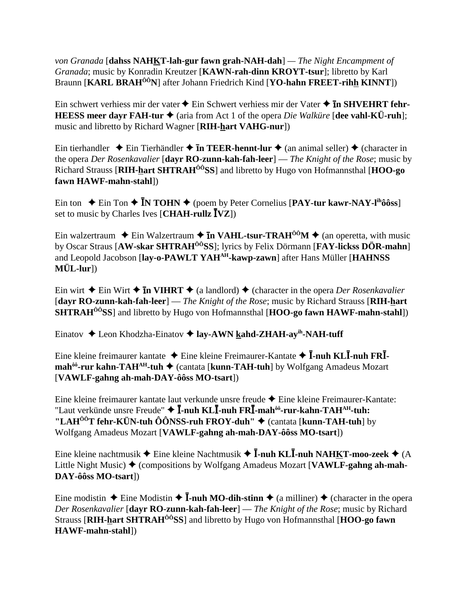*von Granada* [**dahss NAHKT-lah-gur fawn grah-NAH-dah**] *— The Night Encampment of Granada*; music by Konradin Kreutzer [**KAWN-rah-dinn KROYT-tsur**]; libretto by Karl Braunn [**KARL BRAHÔÔN**] after Johann Friedrich Kind [**YO-hahn FREET-rihh KINNT**])

Ein schwert verhiess mir der vater  $\blacklozenge$  Ein Schwert verhiess mir der Vater  $\blacklozenge$  **In SHVEHRT fehr-HEESS meer dayr FAH-tur**  $\blacklozenge$  **(aria from Act 1 of the opera** *Die Walküre* **[dee vahl-KÜ-ruh];** music and libretto by Richard Wagner [**RIH-hart VAHG-nur**])

Ein tierhandler  $\triangle$  Ein Tierhändler  $\triangle$  **In TEER-hennt-lur**  $\triangle$  (an animal seller)  $\triangle$  (character in the opera *Der Rosenkavalier* [**dayr RO-zunn-kah-fah-leer**] — *The Knight of the Rose*; music by Richard Strauss [**RIH-hart SHTRAHÔÔSS**] and libretto by Hugo von Hofmannsthal [**HOO-go fawn HAWF-mahn-stahl**])

Ein ton  $\div$  Ein Ton  $\div$  **IN TOHN**  $\div$  (poem by Peter Cornelius [PAY-tur kawr-NAY-l<sup>ih</sup>ôôss] set to music by Charles Ives [**CHAH-rullz VZ**])

Ein walzertraum  $\triangleq$  Ein Walzertraum  $\triangleq$  **In VAHL-tsur-TRAH**<sup>ôô</sup>M  $\triangleq$  (an operetta, with music by Oscar Straus [**AW-skar SHTRAHÔÔSS**]; lyrics by Felix Dörmann [**FAY-lickss DÖR-mahn**] and Leopold Jacobson [**lay-o-PAWLT YAHAH-kawp-zawn**] after Hans Müller [**HAHNSS MÜL-lur**])

Ein wirt  $\triangle$  Ein Wirt  $\triangle$  **In VIHRT**  $\triangle$  (a landlord)  $\triangle$  (character in the opera *Der Rosenkavalier* [**dayr RO-zunn-kah-fah-leer**] — *The Knight of the Rose*; music by Richard Strauss [**RIH-hart SHTRAHÔÔSS**] and libretto by Hugo von Hofmannsthal [**HOO-go fawn HAWF-mahn-stahl**])

Einatov Leon Khodzha-Einatov **lay-AWN kahd-ZHAH-ayih-NAH-tuff**

Eine kleine freimaurer kantate  $\triangle$  Eine kleine Freimaurer-Kantate  $\triangle$  **I**-nuh KL**I**-nuh FR**Imah<sup>ôô</sup>-rur kahn-TAH<sup>AH</sup>-tuh ◆** (cantata [**kunn-TAH-tuh**] by Wolfgang Amadeus Mozart [**VAWLF-gahng ah-mah-DAY-ôôss MO-tsart**])

Eine kleine freimaurer kantate laut verkunde unsre freude ◆ Eine kleine Freimaurer-Kantate: "Laut verkünde unsre Freude"  $\blacklozenge$  **I**-nuh KL**I**-nuh FR**I**-mah<sup>ôô</sup>-rur-kahn-TAH<sup>AH</sup>-tuh: **"LAHÔÔT fehr-KÜN-tuh ÔÔNSS-ruh FROY-duh"** (cantata [**kunn-TAH-tuh**] by Wolfgang Amadeus Mozart [**VAWLF-gahng ah-mah-DAY-ôôss MO-tsart**])

Eine kleine nachtmusik  $\blacklozenge$  Eine kleine Nachtmusik  $\blacklozenge$  **I**-nuh **KLI**-nuh **NAHKT**-moo-zeek  $\blacklozenge$  (A Little Night Music) ♦ (compositions by Wolfgang Amadeus Mozart [**VAWLF-gahng ah-mah-DAY-ôôss MO-tsart**])

Eine modistin  $\triangle$  Eine Modistin  $\triangle$  **I**-nuh MO-dih-stinn  $\triangle$  (a milliner)  $\triangle$  (character in the opera *Der Rosenkavalier* [**dayr RO-zunn-kah-fah-leer**] — *The Knight of the Rose*; music by Richard Strauss [**RIH-hart SHTRAHÔÔSS**] and libretto by Hugo von Hofmannsthal [**HOO-go fawn HAWF-mahn-stahl**])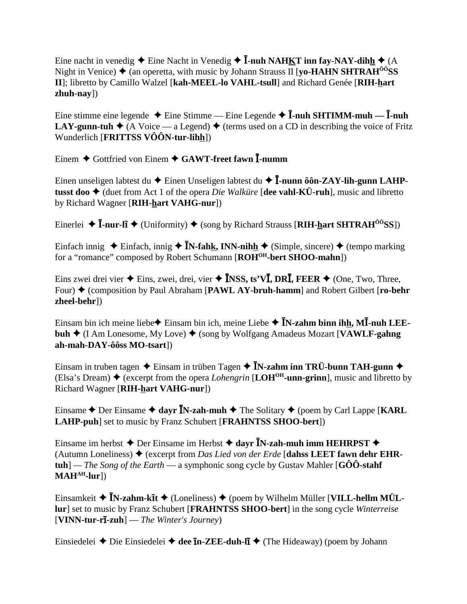Eine nacht in venedig  $\blacklozenge$  Eine Nacht in Venedig  $\blacklozenge$  **I**-nuh NAHKT inn fay-NAY-dihh  $\blacklozenge$  (A Night in Venice)  $\triangle$  (an operetta, with music by Johann Strauss II [**yo-HAHN SHTRAH**<sup> $\hat{O}$ *O*<sub>SS</sub></sup> **II**]; libretto by Camillo Walzel [**kah-MEEL-lo VAHL-tsull**] and Richard Genée [**RIH-hart zhuh-nay**])

Eine stimme eine legende  $\triangle$  Eine Stimme — Eine Legende  $\triangle$  **I**-nuh SHTIMM-muh — **I**-nuh **LAY-gunn-tuh**  $\blacklozenge$  (A Voice — a Legend)  $\blacklozenge$  (terms used on a CD in describing the voice of Fritz Wunderlich [**FRITTSS VÔÔN-tur-lihh**])

Einem Gottfried von Einem **GAWT-freet fawn -numm**

Einen unseligen labtest du  $\blacklozenge$  Einen Unseligen labtest du  $\blacklozenge$  **I**-nunn ôôn-ZAY-lih-gunn LAHP**tusst doo ♦** (duet from Act 1 of the opera *Die Walküre* [**dee vahl-KÜ-ruh**], music and libretto by Richard Wagner [**RIH-hart VAHG-nur**])

Einerlei ◆ **Ī-nur-lī ◆** (Uniformity) ◆ (song by Richard Strauss [RIH-hart SHTRAH<sup>ôô</sup>SS])

Einfach innig  $\triangle$  Einfach, innig  $\triangle$  **IN-fahk, INN-nihh**  $\triangle$  (Simple, sincere)  $\triangle$  (tempo marking for a "romance" composed by Robert Schumann [**ROHOH-bert SHOO-mahn**])

Eins zwei drei vier  $\triangle$  Eins, zwei, drei, vier  $\triangle$  **INSS, ts'VI, DRI, FEER**  $\triangle$  (One, Two, Three, Four)  $\triangle$  (composition by Paul Abraham [PAWL AY-bruh-hamm] and Robert Gilbert [ro-behr **zheel-behr**])

Einsam bin ich meine liebe $\triangle$  Einsam bin ich, meine Liebe  $\triangle$  **IN-zahm binn ihh, MI-nuh LEEbuh ♦** (I Am Lonesome, My Love) ♦ (song by Wolfgang Amadeus Mozart [**VAWLF-gahng ah-mah-DAY-ôôss MO-tsart**])

Einsam in truben tagen  $\triangle$  Einsam in trüben Tagen  $\triangle$  **IN-zahm inn TRÜ-bunn TAH-gunn**  $\triangle$ (Elsa's Dream)  $\blacklozenge$  (excerpt from the opera *Lohengrin* [**LOH<sup>OH</sup>-unn-grinn**], music and libretto by Richard Wagner [**RIH-hart VAHG-nur**])

Einsame  $\triangle$  Der Einsame  $\triangle$  dayr **IN-zah-muh**  $\triangle$  The Solitary  $\triangle$  (poem by Carl Lappe [**KARL LAHP-puh**] set to music by Franz Schubert [**FRAHNTSS SHOO-bert**])

Einsame im herbst  $\triangle$  Der Einsame im Herbst  $\triangle$  dayr **I**N-zah-muh imm HEHRPST  $\triangle$ (Autumn Loneliness)  $\triangle$  (excerpt from *Das Lied von der Erde* [dahss LEET fawn dehr EHR**tuh**] *— The Song of the Earth* — a symphonic song cycle by Gustav Mahler [**GÔÔ-stahf**  $MAH<sup>AH</sup>$ -lur])

Einsamkeit ◆ **ĪN-zahm-kīt ◆** (Loneliness) ◆ (poem by Wilhelm Müller [VILL-hellm MÜL**lur**] set to music by Franz Schubert [**FRAHNTSS SHOO-bert**] in the song cycle *Winterreise* [**VINN-tur-r**-**-zuh**] — *The Winter's Journey*)

Einsiedelei ◆ Die Einsiedelei ◆ dee **īn-ZEE-duh-lī ◆** (The Hideaway) (poem by Johann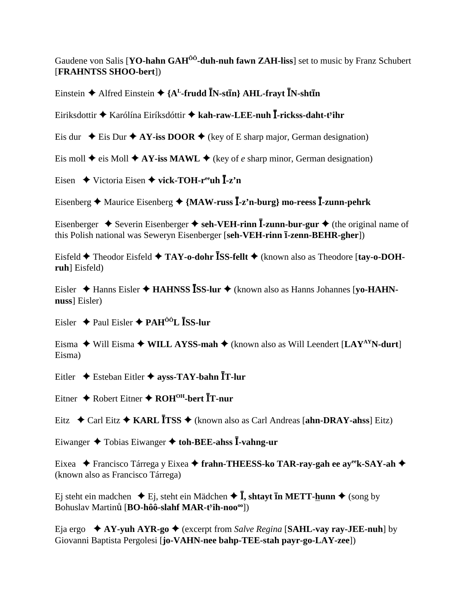Gaudene von Salis [YO-hahn GAH<sup>00</sup>-duh-nuh fawn ZAH-liss] set to music by Franz Schubert [FRAHNTSS SHOO-bert])

Einstein  $\triangle$  Alfred Einstein  $\triangle$  {A<sup>L</sup>-frudd IN-stIn} AHL-frayt IN-shtIn

Eiriksdottir ◆ Karólína Eiríksdóttir ◆ kah-raw-LEE-nuh I-rickss-daht-t<sup>y</sup>ihr

Eis dur  $\div$  Eis Dur  $\div$  AY-iss DOOR  $\div$  (key of E sharp major, German designation)

Eis moll  $\triangle$  eis Moll  $\triangle$  AY-iss MAWL  $\triangle$  (key of *e* sharp minor, German designation)

Eisen  $\blacklozenge$  Victoria Eisen  $\blacklozenge$  vick-TOH-r<sup>ee</sup>uh  $\bar{I}$ -z'n

Eisenberg  $\triangle$  Maurice Eisenberg  $\triangle$  {MAW-russ  $\overline{I}$ -z'n-burg} mo-reess  $\overline{I}$ -zunn-pehrk

Eisenberger  $\triangle$  Severin Eisenberger  $\triangle$  seh-VEH-rinn  $\overline{I}$ -zunn-bur-gur  $\triangle$  (the original name of this Polish national was Seweryn Eisenberger [seh-VEH-rinn 1-zenn-BEHR-gher])

Eisfeld  $\blacklozenge$  Theodor Eisfeld  $\blacklozenge$  TAY-o-dohr  $\bar{\text{ISS-}$  fellt  $\blacklozenge$  (known also as Theodore [tay-o-DOHruh] Eisfeld)

Eisler  $\triangle$  Hanns Eisler  $\triangle$  HAHNSS ISS-lur  $\triangle$  (known also as Hanns Johannes [yo-HAHNnuss] Eisler)

Eisler  $\triangle$  Paul Eisler  $\triangle$  PAH<sup>ÔÔ</sup>L **ISS-lur** 

Eisma  $\blacklozenge$  Will Eisma  $\blacklozenge$  WILL AYSS-mah  $\blacklozenge$  (known also as Will Leendert [LAY<sup>AY</sup>N-durt] Eisma)

Eitler ◆ Esteban Eitler ◆ ayss-TAY-bahn ĪT-lur

Eitner  $\triangle$  Robert Eitner  $\triangle$  ROH<sup>OH</sup>-bert  $\overline{I}$ T-nur

Eitz  $\div$  Carl Eitz  $\div$  KARL ITSS  $\div$  (known also as Carl Andreas [ahn-DRAY-ahss] Eitz)

Eiwanger  $\triangle$  Tobias Eiwanger  $\triangle$  toh-BEE-ahss I-vahng-ur

Eixea ◆ Francisco Tárrega y Eixea ◆ frahn-THEESS-ko TAR-ray-gah ee ayeek-SAY-ah ◆ (known also as Francisco Tárrega)

Ei steht ein madchen  $\div$  Ei, steht ein Mädchen  $\div$  **I**, shtavt **In METT-hunn**  $\div$  (song by Bohuslav Martinů [BO-hôô-slahf MAR-t<sup>y</sup>ih-noo<sup>oo</sup>])

Eja ergo  $\star$  AY-yuh AYR-go  $\star$  (excerpt from Salve Regina [SAHL-vay ray-JEE-nuh] by Giovanni Baptista Pergolesi [jo-VAHN-nee bahp-TEE-stah payr-go-LAY-zee])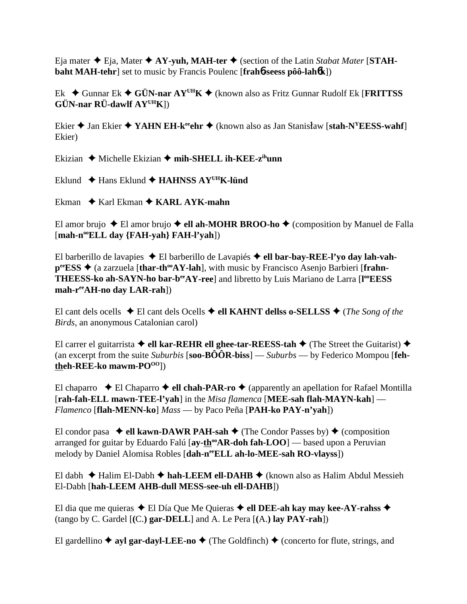Eja mater  $\triangle$  Eja, Mater  $\triangle$  AY-yuh, MAH-ter  $\triangle$  (section of the Latin *Stabat Mater* [STAH**baht MAH-tehr**] set to music by Francis Poulenc [**frah**6**-seess pôô-lah**6**k**])

Ek Gunnar Ek **GÜN-nar AYUHK** (known also as Fritz Gunnar Rudolf Ek [**FRITTSS GÜN-nar RÜ-dawlf AYUHK**])

Ekier  $\triangle$  Jan Ekier  $\triangle$  YAHN EH-k<sup>ee</sup>ehr  $\triangle$  (known also as Jan Stanisław [stah-N<sup>Y</sup>EESS-wahf] Ekier)

Ekizian  $\triangle$  Michelle Ekizian  $\triangle$  mih-SHELL ih-KEE-z<sup>ih</sup>unn

Eklund Hans Eklund **HAHNSS AYUHK-lünd**

Ekman  $\rightarrow$  Karl Ekman  $\rightarrow$  KARL AYK-mahn

El amor brujo  $\triangle$  El amor brujo  $\triangle$  ell ah-MOHR BROO-ho  $\triangle$  (composition by Manuel de Falla [mah-n<sup>oo</sup>ELL day {FAH-yah} FAH-l'yah])

El barberillo de lavapies ◆ El barberillo de Lavapiés ◆ ell bar-bay-REE-l'vo day lah-vah**p<sup>ee</sup>ESS ♦** (a zarzuela [thar-th<sup>oo</sup>AY-lah], with music by Francisco Asenjo Barbieri [frahn-THEESS-ko ah-SAYN-ho bar-b<sup>ee</sup>AY-ree] and libretto by Luis Mariano de Larra [l<sup>oo</sup>EESS **mah-reeAH-no day LAR-rah**])

El cant dels ocells  $\triangle$  El cant dels Ocells  $\triangle$  ell KAHNT dellss o-SELLSS  $\triangle$  (*The Song of the Birds*, an anonymous Catalonian carol)

El carrer el guitarrista  $\triangle$  ell kar-REHR ell ghee-tar-REESS-tah  $\triangle$  (The Street the Guitarist)  $\triangle$ (an excerpt from the suite *Suburbis* [**soo-BÔÔR-biss**] — *Suburbs* — by Federico Mompou [**fehtheh-REE-ko** mawm-PO<sup>00</sup>])

El chaparro  $\blacklozenge$  El Chaparro  $\blacklozenge$  ell chah-PAR-ro  $\blacklozenge$  (apparently an apellation for Rafael Montilla [**rah-fah-ELL mawn-TEE-l'yah**] in the *Misa flamenca* [**MEE-sah flah-MAYN-kah**] — *Flamenco* [**flah-MENN-ko**] *Mass* — by Paco Peña [**PAH-ko PAY-n'yah**])

El condor pasa  $\bullet$  ell kawn-DAWR PAH-sah  $\bullet$  (The Condor Passes by)  $\bullet$  (composition arranged for guitar by Eduardo Falú [ay-th<sup>oo</sup>AR-doh fah-LOO] — based upon a Peruvian melody by Daniel Alomisa Robles [**dah-neeELL ah-lo-MEE-sah RO-vlayss**])

El dabh  $\triangle$  Halim El-Dabh  $\triangle$  hah-LEEM ell-DAHB  $\triangle$  (known also as Halim Abdul Messieh El-Dabh [**hah-LEEM AHB-dull MESS-see-uh ell-DAHB**])

El dia que me quieras  $\triangle$  El Día Que Me Quieras  $\triangle$  ell DEE-ah kay may kee-AY-rahss  $\triangle$ (tango by C. Gardel [**(**C.**) gar-DELL**] and A. Le Pera [**(**A.**) lay PAY-rah**])

El gardellino  $\triangle$  ayl gar-dayl-LEE-no  $\triangle$  (The Goldfinch)  $\triangle$  (concerto for flute, strings, and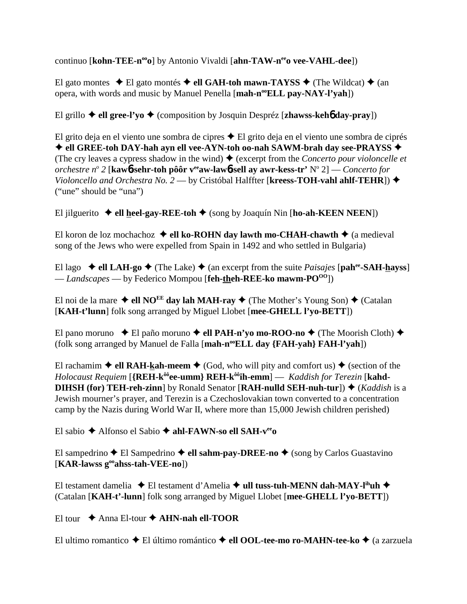continuo [**kohn-TEE-n<sup>oo</sup>o**] by Antonio Vivaldi [**ahn-TAW-n<sup>ee</sup>o vee-VAHL-dee**])

El gato montes  $\triangle$  El gato montés  $\triangle$  ell GAH-toh mawn-TAYSS  $\triangle$  (The Wildcat)  $\triangle$  (an opera, with words and music by Manuel Penella [mah-n<sup>oo</sup>ELL pay-NAY-l'yah])

El grillo  $\triangle$  ell gree-l'yo  $\triangle$  (composition by Josquin Despréz [zhawss-keho day-pray])

El grito deja en el viento une sombra de cipres  $\triangle$  El grito deja en el viento une sombra de ciprés ◆ ell GREE-toh DAY-hah ayn ell vee-AYN-toh oo-nah SAWM-brah day see-PRAYSS ◆ (The cry leaves a cypress shadow in the wind)  $\triangle$  (excerpt from the *Concerto pour violoncelle et orchestre no 2* [**kaw**6**-sehr-toh pôôr veeaw-law**6**-sell ay awr-kess-tr'** No 2] — *Concerto for Violoncello and Orchestra No. 2* — by Cristóbal Halffter [**kreess-TOH-vahl ahlf-TEHR**]) ("une" should be "una")

El jilguerito  $\triangleleft$  ell heel-gay-REE-toh  $\triangleleft$  (song by Joaquín Nin [ho-ah-KEEN NEEN])

El koron de loz mochachoz  $\triangleleft$  ell ko-ROHN day lawth mo-CHAH-chawth  $\triangleleft$  (a medieval song of the Jews who were expelled from Spain in 1492 and who settled in Bulgaria)

El lago  $\blacklozenge$  **ell LAH-go**  $\blacklozenge$  (The Lake)  $\blacklozenge$  (an excerpt from the suite *Paisajes* [pah<sup>ee</sup>-SAH-hayss] — *Landscapes* — by Federico Mompou [**feh-theh-REE-ko mawm-POOO**])

El noi de la mare  $\triangleleft$  ell NO<sup>EE</sup> day lah MAH-ray  $\triangleleft$  (The Mother's Young Son)  $\triangleleft$  (Catalan [**KAH-t'lunn**] folk song arranged by Miguel Llobet [**mee-GHELL l'yo-BETT**])

El pano moruno  $\bullet$  El paño moruno  $\bullet$  ell PAH-n'yo mo-ROO-no  $\bullet$  (The Moorish Cloth)  $\bullet$ (folk song arranged by Manuel de Falla [**mah-n<sup>oo</sup>ELL day {FAH-yah} FAH-l'yah**])

El rachamim  $\triangle$  ell RAH-kah-meem  $\triangle$  (God, who will pity and comfort us)  $\triangle$  (section of the *Holocaust Requiem* [**{REH-kôôee-umm} REH-kôôih-emm**] — *Kaddish for Terezin* [**kahd-DIHSH (for) TEH-reh-zinn**] by Ronald Senator [**RAH-nulld SEH-nuh-tur**])  $\triangle$  (*Kaddish* is a Jewish mourner's prayer, and Terezin is a Czechoslovakian town converted to a concentration camp by the Nazis during World War II, where more than 15,000 Jewish children perished)

El sabio Alfonso el Sabio **ahl-FAWN-so ell SAH-veeo**

El sampedrino  $\triangle$  El Sampedrino  $\triangle$  ell sahm-pay-DREE-no  $\triangle$  (song by Carlos Guastavino [**KAR-lawss gooahss-tah-VEE-no**])

El testament damelia ◆ El testament d'Amelia ◆ ull tuss-tuh-MENN dah-MAY-l<sup>ih</sup>uh ◆ (Catalan [**KAH-t'-lunn**] folk song arranged by Miguel Llobet [**mee-GHELL l'yo-BETT**])

El tour  $\triangle$  Anna El-tour  $\triangle$  AHN-nah ell-TOOR

El ultimo romantico El último romántico **ell OOL-tee-mo ro-MAHN-tee-ko** (a zarzuela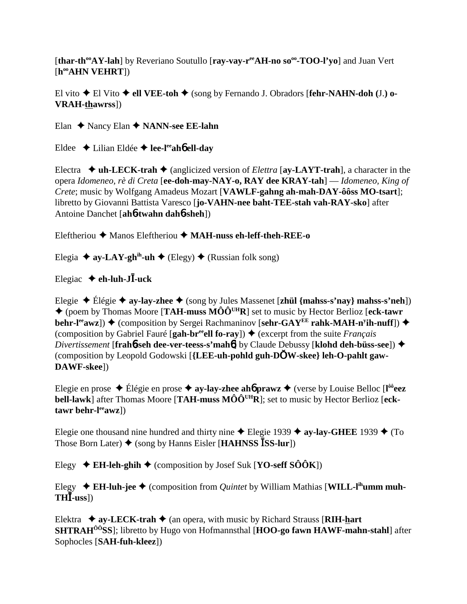[thar-th<sup>oo</sup>AY-lah] by Reveriano Soutullo [ray-vay-r<sup>ee</sup>AH-no so<sup>oo</sup>-TOO-l'vo] and Juan Vert [h<sup>oo</sup>AHN VEHRT])

El vito  $\blacklozenge$  El Vito  $\blacklozenge$  ell VEE-toh  $\blacklozenge$  (song by Fernando J. Obradors [fehr-NAHN-doh (J.) o-**VRAH-thawrss**])

Elan  $\triangle$  Nancy Elan  $\triangle$  NANN-see EE-lahn

Eldee  $\triangle$  Lilian Eldée  $\triangle$  lee-l<sup>ee</sup>ah**ó** ell-day

Electra  $\bullet$  uh-LECK-trah  $\bullet$  (anglicized version of *Elettra* [ay-LAYT-trah], a character in the opera Idomeneo, rè di Creta [ee-doh-may-NAY-o, RAY dee KRAY-tah] — Idomeneo, King of Crete; music by Wolfgang Amadeus Mozart [VAWLF-gahng ah-mah-DAY-ôôss MO-tsart]; libretto by Giovanni Battista Varesco [jo-VAHN-nee baht-TEE-stah vah-RAY-sko] after Antoine Danchet [ah**6-twahn dah6-sheh**])

Eleftheriou  $\triangle$  Manos Eleftheriou  $\triangle$  MAH-nuss eh-leff-theh-REE-o

Elegia  $\triangle$  ay-LAY-gh<sup>ih</sup>-uh  $\triangle$  (Elegy)  $\triangle$  (Russian folk song)

Elegiac  $\triangle$  eh-luh-J $\overline{I}$ -uck

Elegie  $\triangle$  Élégie  $\triangle$  ay-lay-zhee  $\triangle$  (song by Jules Massenet [zhül {mahss-s'nay} mahss-s'neh])  $\triangle$  (poem by Thomas Moore [TAH-muss MÔÔ<sup>UH</sup>R] set to music by Hector Berlioz [eck-tawr] behr-leawz])  $\blacklozenge$  (composition by Sergei Rachmaninov [sehr-GAYE rahk-MAH-n<sup>y</sup>ih-nuff])  $\blacklozenge$ (composition by Gabriel Fauré [gah-br<sup>ee</sup> ell fo-ray])  $\triangleq$  (excerpt from the suite *Français Divertissement* [frah6-seh dee-ver-teess-s'mah6] by Claude Debussy [klohd deh-büss-see])  $\triangleleft$ (composition by Leopold Godowski [{LEE-uh-pohld guh-DOW-skee} leh-O-pahlt gaw-DAWF-skee])

Elegie en prose  $\triangle$  Élégie en prose  $\triangle$  ay-lay-zhee ahó prawz  $\triangle$  (verse by Louise Belloc [l<sup>ôô</sup>eez **bell-lawk**] after Thomas Moore [TAH-muss  $M\hat{O}\hat{O}^{UH}R$ ]; set to music by Hector Berlioz [eck $tawr$  behr- $l^{ee}awz$ ])

Elegie one thousand nine hundred and thirty nine  $\triangle$  Elegie 1939  $\triangle$  ay-lay-GHEE 1939  $\triangle$  (To Those Born Later)  $\triangleq$  (song by Hanns Eisler [**HAHNSS** ISS-lur])

Elegy  $\div$  EH-leh-ghih  $\div$  (composition by Josef Suk [YO-seff SOOK])

Elegy  $\div$  EH-luh-jee  $\div$  (composition from *Quintet* by William Mathias [WILL-l<sup>ih</sup>umm muh- $TH**I**-uss$ )

Elektra  $\triangleq$  ay-LECK-trah  $\triangleq$  (an opera, with music by Richard Strauss [RIH-hart **SHTRAH<sup>00</sup>SS**]; libretto by Hugo von Hofmannsthal [HOO-go fawn HAWF-mahn-stahl] after Sophocles [SAH-fuh-kleez])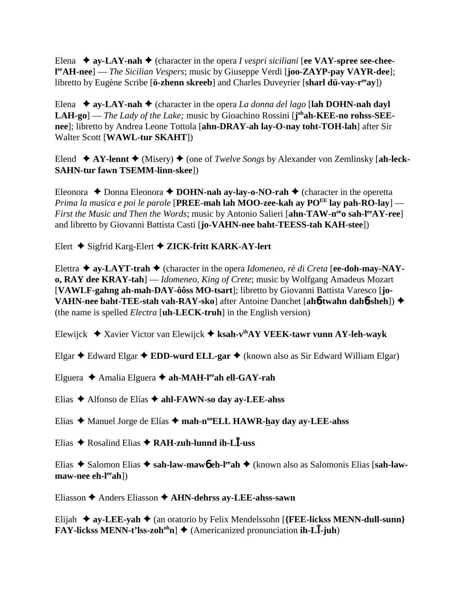Elena  $\triangleq$  ay-LAY-nah  $\triangleq$  (character in the opera *I vespri siciliani* [ee VAY-spree see-chee**l eeAH-nee**] — *The Sicilian Vespers*; music by Giuseppe Verdi [**joo-ZAYP-pay VAYR-dee**]; libretto by Eugène Scribe [**ö-zhenn skreeb**] and Charles Duveyrier [**sharl dü-vay-r<sup>ee</sup>ay**])

Elena  $\triangle$  **ay-LAY-nah**  $\triangle$  (character in the opera *La donna del lago* [lah DOHN-nah dayl LAH-go] — *The Lady of the Lake;* music by Gioachino Rossini [j<sup>oh</sup>ah-KEE-no rohss-SEE**nee**]; libretto by Andrea Leone Tottola [**ahn-DRAY-ah lay-O-nay toht-TOH-lah**] after Sir Walter Scott [**WAWL-tur SKAHT**])

Elend  $\blacklozenge XY$ -lennt  $\blacklozenge$  (Misery)  $\blacklozenge$  (one of *Twelve Songs* by Alexander von Zemlinsky [ah-leck-**SAHN-tur fawn TSEMM-linn-skee**])

Eleonora  $\triangle$  Donna Eleonora  $\triangle$  **DOHN-nah ay-lay-o-NO-rah**  $\triangle$  (character in the operetta *Prima la musica e poi le parole* [**PREE-mah lah MOO-zee-kah ay PO<sup>EE</sup> lay pah-RO-lay**] — *First the Music and Then the Words*; music by Antonio Salieri [ahn-TAW-n<sup>ee</sup>o sah-l<sup>ee</sup>AY-ree] and libretto by Giovanni Battista Casti [**jo-VAHN-nee baht-TEESS-tah KAH-stee**])

Elert Sigfrid Karg-Elert  **ZICK-fritt KARK-AY-lert**

Elettra  $\triangle$  ay-LAYT-trah  $\triangle$  (character in the opera *Idomeneo, rè di Creta* [ee-doh-may-NAY**o, RAY dee KRAY-tah**] — *Idomeneo, King of Crete*; music by Wolfgang Amadeus Mozart [**VAWLF-gahng ah-mah-DAY-ôôss MO-tsart**]; libretto by Giovanni Battista Varesco [**jo-VAHN-nee baht-TEE-stah vah-RAY-sko**] after Antoine Danchet [**ah**6**-twahn dah**6**-sheh**]) (the name is spelled *Electra* [**uh-LECK-truh**] in the English version)

Elewijck Xavier Victor van Elewijck **ksah-vihAY VEEK-tawr vunn AY-leh-wayk**

Elgar Edward Elgar **EDD-wurd ELL-gar** (known also as Sir Edward William Elgar)

Elguera Amalia Elguera **ah-MAH-leeah ell-GAY-rah**

Elias Alfonso de Elías **ahl-FAWN-so day ay-LEE-ahss**

Elias ◆ Manuel Jorge de Elías ◆ mah-n<sup>oo</sup>ELL HAWR-hay day ay-LEE-ahss

Elias Rosalind Elias **RAH-zuh-lunnd ih-L-uss**

Elias ◆ Salomon Elias ◆ sah-law-mawb eh-l<sup>ee</sup>ah ◆ (known also as Salomonis Elias [sah-law**maw-nee ch-l<sup>ee</sup>ah**])

Eliasson Anders Eliasson **AHN-dehrss ay-LEE-ahss-sawn**

Elijah **ay-LEE-yah** (an oratorio by Felix Mendelssohn [**{FEE-lickss MENN-dull-sunn} FAY-lickss MENN-t'lss-zoh<sup>oh</sup>n**]  $\triangle$  (Americanized pronunciation **ih-LI**-juh)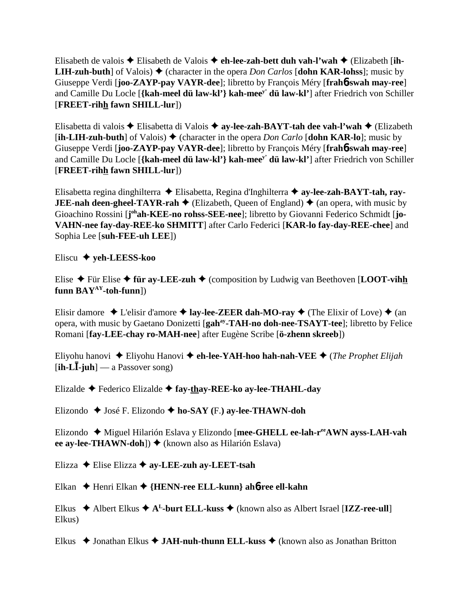Elisabeth de valois Elisabeth de Valois **eh-lee-zah-bett duh vah-l'wah** (Elizabeth [**ih-LIH-zuh-buth**] of Valois)  $\triangle$  (character in the opera *Don Carlos* [dohn KAR-lohss]; music by Giuseppe Verdi [**joo-ZAYP-pay VAYR-dee**]; libretto by François Méry [**frah**6**-swah may-ree**] and Camille Du Locle [**{kah-meel dü law-kl'} kah-meey' dü law-kl'**] after Friedrich von Schiller [**FREET-rihh fawn SHILL-lur**])

Elisabetta di valois Elisabetta di Valois **ay-lee-zah-BAYT-tah dee vah-l'wah** (Elizabeth  $[\mathbf{ih}\text{-}\mathbf{L}\mathbf{IH}\text{-}\mathbf{zuh}\text{-}\mathbf{but}\mathbf{h}]$  of Valois)  $\blacklozenge$  (character in the opera *Don Carlo*  $[\mathbf{dohn}$  KAR-lo $]$ ; music by Giuseppe Verdi [**joo-ZAYP-pay VAYR-dee**]; libretto by François Méry [**frah**6**-swah may-ree**] and Camille Du Locle [**{kah-meel dü law-kl'} kah-meey' dü law-kl'**] after Friedrich von Schiller [**FREET-rihh fawn SHILL-lur**])

Elisabetta regina dinghilterra Elisabetta, Regina d'Inghilterra **ay-lee-zah-BAYT-tah, ray-JEE-nah deen-gheel-TAYR-rah**  $\blacklozenge$  (Elizabeth, Queen of England)  $\blacklozenge$  (an opera, with music by Gioachino Rossini [j<sup>oh</sup>ah-KEE-no rohss-SEE-nee]; libretto by Giovanni Federico Schmidt [jo-**VAHN-nee fay-day-REE-ko SHMITT**] after Carlo Federici [**KAR-lo fay-day-REE-chee**] and Sophia Lee [**suh-FEE-uh LEE**])

Eliscu **yeh-LEESS-koo**

Elise  $\triangle$  Für Elise  $\triangle$  für ay-LEE-zuh  $\triangle$  (composition by Ludwig van Beethoven [LOOT-vihh **funn BAYAY-toh-funn**])

Elisir damore  $\triangle$  L'elisir d'amore  $\triangle$  **lay-lee-ZEER dah-MO-ray**  $\triangle$  (The Elixir of Love)  $\triangle$  (an opera, with music by Gaetano Donizetti [**gahay-TAH-no doh-nee-TSAYT-tee**]; libretto by Felice Romani [**fay-LEE-chay ro-MAH-nee**] after Eugène Scribe [**ö-zhenn skreeb**])

Eliyohu hanovi Eliyohu Hanovi **eh-lee-YAH-hoo hah-nah-VEE** (*The Prophet Elijah* [**ih-L-juh**] — a Passover song)

Elizalde Federico Elizalde **fay-thay-REE-ko ay-lee-THAHL-day**

Elizondo José F. Elizondo **ho-SAY (**F.**) ay-lee-THAWN-doh**

Elizondo Miguel Hilarión Eslava y Elizondo [**mee-GHELL ee-lah-reeAWN ayss-LAH-vah ee ay-lee-THAWN-doh**]) ♦ (known also as Hilarión Eslava)

Elizza Elise Elizza **ay-LEE-zuh ay-LEET-tsah**

Elkan Henri Elkan **{HENN-ree ELL-kunn} ah**6**-ree ell-kahn**

Elkus  $\triangle$  Albert Elkus  $\triangle$  A<sup>L</sup>-burt ELL-kuss  $\triangle$  (known also as Albert Israel [IZZ-ree-ull] Elkus)

Elkus ◆ Jonathan Elkus ◆ JAH-nuh-thunn ELL-kuss ◆ (known also as Jonathan Britton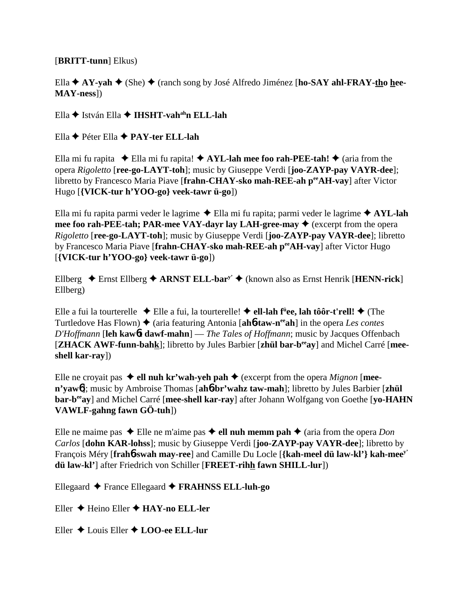#### [**BRITT-tunn**] Elkus)

Ella **↑ AY-yah ◆** (She) ◆ (ranch song by José Alfredo Jiménez [**ho-SAY ahl-FRAY-tho hee-MAY-ness**])

Ella **←** István Ella ← **IHSHT-vah<sup>ah</sup>n ELL-lah** 

Ella Péter Ella **PAY-ter ELL-lah**

Ella mi fu rapita  $\triangle$  Ella mi fu rapita!  $\triangle$  AYL-lah mee foo rah-PEE-tah!  $\triangle$  (aria from the opera *Rigoletto* [**ree-go-LAYT-toh**]; music by Giuseppe Verdi [**joo-ZAYP-pay VAYR-dee**]; libretto by Francesco Maria Piave [**frahn-CHAY-sko mah-REE-ah peeAH-vay**] after Victor Hugo [**{VICK-tur h'YOO-go} veek-tawr ü-go**])

Ella mi fu rapita parmi veder le lagrime Ella mi fu rapita; parmi veder le lagrime **AYL-lah mee foo rah-PEE-tah; PAR-mee VAY-dayr lay LAH-gree-may**  $\triangle$  (excerpt from the opera *Rigoletto* [**ree-go-LAYT-toh**]; music by Giuseppe Verdi [**joo-ZAYP-pay VAYR-dee**]; libretto by Francesco Maria Piave [frahn-CHAY-sko mah-REE-ah perAH-vay] after Victor Hugo [**{VICK-tur h'YOO-go} veek-tawr ü-go**])

Ellberg  $\triangle$  Ernst Ellberg  $\triangle$  ARNST ELL-bar<sup>y'</sup>  $\triangle$  (known also as Ernst Henrik [**HENN-rick**] Ellberg)

Elle a fui la tourterelle ◆ Elle a fui, la tourterelle! ◆ **ell-lah f<sup>ü</sup>ee, lah tôôr-t'rell! ◆** (The Turtledove Has Flown) ◆ (aria featuring Antonia [ah**6-taw-n<sup>ee</sup>ah**] in the opera *Les contes D'Hoffmann* [**leh kaw**6**t dawf-mahn**] — *The Tales of Hoffmann*; music by Jacques Offenbach [**ZHACK AWF-funn-bahk**]; libretto by Jules Barbier [**zhül bar-beeay**] and Michel Carré [**meeshell kar-ray**])

Elle ne croyait pas  $\triangleleft$  ell nuh kr'wah-yeh pah  $\triangleleft$  (excerpt from the opera *Mignon* [mee**n'yaw**6]; music by Ambroise Thomas [**ah**6**-br'wahz taw-mah**]; libretto by Jules Barbier [**zhül bar-beeay**] and Michel Carré [**mee-shell kar-ray**] after Johann Wolfgang von Goethe [**yo-HAHN VAWLF-gahng fawn GÖ-tuh**])

Elle ne maime pas  $\triangle$  Elle ne m'aime pas  $\triangle$  ell nuh memm pah  $\triangle$  (aria from the opera *Don Carlos* [**dohn KAR-lohss**]; music by Giuseppe Verdi [**joo-ZAYP-pay VAYR-dee**]; libretto by François Méry [**frah**6**-swah may-ree**] and Camille Du Locle [**{kah-meel dü law-kl'} kah-meey' dü law-kl'**] after Friedrich von Schiller [**FREET-rihh fawn SHILL-lur**])

Ellegaard France Ellegaard **FRAHNSS ELL-luh-go**

Eller Heino Eller **HAY-no ELL-ler**

Eller Louis Eller **LOO-ee ELL-lur**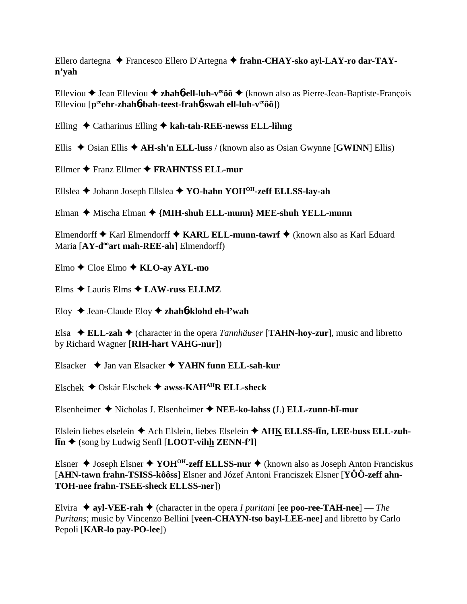Ellero dartegna → Francesco Ellero D'Artegna → frahn-CHAY-sko ayl-LAY-ro dar-TAYn'yah

Elleviou  $\triangle$  Jean Elleviou  $\triangle$  zhaho-ell-luh-v<sup>ee</sup>ôô  $\triangle$  (known also as Pierre-Jean-Baptiste-Francois Elleviou  $[p^{ee}$ chr-zhahó-bah-teest-frahó-swah ell-luh-v<sup>ee</sup>ôô])

Elling  $\triangle$  Catharinus Elling  $\triangle$  kah-tah-REE-newss ELL-lihng

Ellis  $\triangle$  Osian Ellis  $\triangle$  AH-sh'n ELL-luss / (known also as Osian Gwynne [GWINN] Ellis)

Ellmer  $\bigstar$  Franz Ellmer  $\bigstar$  FRAHNTSS ELL-mur

Ellslea → Johann Joseph Ellslea → YO-hahn YOH<sup>OH</sup>-zeff ELLSS-lay-ah

Elman  $\blacklozenge$  Mischa Elman  $\blacklozenge$  {MIH-shuh ELL-munn} MEE-shuh YELL-munn

Elmendorff ◆ Karl Elmendorff ◆ KARL ELL-munn-tawrf ◆ (known also as Karl Eduard Maria [AY-d<sup>oo</sup>art mah-REE-ah] Elmendorff)

Elmo  $\triangle$  Cloe Elmo  $\triangle$  KLO-ay AYL-mo

Elms  $\triangle$  Lauris Elms  $\triangle$  LAW-russ ELLMZ

Eloy  $\triangle$  Jean-Claude Eloy  $\triangle$  zhah**ó-klohd eh-l'wah** 

Elsa  $\triangleleft$  ELL-zah  $\triangleleft$  (character in the opera *Tannhäuser* [TAHN-hoy-zur], music and libretto by Richard Wagner [RIH-hart VAHG-nur])

Elsacker  $\triangle$  Jan van Elsacker  $\triangle$  YAHN funn ELL-sah-kur

Elschek  $\triangle$  Oskár Elschek  $\triangle$  awss-KAH<sup>AH</sup>R ELL-sheck

Elsenheimer  $\blacklozenge$  Nicholas J. Elsenheimer  $\blacklozenge$  NEE-ko-lahss (J.) ELL-zunn-h $\bar{I}$ -mur

Elslein liebes elselein  $\triangle$  Ach Elslein, liebes Elselein  $\triangle$  AHK ELLSS-lin, LEE-buss ELL-zuh- $\overline{\text{lin}}$   $\blacklozenge$  (song by Ludwig Senfl [LOOT-vihh ZENN-f'l]

Elsner  $\triangle$  Joseph Elsner  $\triangle$  YOH<sup>OH</sup>-zeff ELLSS-nur  $\triangle$  (known also as Joseph Anton Franciskus [AHN-tawn frahn-TSISS-kôôss] Elsner and Józef Antoni Franciszek Elsner [YÔÔ-zeff ahn-TOH-nee frahn-TSEE-sheck ELLSS-ner])

Elvira  $\triangleq$  ayl-VEE-rah  $\triangleq$  (character in the opera *I puritani* [ee poo-ree-TAH-nee] — The Puritans; music by Vincenzo Bellini [veen-CHAYN-tso bayl-LEE-nee] and libretto by Carlo Pepoli [KAR-lo pay-PO-lee])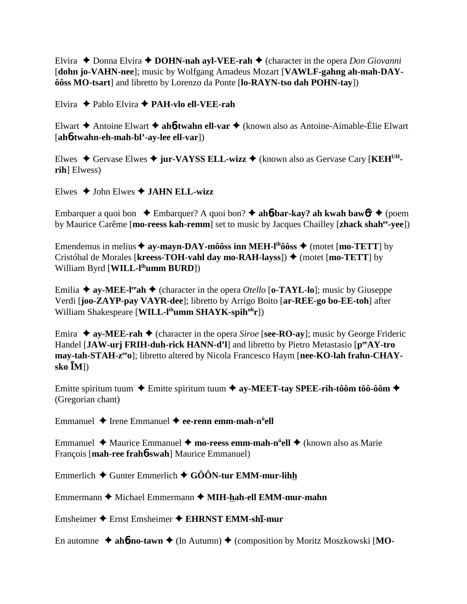Elvira  $\triangle$  Donna Elvira  $\triangle$  **DOHN-nah ayl-VEE-rah**  $\triangle$  (character in the opera *Don Giovanni* [**dohn jo-VAHN-nee**]; music by Wolfgang Amadeus Mozart [**VAWLF-gahng ah-mah-DAYôôss MO-tsart**] and libretto by Lorenzo da Ponte [**lo-RAYN-tso dah POHN-tay**])

Elvira Pablo Elvira **PAH-vlo ell-VEE-rah**

Elwart Antoine Elwart **ah**6**-twahn ell-var** (known also as Antoine-Aimable-Élie Elwart [**ah**6**-twahn-eh-mah-bl'-ay-lee ell-var**])

Elwes ◆ Gervase Elwes ◆ jur-VAYSS ELL-wizz ◆ (known also as Gervase Cary [KEH<sup>UH</sup>**rih**] Elwess)

Elwes  $\triangle$  John Elwes  $\triangle$  **JAHN ELL-wizz** 

Embarquer a quoi bon  $\triangle$  Embarquer? A quoi bon?  $\triangle$  ah**6**-bar-kay? ah kwah baw6?  $\triangle$  (poem by Maurice Carême [**mo-reess kah-remm**] set to music by Jacques Chailley [**zhack shahee-yee**])

Emendemus in melius  $\triangleq$  ay-mayn-DAY-môôss inn MEH-l<sup>ih</sup>ôôss  $\triangleq$  (motet [mo-TETT] by Cristóbal de Morales [kreess-TOH-vahl day mo-RAH-layss]) ♦ (motet [mo-TETT] by William Byrd [**WILL-lihumm BURD**])

Emilia  $\triangle$  ay-MEE-l<sup>ee</sup>ah  $\triangle$  (character in the opera *Otello* [**o-TAYL-lo**]; music by Giuseppe Verdi [**joo-ZAYP-pay VAYR-dee**]; libretto by Arrigo Boito [**ar-REE-go bo-EE-toh**] after William Shakespeare [**WILL-l<sup>ih</sup>umm SHAYK-spih<sup>uh</sup>r**])

Emira  $\triangle$  **ay-MEE-rah**  $\triangle$  (character in the opera *Siroe* [**see-RO-ay**]; music by George Frideric Handel [JAW-urj FRIH-duh-rick HANN-d'l] and libretto by Pietro Metastasio [ $p^{ee}AY$ -tro may-tah-STAH-z<sup>ee</sup>o]; libretto altered by Nicola Francesco Haym [nee-KO-lah frahn-CHAY**sko M**])

Emitte spiritum tuum **→** Emitte spiritum tuum → ay-MEET-tay SPEE-rih-tôôm tôô-ôôm → (Gregorian chant)

Emmanuel ◆ Irene Emmanuel ◆ **ee-renn emm-mah-n<sup>ü</sup>ell** 

Emmanuel ◆ Maurice Emmanuel ◆ mo-reess emm-mah-n<sup>ü</sup>ell ◆ (known also as Marie François [**mah-ree frah**6**-swah**] Maurice Emmanuel)

Emmerlich  $\blacklozenge$  Gunter Emmerlich  $\blacklozenge$  GÔÔN-tur EMM-mur-lihh

Emmermann ◆ Michael Emmermann ◆ MIH-hah-ell EMM-mur-mahn

Emsheimer ◆ Ernst Emsheimer ◆ EHRNST EMM-sh**ī-mur** 

En automne ◆ ah**6-no-tawn** ◆ (In Autumn) ◆ (composition by Moritz Moszkowski [MO-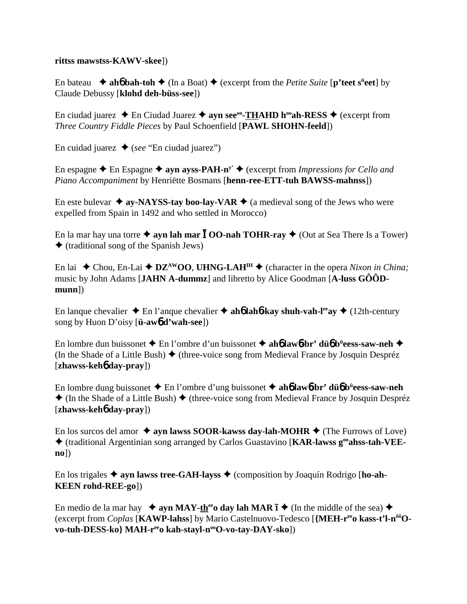#### **rittss mawstss-KAWV-skee**])

En bateau  $\rightarrow$  **ah6** bah-toh  $\rightarrow$  (In a Boat)  $\rightarrow$  (excerpt from the *Petite Suite* [p'teet s<sup>ii</sup>eet] by Claude Debussy [**klohd deh-büss-see**])

En ciudad juarez  $\triangle$  En Ciudad Juarez  $\triangle$  ayn see<sup>oo</sup>-**THAHD h<sup>oo</sup>ah-RESS**  $\triangle$  (excerpt from *Three Country Fiddle Pieces* by Paul Schoenfield [**PAWL SHOHN-feeld**])

En cuidad juarez  $\triangleleft$  (*see* "En ciudad juarez")

En espagne  $\triangle$  En Espagne  $\triangle$  ayn ayss-PAH-n<sup>y'</sup>  $\triangle$  (excerpt from *Impressions for Cello and Piano Accompaniment* by Henriëtte Bosmans [**henn-ree-ETT-tuh BAWSS-mahnss**])

En este bulevar  $\triangleq$  ay-NAYSS-tay boo-lay-VAR  $\triangleq$  (a medieval song of the Jews who were expelled from Spain in 1492 and who settled in Morocco)

En la mar hay una torre  $\triangle$  ayn lah mar  $\overline{I}$  OO-nah TOHR-ray  $\triangle$  (Out at Sea There Is a Tower)  $\triangle$  (traditional song of the Spanish Jews)

En lai  $\blacklozenge$  Chou, En-Lai  $\blacklozenge$  **DZ<sup>AW</sup>OO**, **UHNG-LAH<sup>IH</sup>**  $\blacklozenge$  (character in the opera *Nixon in China*; music by John Adams [**JAHN A-dummz**] and libretto by Alice Goodman [**A-luss GÔÔDmunn**])

En lanque chevalier  $\triangle$  En l'anque chevalier  $\triangle$  ah**6** lah**6**-kay shuh-vah-l<sup>ee</sup>ay  $\triangle$  (12th-century song by Huon D'oisy [**ü-aw**6 **d'wah-see**])

En lombre dun buissonet En l'ombre d'un buissonet **ah**6 **law**6**-br' dü**6 **bü eess-saw-neh** (In the Shade of a Little Bush)  $\blacklozenge$  (three-voice song from Medieval France by Josquin Despréz [**zhawss-keh**6 **day-pray**])

En lombre dung buissonet En l'ombre d'ung buissonet **ah**6 **law**6**-br' dü**6 **bü eess-saw-neh**  $\triangle$  (In the Shade of a Little Bush)  $\triangle$  (three-voice song from Medieval France by Josquin Despréz [**zhawss-keh**6 **day-pray**])

En los surcos del amor  $\triangle$  ayn lawss SOOR-kawss day-lah-MOHR  $\triangle$  (The Furrows of Love) (traditional Argentinian song arranged by Carlos Guastavino [**KAR-lawss gooahss-tah-VEEno**])

En los trigales  $\triangle$  ayn lawss tree-GAH-layss  $\triangle$  (composition by Joaquín Rodrigo [ho-ah-**KEEN rohd-REE-go**])

En medio de la mar hay  $\rightarrow$  ayn MAY-th<sup>ee</sup> day lah MAR  $\bar{1}$   $\rightarrow$  (In the middle of the sea)  $\rightarrow$ (excerpt from *Coplas* [**KAWP-lahss**] by Mario Castelnuovo-Tedesco [**{MEH-reeo kass-t'l-nôôOvo-tuh-DESS-ko} MAH-r<sup>ee</sup>o kah-stayl-n<sup>oo</sup>O-vo-tay-DAY-sko**])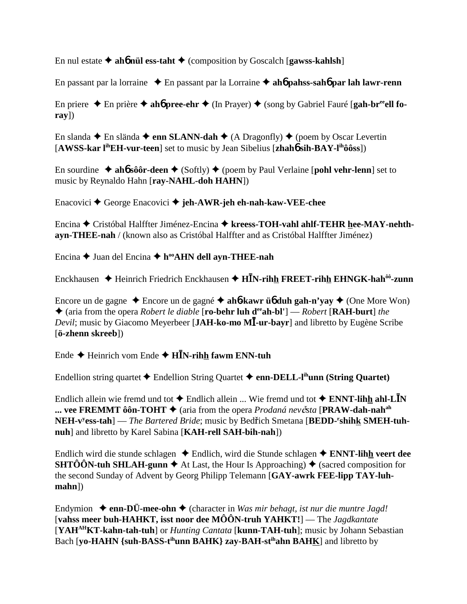En nul estate  $\triangle$  aho nul ess-taht  $\triangle$  (composition by Goscalch [gawss-kahlsh]

En passant par la lorraine  $\rightarrow$  En passant par la Lorraine  $\rightarrow$  aho pahss-saho par lah lawr-renn

En priere  $\triangle$  En prière  $\triangle$  ah**ó pree-ehr**  $\triangle$  (In Prayer)  $\triangle$  (song by Gabriel Fauré [**gah-br**<sup>ee</sup>**ell fo** $ray])$ 

En slanda  $\triangle$  En slända  $\triangle$  enn SLANN-dah  $\triangle$  (A Dragonfly)  $\triangle$  (poem by Oscar Levertin [AWSS-kar l<sup>ih</sup>EH-vur-teen] set to music by Jean Sibelius [zhah**ó sih-BAY-l<sup>ih</sup>ôôss**])

En sourdine  $\triangle$  ahof sô ô r-deen  $\triangle$  (Softly)  $\triangle$  (poem by Paul Verlaine [pohl vehr-lenn] set to music by Reynaldo Hahn [ray-NAHL-doh HAHN])

Enacovici  $\triangle$  George Enacovici  $\triangle$  jeh-AWR-jeh eh-nah-kaw-VEE-chee

Encina ← Cristóbal Halffter Jiménez-Encina ← kreess-TOH-vahl ahlf-TEHR hee-MAY-nehthayn-THEE-nah / (known also as Cristóbal Halffter and as Cristóbal Halffter Jiménez)

Encina  $\triangle$  Juan del Encina  $\triangle$  h<sup>oo</sup>AHN dell ayn-THEE-nah

Enckhausen  $\triangleq$  Heinrich Friedrich Enckhausen  $\triangleq$  HIN-rihh FREET-rihh EHNGK-hah<sup>ôô</sup>-zunn

Encore un de gagne  $\triangle$  Encore un de gagné  $\triangle$  aho-kawr üb duh gah-n'yay  $\triangle$  (One More Won)  $\triangle$  (aria from the opera *Robert le diable* [**ro-behr luh d<sup>ee</sup>ah-bl'**] — *Robert* [**RAH-burt**] *the* Devil; music by Giacomo Meyerbeer [JAH-ko-mo MI-ur-bavr] and libretto by Eugène Scribe [ö-zhenn skreeb])

Ende  $\blacklozenge$  Heinrich vom Ende  $\blacklozenge$  HIN-rihh fawm ENN-tuh

Endellion string quartet  $\blacklozenge$  Endellion String Quartet  $\blacklozenge$  enn-DELL-l<sup>ih</sup>unn (String Quartet)

Endlich allein wie fremd und tot  $\triangle$  Endlich allein ... Wie fremd und tot  $\triangle$  ENNT-lihh ahl-LIN ... vee FREMMT ôôn-TOHT  $\blacklozenge$  (aria from the opera *Prodaná nevěsta* [PRAW-dah-nah<sup>ah</sup>] NEH-v<sup>y</sup>ess-tah] — The Bartered Bride; music by Bedřich Smetana [BEDD-'shihk SMEH-tuhnuh] and libretto by Karel Sabina [KAH-rell SAH-bih-nah])

Endlich wird die stunde schlagen ◆ Endlich, wird die Stunde schlagen ◆ ENNT-lihh veert dee **SHTÔÔN-tuh SHLAH-gunn**  $\blacklozenge$  At Last, the Hour Is Approaching)  $\blacklozenge$  (sacred composition for the second Sunday of Advent by Georg Philipp Telemann [GAY-awrk FEE-lipp TAY-luh- $$ 

Endymion  $\triangle$  enn-DÜ-mee-ohn  $\triangle$  (character in Was mir behagt, ist nur die muntre Jagd! [vahss meer buh-HAHKT, isst noor dee  $M\hat{O}\hat{O}N$ -truh YAHKT!] — The *Jagdkantate* [YAHAHKT-kahn-tah-tuh] or *Hunting Cantata* [kunn-TAH-tuh]; music by Johann Sebastian Bach [yo-HAHN {suh-BASS-t<sup>ih</sup>unn BAHK} zay-BAH-st<sup>ih</sup>ahn BAHK] and libretto by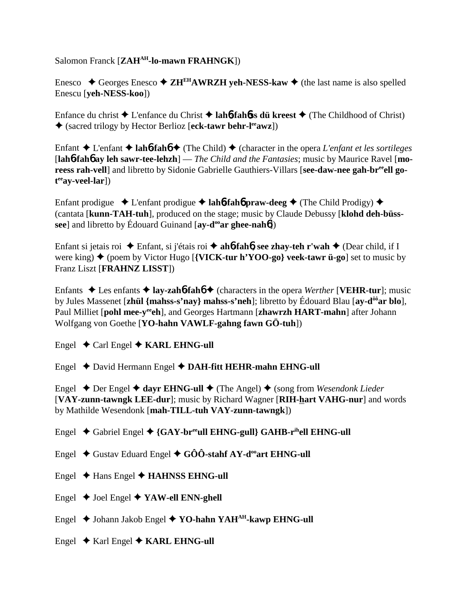Salomon Franck [**ZAH<sup>AH</sup>-lo-mawn FRAHNGK**])

Enesco  $\triangle$  Georges Enesco  $\triangle$  **ZH<sup>EH</sup>AWRZH veh-NESS-kaw**  $\triangle$  (the last name is also spelled Enescu [**yeh-NESS-koo**])

Enfance du christ L'enfance du Christ **lah**6**-fah**6**ss dü kreest** (The Childhood of Christ) (sacred trilogy by Hector Berlioz [**eck-tawr behr-leeawz**])

Enfant  $\triangle$  L'enfant  $\triangle$  **lah<sub>0</sub>-fah<sub>0</sub>**  $\triangle$  (The Child)  $\triangle$  (character in the opera *L'enfant et les sortileges* [**lah**6**-fah**6 **ay leh sawr-tee-lehzh**] — *The Child and the Fantasies*; music by Maurice Ravel [**mo**reess rah-vell] and libretto by Sidonie Gabrielle Gauthiers-Villars [see-daw-nee gah-br<sup>ee</sup>ell go**t eeay-veel-lar**])

Enfant prodigue  $\triangle$  L'enfant prodigue  $\triangle$  **lah<sup>6</sup>-fah<sup>6</sup> praw-deeg**  $\triangle$  (The Child Prodigy)  $\triangle$ (cantata [**kunn-TAH-tuh**], produced on the stage; music by Claude Debussy [**klohd deh-büsssee**] and libretto by Édouard Guinand [ay-d<sup>oo</sup>ar ghee-nah**6**])

Enfant si jetais roi Enfant, si j'étais roi **ah**6**-fah**6**, see zhay-teh r'wah** (Dear child, if I were king)  $\triangle$  (poem by Victor Hugo [**{VICK-tur h'YOO-go} veek-tawr ü-go**] set to music by Franz Liszt [**FRAHNZ LISST**])

Enfants  $\triangle$  Les enfants  $\triangle$  lay-zah**6**-fah**6**  $\triangle$  (characters in the opera *Werther* [**VEHR-tur**]; music by Jules Massenet [**zhül {mahss-s'nay} mahss-s'neh**]; libretto by Édouard Blau [**ay-dôôar blo**], Paul Milliet [pohl mee-y<sup>ee</sup>eh], and Georges Hartmann [zhawrzh HART-mahn] after Johann Wolfgang von Goethe [**YO-hahn VAWLF-gahng fawn GÖ-tuh**])

Engel  $\triangle$  Carl Engel  $\triangle$  **KARL EHNG-ull** 

Engel David Hermann Engel **DAH-fitt HEHR-mahn EHNG-ull**

Engel Der Engel **dayr EHNG-ull** (The Angel) (song from *Wesendonk Lieder* [**VAY-zunn-tawngk LEE-dur**]; music by Richard Wagner [**RIH-hart VAHG-nur**] and words by Mathilde Wesendonk [**mah-TILL-tuh VAY-zunn-tawngk**])

- Engel Gabriel Engel **{GAY-breeull EHNG-gull} GAHB-rihell EHNG-ull**
- Engel  $\blacklozenge$  Gustav Eduard Engel  $\blacklozenge$  GÔÔ-stahf AY-d<sup>oo</sup>art EHNG-ull
- Engel Hans Engel **HAHNSS EHNG-ull**
- Engel  $\blacklozenge$  Joel Engel  $\blacklozenge$  YAW-ell ENN-ghell
- Engel **→** Johann Jakob Engel ◆ **YO-hahn YAH<sup>AH</sup>-kawp EHNG-ull**
- Engel  $\triangle$  Karl Engel  $\triangle$  KARL EHNG-ull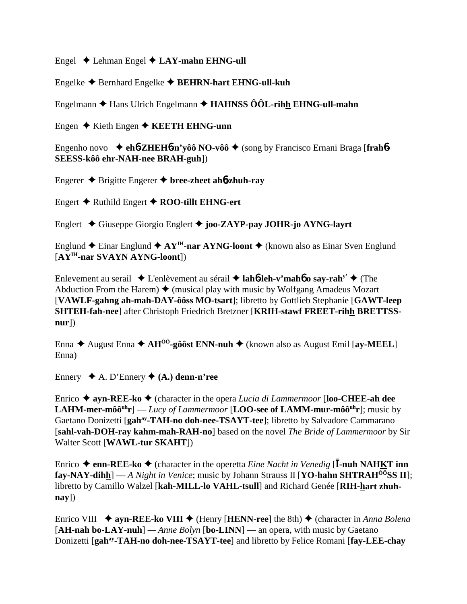Engel  $\triangle$  Lehman Engel  $\triangle$  LAY-mahn EHNG-ull

Engelke  $\triangle$  Bernhard Engelke  $\triangle$  BEHRN-hart EHNG-ull-kuh

Engelmann  $\triangle$  Hans Ulrich Engelmann  $\triangle$  HAHNSS  $\hat{O} \hat{O} L$ -rihh EHNG-ull-mahn

Engen  $\triangle$  Kieth Engen  $\triangle$  KEETH EHNG-unn

Engenho novo  $\triangleleft$ eh**ó-ZHEHó-n'yôô NO-vôô**  $\triangleleft$  (song by Francisco Ernani Braga [frahó-SEESS-kôô ehr-NAH-nee BRAH-guh])

Engerer  $\triangle$  Brigitte Engerer  $\triangle$  bree-zheet ah**ó-zhuh-ray** 

Engert  $\triangle$  Ruthild Engert  $\triangle$  ROO-tillt EHNG-ert

Englert ◆ Giuseppe Giorgio Englert ◆ joo-ZAYP-pay JOHR-jo AYNG-layrt

Englund  $\triangle$  Einar Englund  $\triangle$  AY<sup>IH</sup>-nar AYNG-loont  $\triangle$  (known also as Einar Sven Englund [AY<sup>IH</sup>-nar SVAYN AYNG-loont])

Enlevement au serail  $\triangle$  L'enlèvement au sérail  $\triangle$  laholeh-v'mahole sav-rah<sup>y'</sup>  $\triangle$  (The Abduction From the Harem)  $\blacklozenge$  (musical play with music by Wolfgang Amadeus Mozart [VAWLF-gahng ah-mah-DAY-ôôss MO-tsart]; libretto by Gottlieb Stephanie [GAWT-leep] SHTEH-fah-nee] after Christoph Friedrich Bretzner [KRIH-stawf FREET-rihh BRETTSS $nur$ ])

Enna  $\triangle$  August Enna  $\triangle$  AH<sup> $\hat{O}$ o<sup>2</sup>-gô ost ENN-nuh  $\triangle$  (known also as August Emil [av-MEEL]</sup> Enna)

Ennery  $\blacklozenge$  A. D'Ennery  $\blacklozenge$  (A.) denn-n'ree

Enrico  $\triangle$  ayn-REE-ko  $\triangle$  (character in the opera *Lucia di Lammermoor* [loo-CHEE-ah dee **LAHM-mer-môô<sup>uh</sup>r**] — *Lucy of Lammermoor* [**LOO-see of LAMM-mur-môô**<sup>uh</sup>**r**]; music by Gaetano Donizetti [gah<sup>ay</sup>-TAH-no doh-nee-TSAYT-tee]; libretto by Salvadore Cammarano [sahl-vah-DOH-ray kahm-mah-RAH-no] based on the novel The Bride of Lammermoor by Sir Walter Scott [WAWL-tur SKAHT])

Enrico  $\triangle$  enn-REE-ko  $\triangle$  (character in the operetta *Eine Nacht in Venedig* [I-nuh NAHKT inn **fay-NAY-dihh**] — A Night in Venice; music by Johann Strauss II [**YO-hahn SHTRAH**<sup> $\hat{O}$ o<sup> $\hat{O}$ </sup>SS **II**];</sup> libretto by Camillo Walzel [kah-MILL-lo VAHL-tsull] and Richard Genée [RIH-hart zhuh- $\bf{nay}$ ])

Enrico VIII  $\triangleq$  ayn-REE-ko VIII  $\triangleq$  (Henry [HENN-ree] the 8th)  $\triangleq$  (character in Anna Bolena [AH-nah bo-LAY-nuh] — Anne Bolyn [bo-LINN] — an opera, with music by Gaetano Donizetti [gah<sup>ay</sup>-TAH-no doh-nee-TSAYT-tee] and libretto by Felice Romani [fay-LEE-chay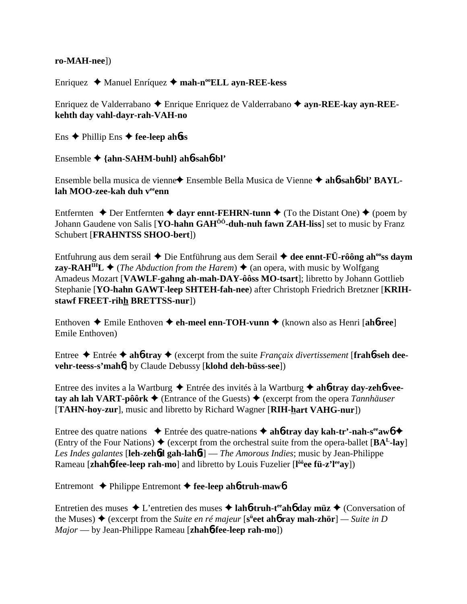#### ro-MAH-neel)

Enriquez ◆ Manuel Enríquez ◆ mah-n<sup>oo</sup>ELL ayn-REE-kess

Enriquez de Valderrabano  $\triangle$  Enrique Enriquez de Valderrabano  $\triangle$  ayn-REE-kay ayn-REEkehth day vahl-dayr-rah-VAH-no

Ens  $\triangle$  Phillip Ens  $\triangle$  fee-leep ahoss

Ensemble  $\triangle$  {ahn-SAHM-buhl} ah**6-sah6-bl'** 

Ensemble bella musica de vienne◆ Ensemble Bella Musica de Vienne ◆ ahó-sahó-bl' BAYLlah MOO-zee-kah duh veenn

Entfernten  $\triangle$  Der Entfernten  $\triangle$  dayr ennt-FEHRN-tunn  $\triangle$  (To the Distant One)  $\triangle$  (poem by Johann Gaudene von Salis [YO-hahn GAH<sup>00</sup>-duh-nuh fawn ZAH-liss] set to music by Franz Schubert [FRAHNTSS SHOO-bert])

Entfuhrung aus dem serail  $\triangle$  Die Entführung aus dem Serail  $\triangle$  dee ennt-FÜ-rôông ah<sup>oo</sup>ss daym **zay-RAH<sup>IH</sup>L**  $\blacklozenge$  (*The Abduction from the Harem*)  $\blacklozenge$  (an opera, with music by Wolfgang Amadeus Mozart [VAWLF-gahng ah-mah-DAY-ôôss MO-tsart]; libretto by Johann Gottlieb Stephanie [YO-hahn GAWT-leep SHTEH-fah-nee) after Christoph Friedrich Bretzner [KRIHstawf FREET-rihh BRETTSS-nur])

Enthoven  $\triangle$  Emile Enthoven  $\triangle$  eh-meel enn-TOH-vunn  $\triangle$  (known also as Henri [ah6-ree] Emile Enthoven)

Entree  $\triangle$  Entrée  $\triangle$  ahb-tray  $\triangle$  (excerpt from the suite Francaix divertissement [frahb-seh deevehr-teess-s'mahol by Claude Debussy [klohd deh-büss-see])

Entree des invites a la Wartburg  $\triangle$  Entrée des invités à la Wartburg  $\triangle$  ah**b-tray day-zehb-vee**tay ah lah VART-pôôrk  $\blacklozenge$  (Entrance of the Guests)  $\blacklozenge$  (excerpt from the opera *Tannhäuser* [TAHN-hoy-zur], music and libretto by Richard Wagner [RIH-hart VAHG-nur])

Entree des quatre nations  $\bullet$  Entrée des quatre-nations  $\bullet$  ahb-tray day kah-tr'-nah-s<sup>ee</sup> awb  $\bullet$ (Entry of the Four Nations)  $\blacklozenge$  (excerpt from the orchestral suite from the opera-ballet [BA<sup>L</sup>-lay] Les Indes galantes [leh-zeho gah-lahot] — The Amorous Indies; music by Jean-Philippe Rameau [zhahb-fee-leep rah-mo] and libretto by Louis Fuzelier [ $\hat{I}^{\delta \delta}$ ee fü-z'l<sup>ee</sup>av])

Entremont  $\triangle$  Philippe Entremont  $\triangle$  fee-leep ahb-truh-mawb

Entretien des muses  $\triangle$  L'entretien des muses  $\triangle$  lahotruh-t<sup>ee</sup> ahot day muz  $\triangle$  (Conversation of the Muses)  $\triangleq$  (excerpt from the *Suite en ré majeur* [s<sup>ü</sup>eet ah**ó ray mah-zhör**] — *Suite in D*  $Major$  — by Jean-Philippe Rameau [ $zhab6$ -fee-leep rah-mo])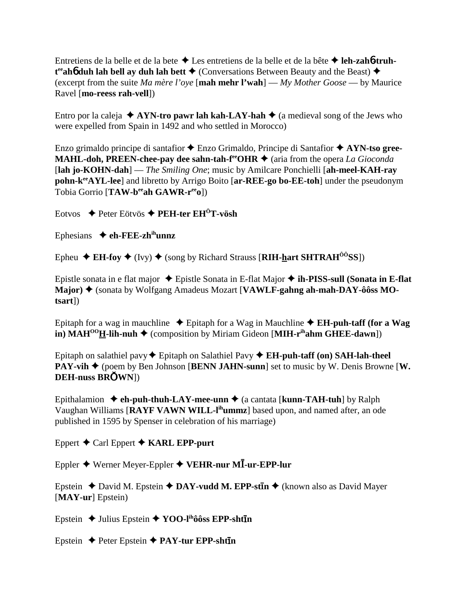Entretiens de la belle et de la bete Les entretiens de la belle et de la bête  **leh-zah**6**-truh**t<sup>ee</sup>ah**6** duh lah bell ay duh lah bett ♦ (Conversations Between Beauty and the Beast) ♦ (excerpt from the suite *Ma mère l'oye* [**mah mehr l'wah**] — *My Mother Goose* — by Maurice Ravel [**mo-reess rah-vell**])

Entro por la caleja  $\triangle$  AYN-tro pawr lah kah-LAY-hah  $\triangle$  (a medieval song of the Jews who were expelled from Spain in 1492 and who settled in Morocco)

Enzo grimaldo principe di santafior Enzo Grimaldo, Principe di Santafior **AYN-tso gree-MAHL-doh, PREEN-chee-pay dee sahn-tah-f<sup>ee</sup>OHR**  $\triangle$  (aria from the opera *La Gioconda* [**lah jo-KOHN-dah**] — *The Smiling One*; music by Amilcare Ponchielli [**ah-meel-KAH-ray pohn-keeAYL-lee**] and libretto by Arrigo Boito [**ar-REE-go bo-EE-toh**] under the pseudonym Tobia Gorrio [TAW-b<sup>ee</sup>ah GAWR-r<sup>ee</sup>o])

Eotvos Peter Eötvös **PEH-ter EHÖT-vösh**

Ephesians **eh-FEE-zhihunnz**

Epheu  $\triangle$  **EH-foy**  $\triangle$  (Ivy)  $\triangle$  (song by Richard Strauss [RIH-hart SHTRAH<sup>ôô</sup>SS])

Epistle sonata in e flat major Epistle Sonata in E-flat Major **ih-PISS-sull (Sonata in E-flat Major) ♦ (sonata by Wolfgang Amadeus Mozart [VAWLF-gahng ah-mah-DAY-ôôss MOtsart**])

Epitaph for a wag in mauchline  $\triangle$  Epitaph for a Wag in Mauchline  $\triangle$  **EH-puh-taff (for a Wag in) MAH<sup>00</sup>H-lih-nuh**  $\triangleq$  (composition by Miriam Gideon [MIH-r<sup>ih</sup>ahm GHEE-dawn])

Epitaph on salathiel pavy  $\blacklozenge$  Epitaph on Salathiel Pavy  $\blacklozenge$  **EH-puh-taff (on) SAH-lah-theel PAY-vih**  $\blacklozenge$  (poem by Ben Johnson [**BENN JAHN-sunn**] set to music by W. Denis Browne [**W. DEH-nuss BRWN**])

Epithalamion  $\triangle$  **eh-puh-thuh-LAY-mee-unn**  $\triangle$  (a cantata [**kunn-TAH-tuh**] by Ralph Vaughan Williams [**RAYF VAWN WILL-lihummz**] based upon, and named after, an ode published in 1595 by Spenser in celebration of his marriage)

Eppert  $\triangle$  Carl Eppert  $\triangle$  **KARL EPP-purt** 

Eppler Werner Meyer-Eppler **VEHR-nur M-ur-EPP-lur**

Epstein  $\triangle$  David M. Epstein  $\triangle$  DAY-vudd M. EPP-st**in**  $\triangle$  (known also as David Mayer [**MAY-ur**] Epstein)

Epstein  $\triangle$  Julius Epstein  $\triangle$  **YOO-l<sup>ih</sup>ôôss EPP-shtīn** 

Epstein  $\triangle$  Peter Epstein  $\triangle$  **PAY-tur EPP-shtin**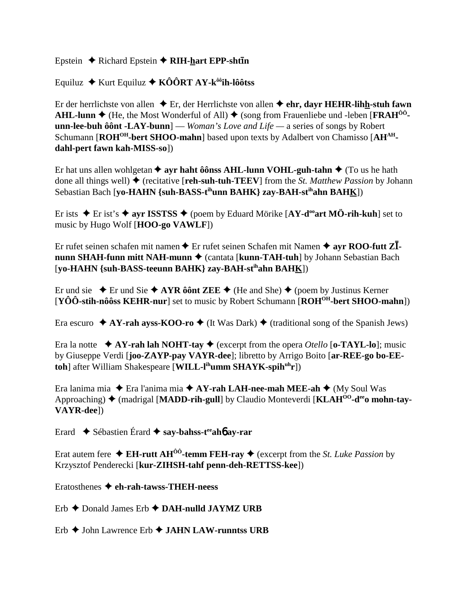### Epstein  $\triangle$  Richard Epstein  $\triangle$  RIH-hart EPP-shtin

## Equiluz  $\triangle$  Kurt Equiluz  $\triangle$  KÔÔRT AY-k<sup>ôô</sup>ih-lôôtss

Er der herrlichste von allen  $\triangle$  Er, der Herrlichste von allen  $\triangle$  ehr, dayr HEHR-lihh-stuh fawn AHL-lunn  $\blacklozenge$  (He, the Most Wonderful of All)  $\blacklozenge$  (song from Frauenliebe und -leben [FRAH<sup>00</sup>**unn-lee-buh ôônt -LAY-bunn**] — *Woman's Love and Life* — a series of songs by Robert Schumann [ROH<sup>OH</sup>-bert SHOO-mahn] based upon texts by Adalbert von Chamisso [AH<sup>AH</sup>dahl-pert fawn kah-MISS-sol)

Er hat uns allen wohlgetan  $\triangleq$  ayr haht ô ônss AHL-lunn VOHL-guh-tahn  $\triangleq$  (To us he hath done all things well)  $\blacklozenge$  (recitative [reh-suh-tuh-TEEV] from the *St. Matthew Passion* by Johann Sebastian Bach [yo-HAHN {suh-BASS-t<sup>ih</sup>unn BAHK} zay-BAH-st<sup>ih</sup>ahn BAH<u>K</u>])

Er ists  $\triangle$  Er ist's  $\triangle$  ayr ISSTSS  $\triangle$  (poem by Eduard Mörike [AY-d<sup>oo</sup>art MÖ-rih-kuh] set to music by Hugo Wolf [HOO-go VAWLF])

Er rufet seinen schafen mit namen  $\triangle$  Er rufet seinen Schafen mit Namen  $\triangleq$  avr ROO-futt Z $\overline{I}$ nunn SHAH-funn mitt NAH-munn ♦ (cantata [kunn-TAH-tuh] by Johann Sebastian Bach [yo-HAHN {suh-BASS-teeunn BAHK} zay-BAH-st<sup>ih</sup>ahn BAHK])

Er und sie  $\div$  Er und Sie  $\div$  AYR ô ônt ZEE  $\div$  (He and She)  $\div$  (poem by Justinus Kerner)  $[YO\hat{O}-\text{stih-n}\hat{O}\hat{O}\text{ss }KEHR-\text{nur}]$  set to music by Robert Schumann  $[ROH^{OH}-\text{bert }SHOO-\text{mahn}]\hat{O}$ 

Era escuro  $\star$  AY-rah ayss-KOO-ro  $\star$  (It Was Dark)  $\star$  (traditional song of the Spanish Jews)

Era la notte  $\triangle$  AY-rah lah NOHT-tay  $\triangle$  (excerpt from the opera *Otello* [o-TAYL-lo]; music by Giuseppe Verdi [joo-ZAYP-pay VAYR-dee]; libretto by Arrigo Boito [ar-REE-go bo-EEtohl after William Shakespeare [WILL-l<sup>ih</sup>umm SHAYK-spih<sup>uh</sup>r])

Era lanima mia  $\triangle$  Era l'anima mia  $\triangle$  AY-rah LAH-nee-mah MEE-ah  $\triangle$  (My Soul Was Approaching)  $\triangle$  (madrigal [MADD-rih-gull] by Claudio Monteverdi [KLAH<sup>00</sup>-d<sup>ee</sup>o mohn-tay-VAYR-deel)

Erard  $\bullet$  Sébastien Érard  $\bullet$  say-bahss-t<sup>ee</sup> ah**6** ay-rar

Erat autem fere  $\triangleleft$  EH-rutt AH<sup> $\hat{0}$ °-temm FEH-ray  $\triangleleft$  (excerpt from the *St. Luke Passion* by</sup> Krzysztof Penderecki [kur-ZIHSH-tahf penn-deh-RETTSS-kee])

Eratosthenes  $\triangle$  eh-rah-tawss-THEH-neess

Erb  $\triangle$  Donald James Erb  $\triangle$  DAH-nulld JAYMZ URB

 $Erb \triangleleft$  John Lawrence  $Erb \triangleleft$  JAHN LAW-runntss URB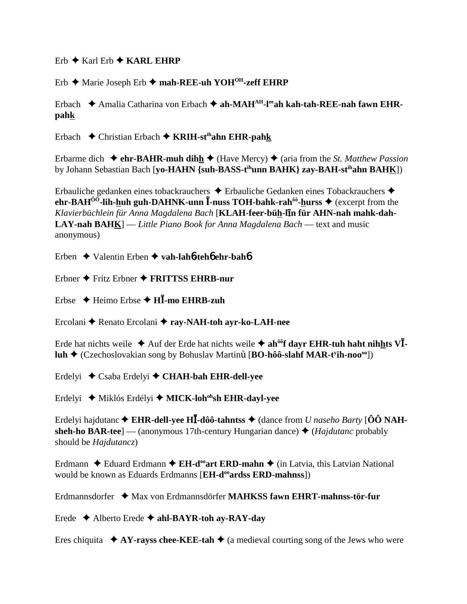$Erb \triangleleft Karl$   $Erb \triangleleft KARI$ ,  $FHRP$ 

Erb ◆ Marie Joseph Erb ◆ mah-REE-uh YOH<sup>OH</sup>-zeff EHRP

Erbach  $\triangle$  Amalia Catharina von Erbach  $\triangle$  ah-MAH<sup>AH</sup>-l<sup>ee</sup>ah kah-tah-REE-nah fawn EHRpahk

Erbach  $\triangle$  Christian Erbach  $\triangle$  KRIH-st<sup>ih</sup>ahn EHR-pahk

Erbarme dich  $\triangleq$  ehr-BAHR-muh dihh $\triangleq$  (Have Mercy)  $\triangleq$  (aria from the *St. Matthew Passion* by Johann Sebastian Bach [vo-HAHN {suh-BASS-t<sup>ih</sup>unn BAHK} zay-BAH-st<sup>ih</sup>ahn BAHK])

Erbauliche gedanken eines tobackrauchers  $\triangle$  Erbauliche Gedanken eines Tobackrauchers  $\triangle$ ehr-BAH<sup> $00$ </sup>-lih-huh guh-DAHNK-unn  $\bar{I}$ -nuss TOH-bahk-rah<sup> $00$ </sup>-hurss  $\blacklozenge$  (excerpt from the Klavierbüchlein für Anna Magdalena Bach [KLAH-feer-büh-lin für AHN-nah mahk-dah-**LAY-nah BAHK** $]$  — Little Piano Book for Anna Magdalena Bach — text and music anonymous)

Erben  $\triangle$  Valentin Erben  $\triangle$  vah-lah 6-teh 6 ehr-bah 6

Erbner  $\triangle$  Fritz Erbner  $\triangle$  FRITTSS EHRB-nur

Erbse  $\triangle$  Heimo Erbse  $\triangle$  HI-mo EHRB-zuh

Ercolani ◆ Renato Ercolani ◆ ray-NAH-toh avr-ko-LAH-nee

Erde hat nichts weile  $\triangle$  Auf der Erde hat nichts weile  $\triangle$  ah<sup>oo</sup>f dayr EHR-tuh haht nihhts VI.  $\text{luh} \triangleq (\text{Czechoslovakian song by Bohuslav Martinů} [\text{BO-hôô-slahf MAR-tvih-noo<sup>oo</sup>])$ 

Erdelyi ♦ Csaba Erdelyi ♦ CHAH-bah EHR-dell-yee

Erdelyi ◆ Miklós Erdélyi ◆ MICK-loh<sup>oh</sup>sh EHR-dayl-yee

Erdelyi hajdutanc  $\triangle$  EHR-dell-yee HI-dôô-tahntss  $\triangle$  (dance from *U naseho Barty* [ $\hat{O}\hat{O}$  NAHsheh-ho BAR-tee] — (anonymous 17th-century Hungarian dance)  $\triangle$  (Hajdutanc probably should be *Hajdutancz*)

Erdmann  $\triangle$  Eduard Erdmann  $\triangle$  EH-d<sup>oo</sup>art ERD-mahn  $\triangle$  (in Latvia, this Latvian National would be known as Eduards Erdmanns [EH-d<sup>oo</sup>ards ERD-mahnss])

Erdmannsdorfer  $\triangleq$  Max von Erdmannsdörfer **MAHKSS** fawn EHRT-mahnss-tör-fur

Erede  $\triangle$  Alberto Erede  $\triangle$  ahl-BAYR-toh av-RAY-dav

Eres chiquita  $\star$  AY-rayss chee-KEE-tah  $\star$  (a medieval courting song of the Jews who were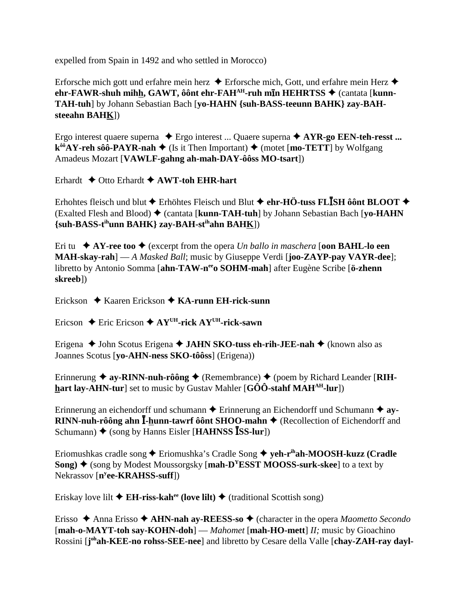expelled from Spain in 1492 and who settled in Morocco)

Erforsche mich gott und erfahre mein herz  $\triangle$  Erforsche mich, Gott, und erfahre mein Herz  $\triangle$ ehr-FAWR-shuh mihh, GAWT, ôônt ehr-FAH<sup>AH</sup>-ruh min HEHRTSS ♦ (cantata [kunn-TAH-tuh] by Johann Sebastian Bach [yo-HAHN {suh-BASS-teeunn BAHK} zay-BAHsteeahn BAHK])

Ergo interest quaere superna  $\triangle$  Ergo interest ... Quaere superna  $\triangle$  AYR-go EEN-teh-resst ...  $k^{\hat{\omega} \hat{\theta}}AY$ -reh sôô-PAYR-nah  $\blacklozenge$  (Is it Then Important)  $\blacklozenge$  (motet [mo-TETT] by Wolfgang Amadeus Mozart [VAWLF-gahng ah-mah-DAY-ôôss MO-tsart])

Erhardt  $\triangle$  Otto Erhardt  $\triangle$  AWT-toh EHR-hart

Erhohtes fleisch und blut  $\triangle$  Erhöhtes Fleisch und Blut  $\triangle$  ehr-HÖ-tuss FLISH ôônt BLOOT  $\triangle$ (Exalted Flesh and Blood)  $\blacklozenge$  (cantata [kunn-TAH-tuh] by Johann Sebastian Bach [yo-HAHN] {suh-BASS-t<sup>ih</sup>unn BAHK} zav-BAH-st<sup>ih</sup>ahn BAHK])

Eri tu  $\star$  AY-ree too  $\star$  (excerpt from the opera *Un ballo in maschera* [oon **BAHL-lo een MAH-skay-rah**] — A Masked Ball; music by Giuseppe Verdi [joo-ZAYP-pay VAYR-dee]; libretto by Antonio Somma [ahn-TAW-n<sup>ee</sup>o SOHM-mah] after Eugène Scribe [ö-zhenn skreeb])

Erickson  $\triangle$  Kaaren Erickson  $\triangle$  KA-runn EH-rick-sunn

Ericson  $\triangle$  Eric Ericson  $\triangle$  AY<sup>UH</sup>-rick AY<sup>UH</sup>-rick-sawn

Erigena ◆ John Scotus Erigena ◆ JAHN SKO-tuss eh-rih-JEE-nah ◆ (known also as Joannes Scotus [yo-AHN-ness SKO-tôôss] (Erigena))

Erinnerung  $\triangleq$  ay-RINN-nuh-rôông  $\triangleq$  (Remembrance)  $\triangleq$  (poem by Richard Leander [RIH**hart lay-AHN-tur** set to music by Gustav Mahler  $[G\hat{O}\hat{O}$ -stahf MAH<sup>AH</sup>-lur<sup>]</sup>)

Erinnerung an eichendorff und schumann  $\triangle$  Erinnerung an Eichendorff und Schumann  $\triangleq$  ay- $RINN$ -nuh-rôông ahn  $\overline{I}$ -hunn-tawrf ôônt SHOO-mahn  $\blacklozenge$  (Recollection of Eichendorff and Schumann)  $\blacklozenge$  (song by Hanns Eisler [HAHNSS ISS-lur])

Eriomushkas cradle song  $\triangle$  Eriomushka's Cradle Song  $\triangle$  yeh-r<sup>ih</sup>ah-MOOSH-kuzz (Cradle Song)  $\triangle$  (song by Modest Moussorgsky [mah-D<sup>Y</sup>ESST MOOSS-surk-skee] to a text by Nekrassov [n<sup>y</sup>ee-KRAHSS-suff])

Eriskay love lilt  $\triangle$  EH-riss-kah<sup>ee</sup> (love lilt)  $\triangle$  (traditional Scottish song)

Erisso  $\triangle$  Anna Erisso  $\triangle$  AHN-nah ay-REESS-so  $\triangle$  (character in the opera *Maometto Secondo* [mah-o-MAYT-toh say-KOHN-doh] — Mahomet [mah-HO-mett] II; music by Gioachino Rossini [j<sup>oh</sup>ah-KEE-no rohss-SEE-nee] and libretto by Cesare della Valle [chay-ZAH-ray dayl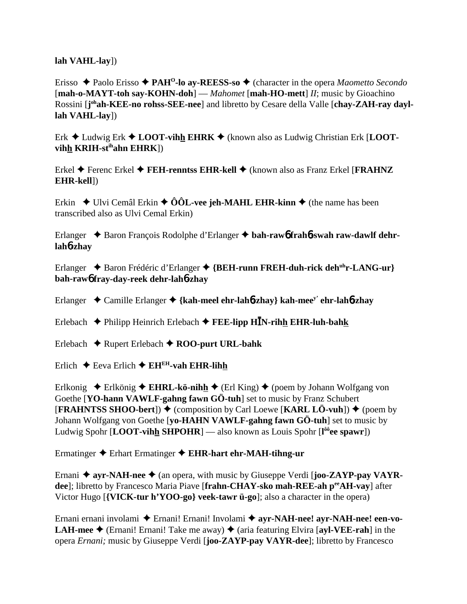**lah VAHL-lay**])

Erisso Paolo Erisso **PAHO-lo ay-REESS-so** (character in the opera *Maometto Secondo* [**mah-o-MAYT-toh say-KOHN-doh**] — *Mahomet* [**mah-HO-mett**] *II*; music by Gioachino Rossini [j<sup>oh</sup>ah-KEE-no rohss-SEE-nee] and libretto by Cesare della Valle [chay-ZAH-ray dayl**lah VAHL-lay**])

Erk ◆ Ludwig Erk ◆ LOOT-vihh EHRK ◆ (known also as Ludwig Christian Erk [LOOT**vihh KRIH-stihahn EHRK**])

Erkel Ferenc Erkel **FEH-renntss EHR-kell** (known also as Franz Erkel [**FRAHNZ EHR-kell**])

Erkin  $\blacklozenge$  Ulvi Cemâl Erkin  $\blacklozenge$  ÔÔL-vee jeh-MAHL EHR-kinn  $\blacklozenge$  (the name has been transcribed also as Ulvi Cemal Erkin)

Erlanger Baron François Rodolphe d'Erlanger **bah-raw**6 **frah**6**-swah raw-dawlf dehrlah**6**-zhay**

Erlanger ◆ Baron Frédéric d'Erlanger ◆ {BEH-runn FREH-duh-rick deh<sup>uh</sup>r-LANG-ur} **bah-raw**6 **fray-day-reek dehr-lah**6**-zhay**

Erlanger Camille Erlanger **{kah-meel ehr-lah**6**-zhay} kah-meey' ehr-lah**6**-zhay**

Erlebach Philipp Heinrich Erlebach **FEE-lipp HN-rihh EHR-luh-bahk**

Erlebach  $\triangle$  Rupert Erlebach  $\triangle$  **ROO-purt URL-bahk** 

Erlich  $\triangle$  Eeva Erlich  $\triangle$  EH<sup>EH</sup>-vah EHR-lihh

Erlkonig  $\triangle$  Erlkönig  $\triangle$  **EHRL-kö-nihh**  $\triangle$  (Erl King)  $\triangle$  (poem by Johann Wolfgang von Goethe [**YO-hann VAWLF-gahng fawn GÖ-tuh**] set to music by Franz Schubert  $[FRAHNTSS SHOO-bert]$ )  $\blacklozenge$  (composition by Carl Loewe  $[KARL L\ddot{o}$ -vuh))  $\blacklozenge$  (poem by Johann Wolfgang von Goethe [**yo-HAHN VAWLF-gahng fawn GÖ-tuh**] set to music by Ludwig Spohr [**LOOT-vihh SHPOHR**] — also known as Louis Spohr [**l ôôee spawr**])

Ermatinger Erhart Ermatinger **EHR-hart ehr-MAH-tihng-ur**

Ernani **→ ayr-NAH-nee** → (an opera, with music by Giuseppe Verdi [**joo-ZAYP-pay VAYRdee**]; libretto by Francesco Maria Piave [**frahn-CHAY-sko mah-REE-ah peeAH-vay**] after Victor Hugo [**{VICK-tur h'YOO-go} veek-tawr ü-go**]; also a character in the opera)

Ernani ernani involami Ernani! Ernani! Involami **ayr-NAH-nee! ayr-NAH-nee! een-vo-LAH-mee**  $\blacklozenge$  (Ernani! Ernani! Take me away)  $\blacklozenge$  (aria featuring Elvira [ayl-VEE-rah] in the opera *Ernani;* music by Giuseppe Verdi [**joo-ZAYP-pay VAYR-dee**]; libretto by Francesco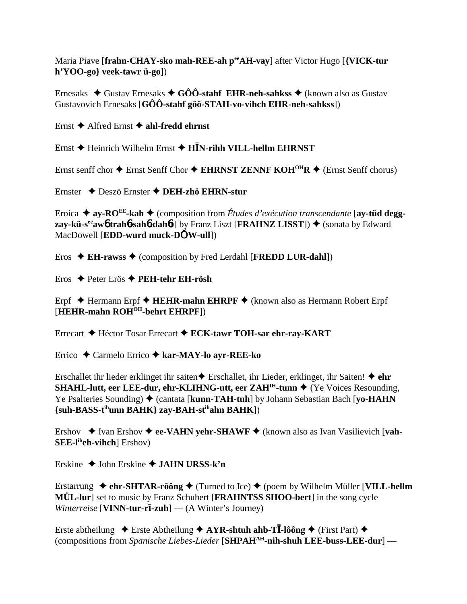Maria Piave [frahn-CHAY-sko mah-REE-ah per AH-vay] after Victor Hugo [{VICK-tur  $h'YOO-go\}$  veek-tawr  $\ddot{u}$ -go])

Ernesaks  $\triangle$  Gustav Ernesaks  $\triangle$  GÔÔ-stahf EHR-neh-sahkss  $\triangle$  (known also as Gustav Gustavovich Ernesaks  $[G\hat{O}\hat{O}$ -stahf gôô-STAH-vo-vihch EHR-neh-sahkss])

Ernst  $\triangle$  Alfred Ernst  $\triangle$  ahl-fredd ehrnst

Ernst  $\triangle$  Heinrich Wilhelm Ernst  $\triangle$  H $\bar{I}N$ -rihh VILL-hellm EHRNST

Ernst senff chor  $\triangle$  Ernst Senff Chor  $\triangle$  EHRNST ZENNF KOH<sup>OH</sup>R  $\triangle$  (Ernst Senff chorus)

Ernster ◆ Deszö Ernster ◆ DEH-zhö EHRN-stur

Eroica  $\triangleq$  ay-RO<sup>EE</sup>-kah  $\triangleq$  (composition from *Études d'exécution transcendante* [ay-tüd deggzav-kü-s<sup>ee</sup>aw otraho-saho-dahot] by Franz Liszt [FRAHNZ LISST])  $\blacklozenge$  (sonata by Edward MacDowell [**EDD-wurd muck-DOW-ull**])

Eros  $\triangleleft$  EH-rawss  $\triangleleft$  (composition by Fred Lerdahl [FREDD LUR-dahl])

Eros  $\triangle$  Peter Erös  $\triangle$  PEH-tehr EH-rösh

Erpf  $\triangle$  Hermann Erpf  $\triangle$  HEHR-mahn EHRPF  $\triangle$  (known also as Hermann Robert Erpf [HEHR-mahn ROH<sup>OH</sup>-behrt EHRPF])

Errecart ♦ Héctor Tosar Errecart ♦ ECK-tawr TOH-sar ehr-ray-KART

Errico  $\triangle$  Carmelo Errico  $\triangle$  kar-MAY-lo ayr-REE-ko

Erschallet ihr lieder erklinget ihr saiten $\triangle$  Erschallet, ihr Lieder, erklinget, ihr Saiten!  $\triangle$  ehr SHAHL-lutt, eer LEE-dur, ehr-KLIHNG-utt, eer ZAH<sup>IH</sup>-tunn ♦ (Ye Voices Resounding, Ye Psalteries Sounding)  $\triangle$  (cantata [kunn-TAH-tuh] by Johann Sebastian Bach [yo-HAHN] {suh-BASS-t<sup>ih</sup>unn BAHK} zay-BAH-st<sup>ih</sup>ahn BAHK])

Ershov  $\bullet$  Ivan Ershov  $\bullet$  ee-VAHN yehr-SHAWF  $\bullet$  (known also as Ivan Vasilievich [vah-**] Ershov)** 

Erskine  $\triangle$  John Erskine  $\triangle$  JAHN URSS-k'n

Erstarrung  $\triangle$  ehr-SHTAR-rôông  $\triangle$  (Turned to Ice)  $\triangle$  (poem by Wilhelm Müller [VILL-hellm MÜL-lur] set to music by Franz Schubert [FRAHNTSS SHOO-bert] in the song cycle *Winterreise* [VINN-tur-r $\overline{\textbf{1}}$ -zuh] — (A Winter's Journey)

Erste abtheilung  $\triangle$  Erste Abtheilung  $\triangle$  AYR-shtuh ahb-T**I**-lôông  $\triangle$  (First Part)  $\triangle$ (compositions from Spanische Liebes-Lieder [SHPAH<sup>AH</sup>-nih-shuh LEE-buss-LEE-dur] —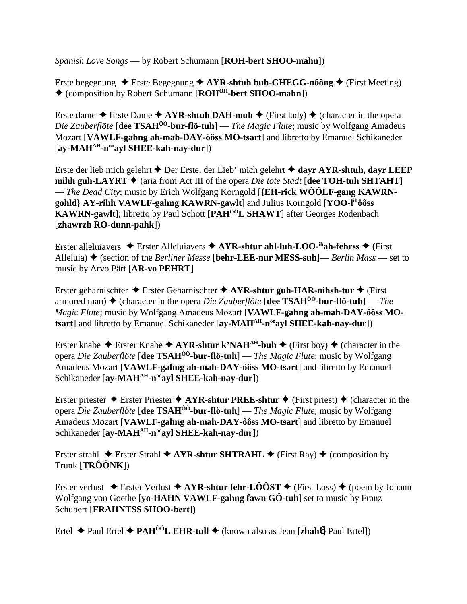*Spanish Love Songs* — by Robert Schumann [**ROH-bert SHOO-mahn**])

Erste begegnung  $\triangle$  Erste Begegnung  $\triangle$  AYR-shtuh buh-GHEGG-nôông  $\triangle$  (First Meeting) (composition by Robert Schumann [**ROHOH-bert SHOO-mahn**])

Erste dame  $\triangle$  Erste Dame  $\triangle$  AYR-shtuh DAH-muh  $\triangle$  (First lady)  $\triangle$  (character in the opera *Die Zauberflöte* [**dee TSAHÔÔ-bur-flö-tuh**] — *The Magic Flute*; music by Wolfgang Amadeus Mozart [**VAWLF-gahng ah-mah-DAY-ôôss MO-tsart**] and libretto by Emanuel Schikaneder [**ay-MAHAH-nooayl SHEE-kah-nay-dur**])

Erste der lieb mich gelehrt Der Erste, der Lieb' mich gelehrt **dayr AYR-shtuh, dayr LEEP mihh guh-LAYRT**  $\blacklozenge$  (aria from Act III of the opera *Die tote Stadt* [**dee TOH-tuh SHTAHT**] — *The Dead City*; music by Erich Wolfgang Korngold [**{EH-rick WÔÔLF-gang KAWRNgohld} AY-rihh VAWLF-gahng KAWRN-gawlt**] and Julius Korngold [**YOO-lihôôss KAWRN-gawlt**]; libretto by Paul Schott [**PAHÔÔL SHAWT**] after Georges Rodenbach [**zhawrzh RO-dunn-pahk**])

Erster alleluiavers  $\triangle$  Erster Alleluiavers  $\triangle$  AYR-shtur ahl-luh-LOO-<sup>ih</sup>ah-fehrss  $\triangle$  (First Alleluia)  $\triangle$  (section of the *Berliner Messe* [**behr-LEE-nur MESS-suh**]— *Berlin Mass* — set to music by Arvo Pärt [**AR-vo PEHRT**]

Erster geharnischter Erster Geharnischter **AYR-shtur guh-HAR-nihsh-tur** (First armored man)  $\blacklozenge$  (character in the opera *Die Zauberflöte* [**dee TSAH<sup>ôô</sup>-bur-flö-tuh**] — *The Magic Flute*; music by Wolfgang Amadeus Mozart [**VAWLF-gahng ah-mah-DAY-ôôss MOtsart**] and libretto by Emanuel Schikaneder [ay-MAH<sup>AH</sup>-n<sup>oo</sup>ayl SHEE-kah-nay-dur])

Erster knabe  $\triangle$  Erster Knabe  $\triangle$  AYR-shtur k'NAH<sup>AH</sup>-buh  $\triangle$  (First boy)  $\triangle$  (character in the opera *Die Zauberflöte* [**dee TSAHÔÔ-bur-flö-tuh**] — *The Magic Flute*; music by Wolfgang Amadeus Mozart [**VAWLF-gahng ah-mah-DAY-ôôss MO-tsart**] and libretto by Emanuel Schikaneder [ay-MAH<sup>AH</sup>-n<sup>oo</sup>ayl SHEE-kah-nay-dur])

Erster priester  $\triangle$  Erster Priester  $\triangle$  AYR-shtur PREE-shtur  $\triangle$  (First priest)  $\triangle$  (character in the opera *Die Zauberflöte* [**dee TSAHÔÔ-bur-flö-tuh**] — *The Magic Flute*; music by Wolfgang Amadeus Mozart [**VAWLF-gahng ah-mah-DAY-ôôss MO-tsart**] and libretto by Emanuel Schikaneder [ay-MAH<sup>AH</sup>-n<sup>oo</sup>ayl SHEE-kah-nay-dur])

Erster strahl  $\triangle$  Erster Strahl  $\triangle$  AYR-shtur SHTRAHL  $\triangle$  (First Ray)  $\triangle$  (composition by Trunk [**TRÔÔNK**])

Erster verlust  $\triangle$  Erster Verlust  $\triangle$  AYR-shtur fehr-LÔÔST  $\triangle$  (First Loss)  $\triangle$  (poem by Johann Wolfgang von Goethe [**yo-HAHN VAWLF-gahng fawn GÖ-tuh**] set to music by Franz Schubert [**FRAHNTSS SHOO-bert**])

Ertel  $\triangle$  Paul Ertel  $\triangle$  PAH<sup>ôô</sup>L EHR-tull  $\triangle$  (known also as Jean [zhah<sup>6</sup>] Paul Ertel])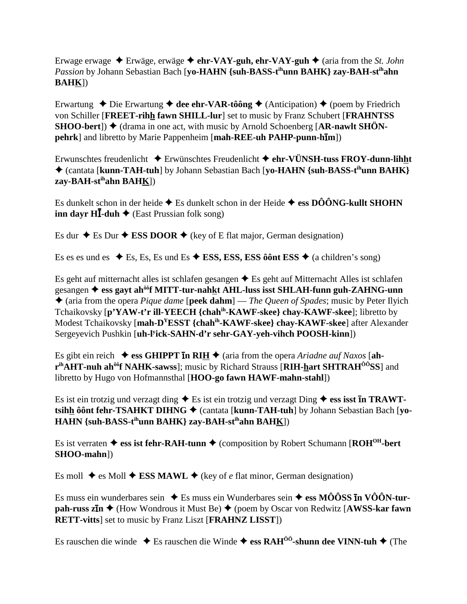Erwage erwage  $\triangle$  Erwäge, erwäge  $\triangle$  ehr-VAY-guh, ehr-VAY-guh  $\triangle$  (aria from the *St. John* Passion by Johann Sebastian Bach [yo-HAHN {suh-BASS-t<sup>ih</sup>unn BAHK} zay-BAH-st<sup>ih</sup>ahn  $BAHK$ ])

Erwartung  $\bullet$  Die Erwartung  $\bullet$  dee ehr-VAR-tôông  $\bullet$  (Anticipation)  $\bullet$  (poem by Friedrich von Schiller [FREET-rihh fawn SHILL-lur] set to music by Franz Schubert [FRAHNTSS]  $SHOO-bert$ ])  $\blacklozenge$  (drama in one act, with music by Arnold Schoenberg [AR-nawlt SHÖN**pehrk**] and libretto by Marie Pappenheim [mah-REE-uh PAHP-punn-h**im**])

Erwunschtes freudenlicht  $\triangle$  Erwünschtes Freudenlicht  $\triangle$  ehr-VÜNSH-tuss FROY-dunn-lihht ♦ (cantata [kunn-TAH-tuh] by Johann Sebastian Bach [yo-HAHN {suh-BASS-t<sup>ih</sup>unn BAHK}  $zav-BAH-st<sup>ih</sup>ahn BAHK$ ])

Es dunkelt schon in der heide  $\triangle$  Es dunkelt schon in der Heide  $\triangle$  ess DÔÔNG-kullt SHOHN **inn dayr HI**-duh  $\blacklozenge$  (East Prussian folk song)

Es dur  $\triangle$  Es Dur  $\triangle$  ESS DOOR  $\triangle$  (key of E flat major, German designation)

Es es es und es  $\triangle$  Es, Es, Es und Es  $\triangle$  ESS, ESS, ESS ô ô nt ESS  $\triangle$  (a children's song)

Es geht auf mitternacht alles ist schlafen gesangen  $\triangle$  Es geht auf Mitternacht Alles ist schlafen gesangen ♦ ess gavt ah<sup>ôô</sup>f MITT-tur-nahkt AHL-luss isst SHLAH-funn guh-ZAHNG-unn  $\triangle$  (aria from the opera *Pique dame* [peek dahm] — *The Queen of Spades*; music by Peter Ilyich Tchaikovsky [p'YAW-t'r ill-YEECH {chah<sup>ih</sup>-KAWF-skee} chay-KAWF-skee]; libretto by Modest Tchaikovsky [mah-D<sup>Y</sup>ESST {chah<sup>ih</sup>-KAWF-skee} chay-KAWF-skee] after Alexander Sergeyevich Pushkin [uh-l'ick-SAHN-d'r sehr-GAY-yeh-vihch POOSH-kinn])

Es gibt ein reich  $\triangleq$  ess GHIPPT in RIH  $\triangleq$  (aria from the opera *Ariadne auf Naxos* [ahr<sup>ih</sup>AHT-nuh ah<sup>ôô</sup>f NAHK-sawss]; music by Richard Strauss [RIH-hart SHTRAH<sup>ÔÔ</sup>SS] and libretto by Hugo von Hofmannsthal [HOO-go fawn HAWF-mahn-stahl])

Es ist ein trotzig und verzagt ding  $\triangle$  Es ist ein trotzig und verzagt Ding  $\triangle$  ess isst **In TRAWT**tsihh ôônt fehr-TSAHKT DIHNG  $\triangleq$  (cantata [kunn-TAH-tuh] by Johann Sebastian Bach [yo-HAHN {suh-BASS-t<sup>ih</sup>unn BAHK} zay-BAH-st<sup>ih</sup>ahn BAHK])

Es ist verraten  $\triangleq$  ess ist fehr-RAH-tunn  $\triangleq$  (composition by Robert Schumann [ROH<sup>OH</sup>-bert SHOO-mahn])

Es moll  $\triangle$  es Moll  $\triangle$  ESS MAWL  $\triangle$  (key of *e* flat minor, German designation)

Es muss ein wunderbares sein  $\triangle$  Es muss ein Wunderbares sein  $\triangle$  ess MÔÔSS In VÔÔN-turpah-russ  $\overline{z}$ In  $\blacklozenge$  (How Wondrous it Must Be)  $\blacklozenge$  (poem by Oscar von Redwitz [AWSS-kar fawn **RETT-vitts** set to music by Franz Liszt [FRAHNZ LISST])

Es rauschen die winde  $\triangle$  Es rauschen die Winde  $\triangle$  ess RAH<sup>ôô</sup>-shunn dee VINN-tuh  $\triangle$  (The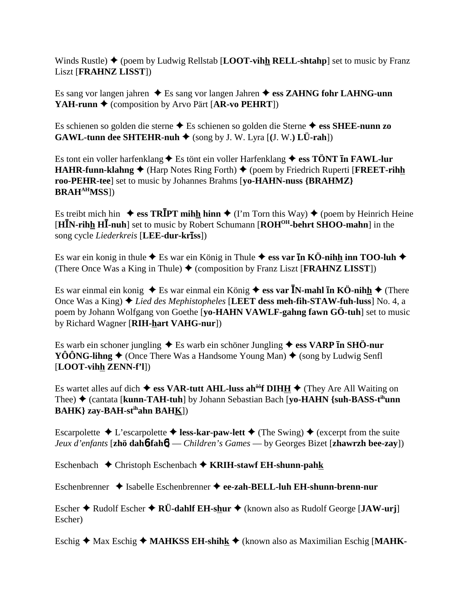Winds Rustle)  $\triangle$  (poem by Ludwig Rellstab [**LOOT-vihh RELL-shtahp**] set to music by Franz Liszt [**FRAHNZ LISST**])

Es sang vor langen jahren  $\triangle$  Es sang vor langen Jahren  $\triangle$  ess ZAHNG fohr LAHNG-unn **YAH-runn ♦** (composition by Arvo Pärt [AR-vo PEHRT])

Es schienen so golden die sterne Es schienen so golden die Sterne **ess SHEE-nunn zo GAWL-tunn dee SHTEHR-nuh**  $\blacklozenge$  **(song by J. W. Lyra [(J. W.) LÜ-rah])** 

Es tont ein voller harfenklang  $\blacklozenge$  Es tönt ein voller Harfenklang  $\blacklozenge$  ess TÖNT **In FAWL-lur HAHR-funn-klahng ♦** (Harp Notes Ring Forth) ♦ (poem by Friedrich Ruperti [**FREET-rihh roo-PEHR-tee**] set to music by Johannes Brahms [**yo-HAHN-nuss {BRAHMZ} BRAHAHMSS**])

Es treibt mich hin  $\triangleq \text{ess TRIPT mihh him} \triangleq (I'm Torn this Way) \triangleq (poem by Heinrich Heine)$ [**HN-rihh H-nuh**] set to music by Robert Schumann [**ROHOH-behrt SHOO-mahn**] in the song cycle *Liederkreis* [**LEE-dur-krīss**])

Es war ein konig in thule  $\triangle$  Es war ein König in Thule  $\triangle$  ess var **In KÖ-nihh inn TOO-luh**  $\triangle$ (There Once Was a King in Thule)  $\triangleq$  (composition by Franz Liszt [**FRAHNZ LISST**])

Es war einmal ein konig ◆ Es war einmal ein König ◆ ess var **ĪN-mahl īn KÖ-nih<u>h</u>** ◆ (There Once Was a King) *Lied des Mephistopheles* [**LEET dess meh-fih-STAW-fuh-luss**] No. 4, a poem by Johann Wolfgang von Goethe [**yo-HAHN VAWLF-gahng fawn GÖ-tuh**] set to music by Richard Wagner [**RIH-hart VAHG-nur**])

Es warb ein schoner jungling ◆ Es warb ein schöner Jungling ◆ ess VARP **In SHÖ-nur YÔÔNG-lihng**  $\blacklozenge$  (Once There Was a Handsome Young Man)  $\blacklozenge$  (song by Ludwig Senfl [**LOOT-vihh ZENN-f'l**])

Es wartet alles auf dich  $\triangleq$  ess VAR-tutt AHL-luss ah<sup> $\delta \hat{\sigma}$ f DIHH  $\triangleq$  (They Are All Waiting on</sup> Thee) ♦ (cantata [**kunn-TAH-tuh**] by Johann Sebastian Bach [**yo-HAHN** {suh-BASS-t<sup>ih</sup>unn **BAHK} zay-BAH-stihahn BAHK**])

Escarpolette  $\triangle$  L'escarpolette  $\triangle$  less-kar-paw-lett  $\triangle$  (The Swing)  $\triangle$  (excerpt from the suite *Jeux d'enfants* [**zhö dah**6**-fah**6] — *Children's Games* — by Georges Bizet [**zhawrzh bee-zay**])

Eschenbach Christoph Eschenbach **KRIH-stawf EH-shunn-pahk**

Eschenbrenner Isabelle Eschenbrenner **ee-zah-BELL-luh EH-shunn-brenn-nur**

Escher  $\triangle$  Rudolf Escher  $\triangle$  RÜ-dahlf EH-shur  $\triangle$  (known also as Rudolf George [**JAW-urj**] Escher)

Eschig  $\triangle$  Max Eschig  $\triangle$  **MAHKSS EH-shihk**  $\triangle$  (known also as Maximilian Eschig [**MAHK**-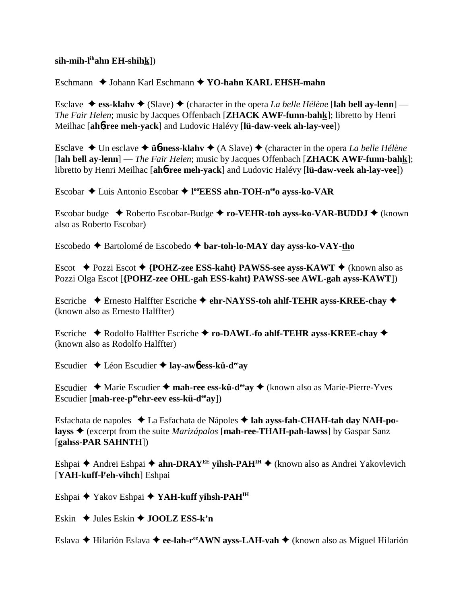### **sih-mih-lihahn EH-shihk**])

Eschmann ♦ Johann Karl Eschmann ♦ YO-hahn KARL EHSH-mahn

Esclave  $\triangle$  ess-klahv  $\triangle$  (Slave)  $\triangle$  (character in the opera *La belle Hélène* [lah bell ay-lenn] — *The Fair Helen*; music by Jacques Offenbach [**ZHACK AWF-funn-bahk**]; libretto by Henri Meilhac [**ah**6**-ree meh-yack**] and Ludovic Halévy [**lü-daw-veek ah-lay-vee**])

Esclave Un esclave **ü**6**-ness-klahv** (A Slave) (character in the opera *La belle Hélène* [**lah bell ay-lenn**] — *The Fair Helen*; music by Jacques Offenbach [**ZHACK AWF-funn-bahk**]; libretto by Henri Meilhac [**ah**6**-ree meh-yack**] and Ludovic Halévy [**lü-daw-veek ah-lay-vee**])

Escobar Luis Antonio Escobar **l ooEESS ahn-TOH-neeo ayss-ko-VAR**

Escobar budge ◆ Roberto Escobar-Budge ◆ ro-VEHR-toh ayss-ko-VAR-BUDDJ ◆ (known also as Roberto Escobar)

Escobedo Bartolomé de Escobedo **bar-toh-lo-MAY day ayss-ko-VAY-tho**

Escot Pozzi Escot **{POHZ-zee ESS-kaht} PAWSS-see ayss-KAWT** (known also as Pozzi Olga Escot [**{POHZ-zee OHL-gah ESS-kaht} PAWSS-see AWL-gah ayss-KAWT**])

Escriche Ernesto Halffter Escriche **ehr-NAYSS-toh ahlf-TEHR ayss-KREE-chay** (known also as Ernesto Halffter)

Escriche **← Rodolfo Halffter Escriche ← ro-DAWL-fo ahlf-TEHR ayss-KREE-chay ←** (known also as Rodolfo Halffter)

Escudier Léon Escudier **lay-aw**6 **ess-kü-deeay**

Escudier Marie Escudier **mah-ree ess-kü-deeay** (known also as Marie-Pierre-Yves Escudier [mah-ree-p<sup>ee</sup>ehr-eev ess-kü-d<sup>ee</sup>ay])

Esfachata de napoles La Esfachata de Nápoles **lah ayss-fah-CHAH-tah day NAH-polayss** (excerpt from the suite *Marizápalos* [**mah-ree-THAH-pah-lawss**] by Gaspar Sanz [**gahss-PAR SAHNTH**])

Eshpai ◆ Andrei Eshpai ◆ ahn-DRAY<sup>EE</sup> yihsh-PAH<sup>IH</sup> ◆ (known also as Andrei Yakovlevich [**YAH-kuff-ly eh-vihch**] Eshpai

Eshpai ◆ Yakov Eshpai ◆ YAH-kuff yihsh-PAH<sup>IH</sup>

Eskin  $\triangle$  Jules Eskin  $\triangle$  **JOOLZ ESS-k'n** 

Eslava **←** Hilarión Eslava ← ee-lah-r<sup>ee</sup>AWN ayss-LAH-vah ← (known also as Miguel Hilarión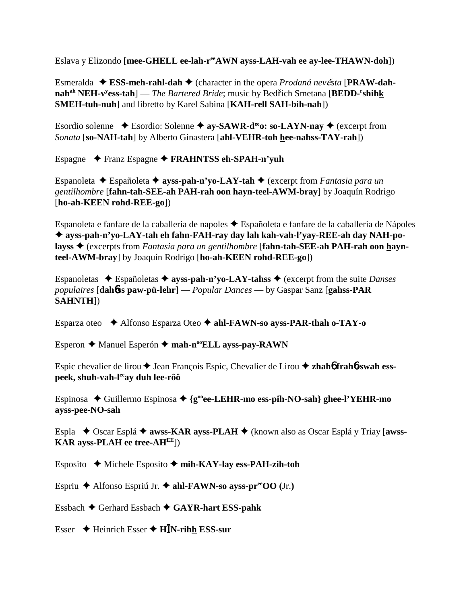Eslava y Elizondo [**mee-GHELL ee-lah-reeAWN ayss-LAH-vah ee ay-lee-THAWN-doh**])

Esmeralda ◆ ESS-meh-rahl-dah ◆ (character in the opera *Prodaná nevěsta* [PRAW-dah**nah<sup>ah</sup> NEH-v<sup>y</sup>ess-tah**] — *The Bartered Bride*; music by Bedřich Smetana [BEDD-<sup>r</sup>shihk **SMEH-tuh-nuh**] and libretto by Karel Sabina [**KAH-rell SAH-bih-nah**])

Esordio solenne  $\triangle$  Esordio: Solenne  $\triangle$  ay-SAWR-d<sup>ee</sup>o: so-LAYN-nay  $\triangle$  (excerpt from *Sonata* [**so-NAH-tah**] by Alberto Ginastera [**ahl-VEHR-toh hee-nahss-TAY-rah**])

Espagne Franz Espagne **FRAHNTSS eh-SPAH-n'yuh**

Espanoleta Españoleta  **ayss-pah-n'yo-LAY-tah**  (excerpt from *Fantasia para un gentilhombre* [**fahn-tah-SEE-ah PAH-rah oon hayn-teel-AWM-bray**] by Joaquín Rodrigo [**ho-ah-KEEN rohd-REE-go**])

Espanoleta e fanfare de la caballeria de napoles Españoleta e fanfare de la caballeria de Nápoles  **ayss-pah-n'yo-LAY-tah eh fahn-FAH-ray day lah kah-vah-l'yay-REE-ah day NAH-polayss** (excerpts from *Fantasia para un gentilhombre* [**fahn-tah-SEE-ah PAH-rah oon haynteel-AWM-bray**] by Joaquín Rodrigo [**ho-ah-KEEN rohd-REE-go**])

Espanoletas  $\triangle$  Españoletas  $\triangle$  **ayss-pah-n'yo-LAY-tahss**  $\triangle$  (excerpt from the suite *Danses populaires* [**dah**6**ss paw-pü-lehr**] — *Popular Dances* — by Gaspar Sanz [**gahss-PAR SAHNTH**])

Esparza oteo Alfonso Esparza Oteo **ahl-FAWN-so ayss-PAR-thah o-TAY-o**

Esperon **←** Manuel Esperón ← mah-n<sup>oo</sup>ELL ayss-pay-RAWN

Espic chevalier de lirou **→** Jean François Espic, Chevalier de Lirou ◆ zhah**6** frah**6**-swah ess**peek, shuh-vah-leeay duh lee-rôô**

Espinosa  $\blacklozenge$  Guillermo Espinosa  $\blacklozenge$  {g<sup>oo</sup>ee-LEHR-mo ess-pih-NO-sah} ghee-l'YEHR-mo **ayss-pee-NO-sah**

Espla ◆ Oscar Esplá ◆ **awss-KAR ayss-PLAH** ◆ (known also as Oscar Esplá y Triay [**awss-KAR ayss-PLAH ee tree-AHEE**])

Esposito Michele Esposito **mih-KAY-lay ess-PAH-zih-toh**

Espriu Alfonso Espriú Jr. **ahl-FAWN-so ayss-preeOO (**Jr.**)**

Essbach Gerhard Essbach **GAYR-hart ESS-pahk**

Esser Heinrich Esser **HN-rihh ESS-sur**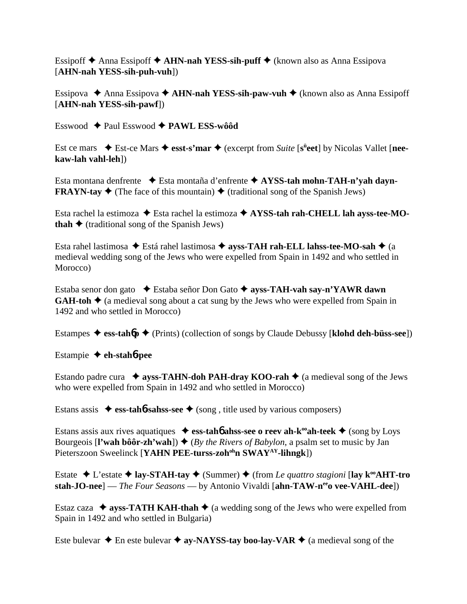Essipoff Anna Essipoff **AHN-nah YESS-sih-puff** (known also as Anna Essipova [**AHN-nah YESS-sih-puh-vuh**])

Essipova ◆ Anna Essipova ◆ **AHN-nah YESS-sih-paw-vuh ◆** (known also as Anna Essipoff [**AHN-nah YESS-sih-pawf**])

Esswood Paul Esswood **PAWL ESS-wôôd**

Est ce mars  $\bullet$  Est-ce Mars  $\bullet$  esst-s'mar  $\bullet$  (excerpt from *Suite* [s<sup>ü</sup>eet] by Nicolas Vallet [nee**kaw-lah vahl-leh**])

Esta montana denfrente Esta montaña d'enfrente **AYSS-tah mohn-TAH-n'yah dayn-FRAYN-tay**  $\blacklozenge$  (The face of this mountain)  $\blacklozenge$  (traditional song of the Spanish Jews)

Esta rachel la estimoza ◆ Esta rachel la estimoza ◆ AYSS-tah rah-CHELL lah ayss-tee-MO**thah**  $\triangle$  (traditional song of the Spanish Jews)

Esta rahel lastimosa ◆ Está rahel lastimosa ◆ ayss-TAH rah-ELL lahss-tee-MO-sah ◆ (a medieval wedding song of the Jews who were expelled from Spain in 1492 and who settled in Morocco)

Estaba senor don gato **→** Estaba señor Don Gato → ayss-TAH-vah say-n'YAWR dawn **GAH-toh**  $\triangle$  (a medieval song about a cat sung by the Jews who were expelled from Spain in 1492 and who settled in Morocco)

Estampes  $\blacklozenge$  **ess-tahbp**  $\blacklozenge$  (Prints) (collection of songs by Claude Debussy [**klohd deh-büss-see**])

Estampie  **eh-stah**6**-pee**

Estando padre cura  $\rightarrow$  ayss-TAHN-doh PAH-dray KOO-rah  $\rightarrow$  (a medieval song of the Jews who were expelled from Spain in 1492 and who settled in Morocco)

Estans assis  $\triangleq$  **ess-tahb-sahss-see**  $\triangleq$  (song, title used by various composers)

Estans assis aux rives aquatiques  $\bullet$  ess-tah**6** ahss-see o reev ah-k<sup>oo</sup>ah-teek  $\bullet$  (song by Loys Bourgeois  $[\mathbf{l}'$  wah bôôr-zh'wah])  $\blacklozenge$  (*By the Rivers of Babylon*, a psalm set to music by Jan Pieterszoon Sweelinck [**YAHN PEE-turss-zoh<sup>oh</sup>n SWAY<sup>AY</sup>-lihngk**])

Estate **↓** L'estate ◆ lay-STAH-tay ◆ (Summer) ◆ (from *Le quattro stagioni* [lay k<sup>oo</sup>AHT-tro **stah-JO-nee**] — *The Four Seasons* — by Antonio Vivaldi [ahn-TAW-n<sup>ee</sup>o vee-VAHL-dee])

Estaz caza  $\triangle$  **ayss-TATH KAH-thah**  $\triangle$  (a wedding song of the Jews who were expelled from Spain in 1492 and who settled in Bulgaria)

Este bulevar  $\triangle$  En este bulevar  $\triangle$  ay-NAYSS-tay boo-lay-VAR  $\triangle$  (a medieval song of the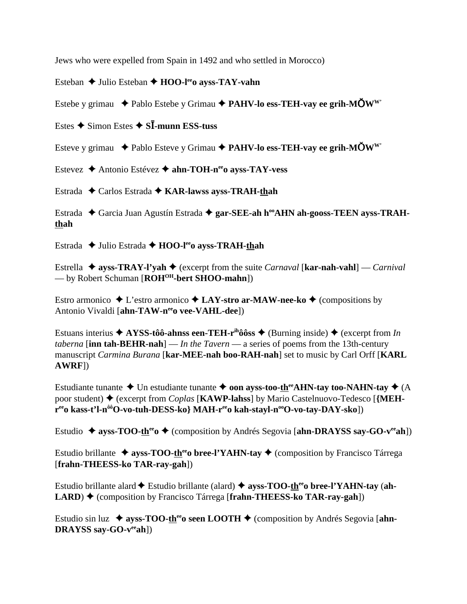Jews who were expelled from Spain in 1492 and who settled in Morocco)

Esteban ◆ Julio Esteban ◆ HOO-l<sup>ee</sup>o ayss-TAY-vahn

Estebe y grimau  $\blacklozenge$  Pablo Estebe y Grimau  $\blacklozenge$  **PAHV-lo ess-TEH-vay ee grih-MÖW**<sup>W</sup>

Estes  $\triangle$  Simon Estes  $\triangle$  S**I**-munn **ESS-tuss** 

Esteve y grimau **→** Pablo Esteve y Grimau → PAHV-lo ess-TEH-vay ee grih-MÖW<sup>W</sup>

Estevez **→** Antonio Estévez → ahn-TOH-n<sup>ee</sup>o ayss-TAY-vess

Estrada ◆ Carlos Estrada ◆ KAR-lawss ayss-TRAH-thah

Estrada ◆ Garcia Juan Agustín Estrada ◆ gar-SEE-ah h<sup>oo</sup>AHN ah-gooss-TEEN ayss-TRAH**thah**

Estrada ◆ Julio Estrada ◆ HOO-l<sup>ee</sup>o ayss-TRAH-thah

Estrella  $\triangleq$  ayss-TRAY-l'yah  $\triangleq$  (excerpt from the suite *Carnaval* [kar-nah-vahl] — *Carnival* — by Robert Schuman [**ROHOH-bert SHOO-mahn**])

Estro armonico  $\triangle$  L'estro armonico  $\triangle$  LAY-stro ar-MAW-nee-ko  $\triangle$  (compositions by Antonio Vivaldi [ahn-TAW-neeo vee-VAHL-dee])

Estuans interius  $\triangle$  AYSS-tôô-ahnss een-TEH-r<sup>ih</sup>ôôss  $\triangle$  (Burning inside)  $\triangle$  (excerpt from *In taberna* [**inn tah-BEHR-nah**] — *In the Tavern* — a series of poems from the 13th-century manuscript *Carmina Burana* [**kar-MEE-nah boo-RAH-nah**] set to music by Carl Orff [**KARL AWRF**])

Estudiante tunante  $\triangle$  Un estudiante tunante  $\triangle$  oon ayss-too-th<sup>ee</sup>AHN-tay too-NAHN-tay  $\triangle$  (A) poor student)  $\blacklozenge$  (excerpt from *Coplas* [KAWP-lahss] by Mario Castelnuovo-Tedesco [{MEH**reeo kass-t'l-n<sup>ôô</sup>O-vo-tuh-DESS-ko} MAH-reeo kah-stayl-n<sup>oo</sup>O-vo-tay-DAY-sko])** 

Estudio ◆ ayss-TOO-th<sup>ee</sup>o ◆ (composition by Andrés Segovia [ahn-DRAYSS say-GO-v<sup>ee</sup>ah])

Estudio brillante  $\triangleq$  ayss-TOO-th<sup>ee</sup> bree-l'YAHN-tay  $\triangleq$  (composition by Francisco Tárrega [**frahn-THEESS-ko TAR-ray-gah**])

Estudio brillante alard  $\blacklozenge$  Estudio brillante (alard)  $\blacklozenge$  ayss-TOO-there bree-l'YAHN-tay (ah-**LARD**) ◆ (composition by Francisco Tárrega [frahn-THEESS-ko TAR-ray-gah])

Estudio sin luz  $\triangleq$  ayss-TOO-th<sup>ee</sup> oseen LOOTH  $\triangleq$  (composition by Andrés Segovia [ahn-**DRAYSS say-GO-veeah**])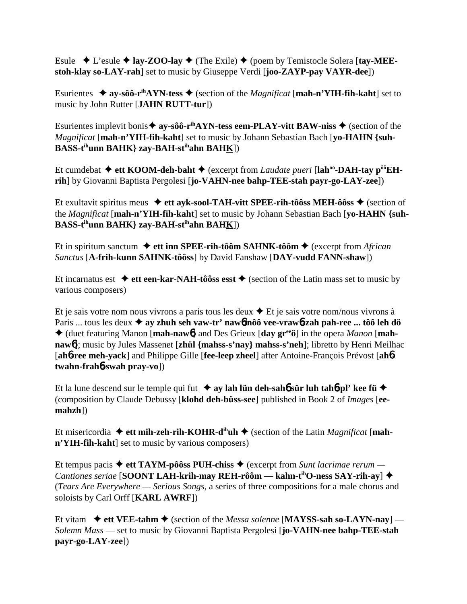Esule  $\blacklozenge$  L'esule  $\blacklozenge$  **lay-ZOO-lay**  $\blacklozenge$  (The Exile)  $\blacklozenge$  (poem by Temistocle Solera [tay-MEE**stoh-klay so-LAY-rah**] set to music by Giuseppe Verdi [**joo-ZAYP-pay VAYR-dee**])

Esurientes  $\triangleq$  ay-sôô-r<sup>ih</sup>AYN-tess  $\triangleq$  (section of the *Magnificat* [mah-n'YIH-fih-kaht] set to music by John Rutter [**JAHN RUTT-tur**])

Esurientes implevit bonis  $\triangleq$  ay-sôô-r<sup>ih</sup>AYN-tess eem-PLAY-vitt BAW-niss  $\triangleq$  (section of the *Magnificat* [**mah-n'YIH-fih-kaht**] set to music by Johann Sebastian Bach [**yo-HAHN {suh-BASS-tihunn BAHK} zay-BAH-stihahn BAHK**])

Et cumdebat  $\triangleq$  ett KOOM-deh-baht  $\triangleq$  (excerpt from *Laudate pueri* [lah<sup>oo</sup>-DAH-tay p<sup>ôô</sup>EH**rih**] by Giovanni Baptista Pergolesi [**jo-VAHN-nee bahp-TEE-stah payr-go-LAY-zee**])

Et exultavit spiritus meus  $\blacklozenge$  ett ayk-sool-TAH-vitt SPEE-rih-tôôss MEH-ôôss  $\blacklozenge$  (section of the *Magnificat* [**mah-n'YIH-fih-kaht**] set to music by Johann Sebastian Bach [**yo-HAHN {suh-BASS-tihunn BAHK} zay-BAH-stihahn BAHK**])

Et in spiritum sanctum **→ ett inn SPEE-rih-tôôm SAHNK-tôôm →** (excerpt from *African Sanctus* [**A-frih-kunn SAHNK-tôôss**] by David Fanshaw [**DAY-vudd FANN-shaw**])

Et incarnatus est  $\triangleq$  ett een-kar-NAH-tôôss esst  $\triangleq$  (section of the Latin mass set to music by various composers)

Et je sais votre nom nous vivrons a paris tous les deux  $\triangle$  Et je sais votre nom/nous vivrons à Paris ... tous les deux **ay zhuh seh vaw-tr' naw**6**/nôô vee-vraw**6**-zah pah-ree ... tôô leh dö** (duet featuring Manon [**mah-naw**6] and Des Grieux [**day greeö**] in the opera *Manon* [**mahnaw**6]; music by Jules Massenet [**zhül {mahss-s'nay} mahss-s'neh**]; libretto by Henri Meilhac [**ah**6**-ree meh-yack**] and Philippe Gille [**fee-leep zheel**] after Antoine-François Prévost [**ah**6 **twahn-frah**6**-swah pray-vo**])

Et la lune descend sur le temple qui fut  $\rightarrow$  ay lah lün deh-sah**6** sür luh tah**6**-pl' kee fü $\rightarrow$ (composition by Claude Debussy [**klohd deh-büss-see**] published in Book 2 of *Images* [**eemahzh**])

Et misericordia  $\blacklozenge$  ett mih-zeh-rih-KOHR-d<sup>ih</sup>uh  $\blacklozenge$  (section of the Latin *Magnificat* [mah**n'YIH-fih-kaht**] set to music by various composers)

Et tempus pacis  $\triangleq$  ett TAYM-pôôss PUH-chiss  $\triangleq$  (excerpt from *Sunt lacrimae rerum — Cantiones seriae* [**SOONT LAH-krih-may REH-rôôm — kahn-tihO-ness SAY-rih-ay**] (*Tears Are Everywhere — Serious Songs*, a series of three compositions for a male chorus and soloists by Carl Orff [**KARL AWRF**])

Et vitam  $\blacklozenge$  ett VEE-tahm  $\blacklozenge$  (section of the *Messa solenne* [MAYSS-sah so-LAYN-nay] — *Solemn Mass* — set to music by Giovanni Baptista Pergolesi [**jo-VAHN-nee bahp-TEE-stah payr-go-LAY-zee**])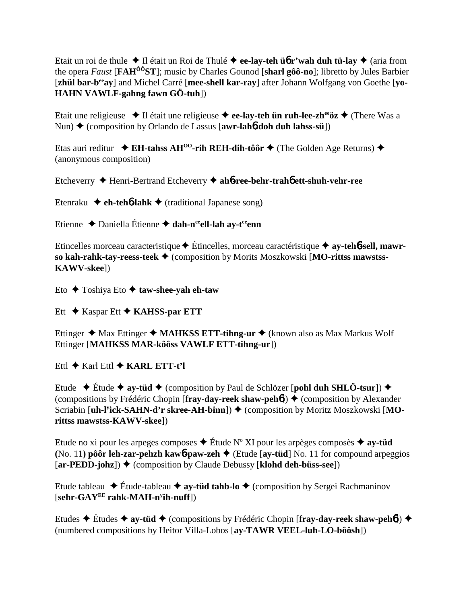Etait un roi de thule ◆ Il était un Roi de Thulé ◆ ee-lay-teh ü**6** r'wah duh tü-lay ◆ (aria from the opera *Faust* [**FAHÔÔST**]; music by Charles Gounod [**sharl gôô-no**]; libretto by Jules Barbier [zhül bar-b<sup>ee</sup>ay] and Michel Carré [mee-shell kar-ray] after Johann Wolfgang von Goethe [yo-] **HAHN VAWLF-gahng fawn GÖ-tuh**])

Etait une religieuse  $\triangleleft$  Il était une religieuse  $\triangleleft$  ee-lay-teh ün ruh-lee-zh<sup>ee</sup>öz  $\triangleleft$  (There Was a Nun) ◆ (composition by Orlando de Lassus [**awr-lah<sup>6</sup>-doh duh lahss-sü**])

Etas auri reditur  $\triangleleft$  **EH-tahss AH<sup>00</sup>-rih REH-dih-tôôr**  $\triangleq$  (The Golden Age Returns)  $\triangleq$ (anonymous composition)

Etcheverry Henri-Bertrand Etcheverry **ah**6**-ree-behr-trah**6 **ett-shuh-vehr-ree**

Etenraku  $\triangle$  **eh-teh<sup>6</sup>-lahk**  $\triangle$  (traditional Japanese song)

Etienne ◆ Daniella Étienne ◆ dah-n<sup>ee</sup>ell-lah ay-t<sup>ee</sup>enn

Etincelles morceau caracteristique Étincelles, morceau caractéristique **ay-teh**6**-sell, mawrso kah-rahk-tay-reess-teek ♦ (composition by Morits Moszkowski [MO-rittss mawstss-KAWV-skee**])

Eto Toshiya Eto **taw-shee-yah eh-taw**

Ett **→ Kaspar Ett → KAHSS-par ETT** 

Ettinger ◆ Max Ettinger ◆ MAHKSS ETT-tihng-ur ◆ (known also as Max Markus Wolf Ettinger [**MAHKSS MAR-kôôss VAWLF ETT-tihng-ur**])

Ettl **→ Karl Ettl → KARL ETT-t'l** 

Etude  $\div$  Étude  $\div$  ay-tüd  $\div$  (composition by Paul de Schlözer [**pohl duh SHLÖ-tsur**])  $\div$ (compositions by Frédéric Chopin [**fray-day-reek shaw-peh**6]) ♦ (composition by Alexander Scriabin [uh-l<sup>y</sup>ick-SAHN-d'r skree-AH-binn])  $\blacklozenge$  (composition by Moritz Moszkowski [MO**rittss mawstss-KAWV-skee**])

Etude no xi pour les arpeges composes ◆ Étude N° XI pour les arpèges composès ◆ ay-t**üd (No. 11) pôôr leh-zar-pehzh kaw<sup>6</sup>-paw-zeh**  $\triangleleft$  (Etude [ay-tüd] No. 11 for compound arpeggios [**ar-PEDD-johz**]) ♦ (composition by Claude Debussy [**klohd deh-büss-see**])

Etude tableau  $\triangle$  Étude-tableau  $\triangle$  ay-tüd tahb-lo  $\triangle$  (composition by Sergei Rachmaninov [**sehr-GAYEE rahk-MAH-ny ih-nuff**])

Etudes **→** Études → ay-tüd → (compositions by Frédéric Chopin [fray-day-reek shaw-peh**6**]) → (numbered compositions by Heitor Villa-Lobos [**ay-TAWR VEEL-luh-LO-bôôsh**])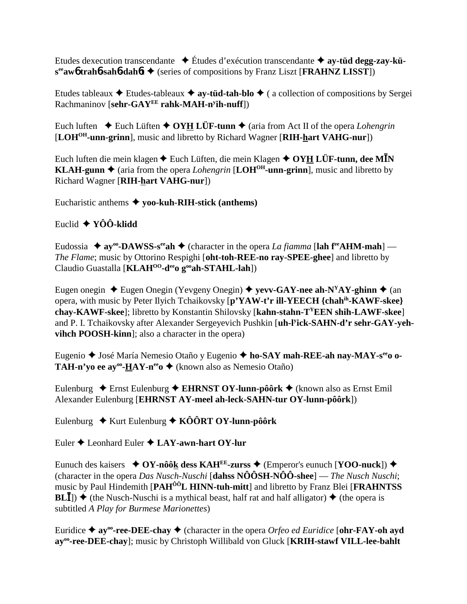Etudes dexecution transcendante Études d'exécution transcendante  **ay-tüd degg-zay-küseeaw**6 **trah**6**-sah**6**-dah**6**t** (series of compositions by Franz Liszt [**FRAHNZ LISST**])

Etudes tableaux  $\triangle$  Etudes-tableaux  $\triangle$  **ay-tüd-tah-blo**  $\triangle$  ( a collection of compositions by Sergei Rachmaninov [**sehr-GAYEE rahk-MAH-ny ih-nuff**])

Euch luften  $\triangle$  Euch Lüften  $\triangle$  OYH LÜF-tunn  $\triangle$  (aria from Act II of the opera *Lohengrin* [**LOHOH-unn-grinn**], music and libretto by Richard Wagner [**RIH-hart VAHG-nur**])

Euch luften die mein klagen ◆ Euch Lüften, die mein Klagen ◆ OYH LÜF-tunn, dee M**I**N **KLAH-gunn**  $\triangle$  (aria from the opera *Lohengrin* [LOH<sup>OH</sup>-unn-grinn], music and libretto by Richard Wagner [**RIH-hart VAHG-nur**])

Eucharistic anthems **yoo-kuh-RIH-stick (anthems)**

# Euclid **YÔÔ-klidd**

Eudossia  $\triangle$  ay<sup>oo</sup>-DAWSS-s<sup>ee</sup>ah  $\triangle$  (character in the opera *La fiamma* [lah f<sup>ee</sup>AHM-mah] — *The Flame*; music by Ottorino Respighi [**oht-toh-REE-no ray-SPEE-ghee**] and libretto by Claudio Guastalla [**KLAHOO-deeo gooah-STAHL-lah**])

Eugen onegin  $\triangle$  Eugen Onegin (Yevgeny Onegin)  $\triangle$  yevv-GAY-nee ah-N<sup>Y</sup>AY-ghinn  $\triangle$  (an opera, with music by Peter Ilyich Tchaikovsky [**p'YAW-t'r ill-YEECH {chahih-KAWF-skee} chay-KAWF-skee**]; libretto by Konstantin Shilovsky [**kahn-stahn-TYEEN shih-LAWF-skee**] and P. I. Tchaikovsky after Alexander Sergeyevich Pushkin [**uh-ly ick-SAHN-d'r sehr-GAY-yehvihch POOSH-kinn**]; also a character in the opera)

Eugenio José María Nemesio Otaño y Eugenio **ho-SAY mah-REE-ah nay-MAY-seeo o-TAH-n'yo ee ay<sup>∞</sup>-HAY-n<sup>ee</sup>o ◆ (known also as Nemesio Otaño)** 

Eulenburg  $\triangle$  Ernst Eulenburg  $\triangle$  **EHRNST OY-lunn-pôôrk**  $\triangle$  (known also as Ernst Emil Alexander Eulenburg [**EHRNST AY-meel ah-leck-SAHN-tur OY-lunn-pôôrk**])

Eulenburg  $\rightarrow$  Kurt Eulenburg  $\rightarrow$  KÔÔRT OY-lunn-pôôrk

Euler **◆ Leonhard Euler ◆ LAY-awn-hart OY-lur** 

Eunuch des kaisers  $\triangle$  OY-nôôk dess KAH<sup>EE</sup>-zurss  $\triangle$  (Emperor's eunuch [**YOO-nuck**])  $\triangle$ (character in the opera *Das Nusch-Nuschi* [**dahss NÔÔSH-NÔÔ-shee**] — *The Nusch Nuschi*; music by Paul Hindemith [**PAHÔÔL HINN-tuh-mitt**] and libretto by Franz Blei [**FRAHNTSS BL** $\overline{I}$ )  $\blacklozenge$  (the Nusch-Nuschi is a mythical beast, half rat and half alligator)  $\blacklozenge$  (the opera is subtitled *A Play for Burmese Marionettes*)

Euridice  $\triangle$  ay<sup>oo</sup>-ree-DEE-chay  $\triangle$  (character in the opera *Orfeo ed Euridice* [**ohr-FAY-oh ayd** ay<sup>oo</sup>-ree-DEE-chay]; music by Christoph Willibald von Gluck [KRIH-stawf VILL-lee-bahlt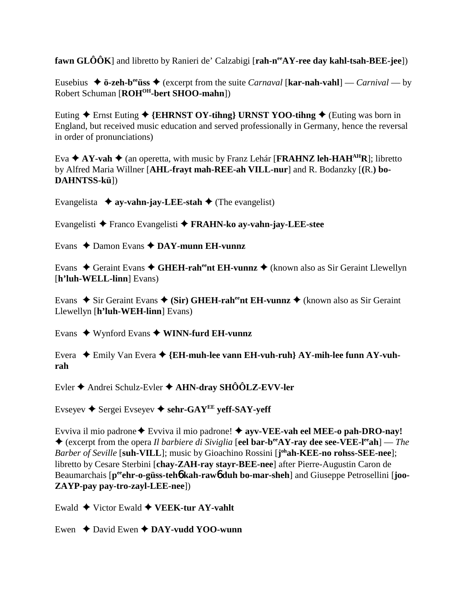fawn  $GLOOR$  and libretto by Ranieri de' Calzabigi [rah-n<sup>ee</sup> $AY$ -ree day kahl-tsah-BEE-jee])

Eusebius  $\triangleq$  ö-zeh-b<sup>ee</sup> use  $\triangleq$  (excerpt from the suite *Carnaval* [kar-nah-vahl] — *Carnival* — by Robert Schuman [ROH<sup>OH</sup>-bert SHOO-mahn])

Euting  $\triangle$  Ernst Euting  $\triangle$  {EHRNST OY-tihng} URNST YOO-tihng  $\triangle$  (Euting was born in England, but received music education and served professionally in Germany, hence the reversal in order of pronunciations)

Eva  $\triangle$  AY-vah  $\triangle$  (an operetta, with music by Franz Lehár [FRAHNZ leh-HAH<sup>AH</sup>R]; libretto by Alfred Maria Willner [AHL-frayt mah-REE-ah VILL-nur] and R. Bodanzky [(R.) bo-**DAHNTSS-kü**])

Evangelista  $\rightarrow$  ay-vahn-jay-LEE-stah  $\rightarrow$  (The evangelist)

Evangelisti ◆ Franco Evangelisti ◆ FRAHN-ko ay-vahn-jay-LEE-stee

Evans  $\triangle$  Damon Evans  $\triangle$  DAY-munn EH-vunnz

Evans  $\triangle$  Geraint Evans  $\triangle$  GHEH-rah<sup>ee</sup>nt EH-vunnz  $\triangle$  (known also as Sir Geraint Llewellyn  $[h'luh-WELL-linn] Evans)$ 

Evans  $\bullet$  Sir Geraint Evans  $\bullet$  (Sir) GHEH-rahet EH-vunnz  $\bullet$  (known also as Sir Geraint Llewellyn [h'luh-WEH-linn] Evans)

Evans  $\triangle$  Wynford Evans  $\triangle$  WINN-furd EH-vunnz

Evera  $\bullet$  Emily Van Evera  $\bullet$  {EH-muh-lee vann EH-vuh-ruh} AY-mih-lee funn AY-vuhrah

Evler  $\triangle$  Andrei Schulz-Evler  $\triangle$  AHN-dray SHÔÔLZ-EVV-ler

Evseyev  $\blacklozenge$  Sergei Evseyev  $\blacklozenge$  sehr-GAY<sup>EE</sup> veff-SAY-veff

Evviva il mio padrone  $\triangle$  Evviva il mio padrone!  $\triangle$  ayv-VEE-vah eel MEE-o pah-DRO-nay!  $\triangle$  (excerpt from the opera *Il barbiere di Siviglia* [eel bar-b<sup>ee</sup>AY-ray dee see-VEE-l<sup>ee</sup>ah] — *The* Barber of Seville [suh-VILL]; music by Gioachino Rossini [j<sup>oh</sup>ah-KEE-no rohss-SEE-nee]; libretto by Cesare Sterbini [chay-ZAH-ray stayr-BEE-nee] after Pierre-Augustin Caron de Beaumarchais [pee ehr-o-güss-teho kah-rawo duh bo-mar-sheh] and Giuseppe Petrosellini [joo-ZAYP-pay pay-tro-zayl-LEE-nee])

Ewald  $\blacklozenge$  Victor Ewald  $\blacklozenge$  VEEK-tur AY-vahlt

Ewen  $\triangle$  David Ewen  $\triangle$  DAY-vudd YOO-wunn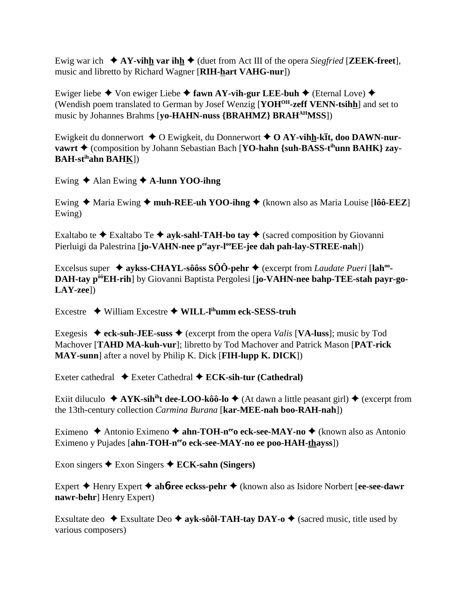Ewig war ich  $\star$  AY-vihh var ihh  $\star$  (duet from Act III of the opera *Siegfried* [**ZEEK-freet**], music and libretto by Richard Wagner [RIH-hart VAHG-nur])

Ewiger liebe  $\blacklozenge$  Von ewiger Liebe  $\blacklozenge$  fawn AY-vih-gur LEE-buh  $\blacklozenge$  (Eternal Love)  $\blacklozenge$ (Wendish poem translated to German by Josef Wenzig [YOH<sup>OH</sup>-zeff VENN-tsihh] and set to music by Johannes Brahms [vo-HAHN-nuss {BRAHMZ} BRAH<sup>AH</sup>MSS])

Ewigkeit du donnerwort  $\triangleq 0$  Ewigkeit, du Donnerwort  $\triangleq 0$  AY-vihh-kīt, doo DAWN-nurvawrt ◆ (composition by Johann Sebastian Bach [YO-hahn {suh-BASS-t<sup>ih</sup>unn BAHK} zav-**BAH-st<sup>ih</sup>ahn BAHK**])

Ewing  $\triangle$  Alan Ewing  $\triangle$  A-lunn YOO-ihng

Ewing ◆ Maria Ewing ◆ muh-REE-uh YOO-ihng ◆ (known also as Maria Louise [lôô-EEZ] Ewing)

Exaltabo te  $\triangle$  Exaltabo Te  $\triangle$  ayk-sahl-TAH-bo tay  $\triangle$  (sacred composition by Giovanni Pierluigi da Palestrina [jo-VAHN-nee peayr-l<sup>oo</sup>EE-jee dah pah-lay-STREE-nah])

Excelsus super  $\triangleq$  aykss-CHAYL-sôôss SÔÔ-pehr  $\triangleq$  (excerpt from *Laudate Pueri* [lah<sup>oo</sup>-DAH-tay p<sup>ôô</sup>EH-rih] by Giovanni Baptista Pergolesi [jo-VAHN-nee bahp-TEE-stah payr-go- $LAY-zee$ ])

Excestre  $\rightarrow$  William Excestre  $\rightarrow$  WILL-I<sup>ih</sup>umm eck-SESS-truh

Exegesis  $\triangleq$  eck-suh-JEE-suss  $\triangleq$  (excerpt from the opera *Valis* [VA-luss]; music by Tod Machover [TAHD MA-kuh-vur]; libretto by Tod Machover and Patrick Mason [PAT-rick] MAY-sunn] after a novel by Philip K. Dick [FIH-lupp K. DICK])

Exeter cathedral  $\triangle$  Exeter Cathedral  $\triangle$  ECK-sih-tur (Cathedral)

Exiit diluculo  $\triangle$  AYK-sih<sup>ih</sup>t dee-LOO-kôô-lo  $\triangle$  (At dawn a little peasant girl)  $\triangle$  (excerpt from the 13th-century collection *Carmina Burana* [kar-MEE-nah boo-RAH-nah])

Eximeno ◆ Antonio Eximeno ◆ ahn-TOH-n<sup>ee</sup>o eck-see-MAY-no ◆ (known also as Antonio Eximeno y Pujades [ahn-TOH-nee o eck-see-MAY-no ee poo-HAH-thayss])

Exon singers  $\blacklozenge$  Exon Singers  $\blacklozenge$  ECK-sahn (Singers)

Expert  $\triangle$  Henry Expert  $\triangle$  ahb-ree eckss-pehr  $\triangle$  (known also as Isidore Norbert [ee-see-dawr nawr-behr] Henry Expert)

Exsultate deo  $\triangle$  Exsultate Deo  $\triangle$  ayk-sôôl-TAH-tay DAY-o  $\triangle$  (sacred music, title used by various composers)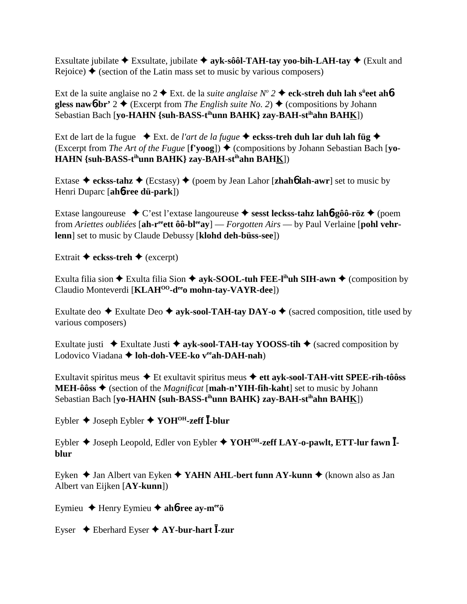Exsultate jubilate  $\triangle$  Exsultate, jubilate  $\triangle$  ayk-sôôl-TAH-tay yoo-bih-LAH-tay  $\triangle$  (Exult and Rejoice)  $\triangle$  (section of the Latin mass set to music by various composers)

Ext de la suite anglaise no 2  $\blacklozenge$  Ext. de la *suite anglaise*  $N^{\circ}$  2  $\blacklozenge$  eck-streh duh lah s<sup>ü</sup>eet ah**6gless naw6-br'**  $2 \triangleleft$  (Excerpt from *The English suite No. 2*)  $\triangleleft$  (compositions by Johann Sebastian Bach [**yo-HAHN {suh-BASS-tihunn BAHK} zay-BAH-stihahn BAHK**])

Ext de lart de la fugue  $\bullet$  Ext. de *l'art de la fugue*  $\bullet$  eckss-treh duh lar duh lah füg  $\bullet$  $(Exception The Art of the Fugue [f'voog]) \triangle (compositions by Johann Sebastian Bach [vo-<sub>1</sub>]$ **HAHN {suh-BASS-tihunn BAHK} zay-BAH-stihahn BAHK**])

Extase **eckss-tahz** (Ecstasy) (poem by Jean Lahor [**zhah**6 **lah-awr**] set to music by Henri Duparc [**ah**6**-ree dü-park**])

Extase langoureuse C'est l'extase langoureuse  **sesst leckss-tahz lah**6**-gôô-röz** (poem from *Ariettes oubliées* [ah-r<sup>ee</sup>ett ôô-bl<sup>ee</sup>ay] — *Forgotten Airs* — by Paul Verlaine [pohl vehr**lenn**] set to music by Claude Debussy [**klohd deh-büss-see**])

Extrait  $\triangleq$  eckss-treh  $\triangleq$  (excerpt)

Exulta filia sion  $\triangle$  Exulta filia Sion  $\triangle$  ayk-SOOL-tuh FEE-l<sup>ih</sup>uh SIH-awn  $\triangle$  (composition by Claudio Monteverdi [**KLAH<sup>00</sup>-d<sup>ee</sup>o mohn-tay-VAYR-dee**])

Exultate deo  $\triangle$  Exultate Deo  $\triangle$  avk-sool-TAH-tay DAY-o  $\triangle$  (sacred composition, title used by various composers)

Exultate justi  $\rightarrow$  Exultate Justi  $\rightarrow$  ayk-sool-TAH-tay YOOSS-tih  $\rightarrow$  (sacred composition by Lodovico Viadana **← loh-doh-VEE-ko v<sup>ee</sup>ah-DAH-nah**)

Exultavit spiritus meus Et exultavit spiritus meus **ett ayk-sool-TAH-vitt SPEE-rih-tôôss MEH-ôôss**  $\triangle$  (section of the *Magnificat* [**mah-n'YIH-fih-kaht**] set to music by Johann Sebastian Bach [**yo-HAHN {suh-BASS-tihunn BAHK} zay-BAH-stihahn BAHK**])

Eybler Joseph Eybler **YOHOH-zeff -blur**

Eybler Joseph Leopold, Edler von Eybler **YOHOH-zeff LAY-o-pawlt, ETT-lur fawn blur**

Eyken ◆ Jan Albert van Eyken ◆ YAHN AHL-bert funn AY-kunn ◆ (known also as Jan Albert van Eijken [**AY-kunn**])

Eymieu Henry Eymieu **ah**6**-ree ay-meeö**

Eyser  $\triangle$  Eberhard Eyser  $\triangle$  AY-bur-hart  $\overline{I}$ -zur